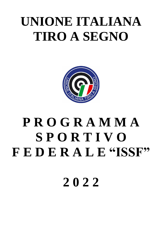# **UNIONE ITALIANA TIRO A SEGNO**



# **P R O G R A M M A S P O R T I V O F E D E R A L E "ISSF"**

**2 0 2 2**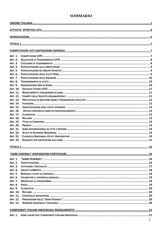# **SOMMARIO**

| <b>ART. 1.</b>                     |  |  |  |  |
|------------------------------------|--|--|--|--|
| <b>ART. 2.</b>                     |  |  |  |  |
| <b>ART. 3.</b>                     |  |  |  |  |
| <b>ART. 4.</b>                     |  |  |  |  |
| <b>ART. 5.</b>                     |  |  |  |  |
| <b>ART. 6.</b>                     |  |  |  |  |
| <b>ART. 7.</b>                     |  |  |  |  |
| <b>ART. 8.</b>                     |  |  |  |  |
| <b>ART. 9.</b>                     |  |  |  |  |
| <b>ART. 10.</b>                    |  |  |  |  |
| <b>ART. 11.</b>                    |  |  |  |  |
| <b>ART. 12.</b>                    |  |  |  |  |
| <b>ART. 13.</b>                    |  |  |  |  |
| <b>ART. 14.</b>                    |  |  |  |  |
| <b>ART. 15.</b>                    |  |  |  |  |
| ART. 16.                           |  |  |  |  |
| <b>ART. 17.</b>                    |  |  |  |  |
| <b>ART. 18.</b>                    |  |  |  |  |
| <b>ART. 19.</b><br><b>ART. 20.</b> |  |  |  |  |
| <b>ART. 21.</b>                    |  |  |  |  |
| <b>ART. 22.</b>                    |  |  |  |  |
| <b>ART. 23</b>                     |  |  |  |  |
| <b>ART. 24</b>                     |  |  |  |  |
|                                    |  |  |  |  |
|                                    |  |  |  |  |
|                                    |  |  |  |  |
| <b>ART. 1.</b>                     |  |  |  |  |
| <b>ART. 2.</b>                     |  |  |  |  |
| <b>ART. 3.</b>                     |  |  |  |  |
| <b>ART. 4.</b>                     |  |  |  |  |
| <b>ART. 5.</b>                     |  |  |  |  |
| <b>ART. 6.</b>                     |  |  |  |  |
| <b>ART. 7.</b>                     |  |  |  |  |
| <b>ART. 8.</b>                     |  |  |  |  |
| <b>ART. 9.</b><br><b>ART. 10.</b>  |  |  |  |  |
| ART. 11.                           |  |  |  |  |
| <b>ART. 12.</b>                    |  |  |  |  |
| ART. 13.                           |  |  |  |  |
|                                    |  |  |  |  |
|                                    |  |  |  |  |
| <b>ART. 1.</b>                     |  |  |  |  |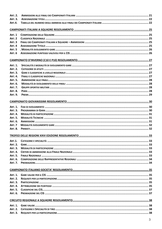| <b>ART. 2.</b> |  |  |  |
|----------------|--|--|--|
| <b>ART. 3.</b> |  |  |  |
| <b>ART.4.</b>  |  |  |  |
|                |  |  |  |
|                |  |  |  |
| <b>ART. 1</b>  |  |  |  |
| <b>ART. 2</b>  |  |  |  |
| ART. 3         |  |  |  |
| ART. 4         |  |  |  |
| <b>ART. 5</b>  |  |  |  |
| <b>ART. 6</b>  |  |  |  |
|                |  |  |  |
|                |  |  |  |
| <b>ART. 1.</b> |  |  |  |
| <b>ART. 2.</b> |  |  |  |
| <b>ART. 3.</b> |  |  |  |
| <b>ART. 4.</b> |  |  |  |
| <b>ART. 5.</b> |  |  |  |
| ART. 6.        |  |  |  |
| <b>ART. 7.</b> |  |  |  |
| <b>ART. 8.</b> |  |  |  |
| <b>ART. 9.</b> |  |  |  |
|                |  |  |  |
|                |  |  |  |
| <b>ART. 1.</b> |  |  |  |
| <b>ART. 3.</b> |  |  |  |
| <b>ART. 4.</b> |  |  |  |
| <b>ART. 5.</b> |  |  |  |
| <b>ART. 6.</b> |  |  |  |
| ART. 7         |  |  |  |
| <b>ART. 8.</b> |  |  |  |
|                |  |  |  |
|                |  |  |  |
| <b>ART.1.</b>  |  |  |  |
| <b>ART. 2.</b> |  |  |  |
| <b>ART. 3.</b> |  |  |  |
| <b>ART. 4.</b> |  |  |  |
| <b>ART. 5.</b> |  |  |  |
| ART. 6.        |  |  |  |
| <b>ART. 7.</b> |  |  |  |
|                |  |  |  |
|                |  |  |  |
| <b>ART. 1.</b> |  |  |  |
| <b>ART. 2.</b> |  |  |  |
| <b>ART. 3.</b> |  |  |  |
| <b>ART. 4.</b> |  |  |  |
| <b>ART. 5.</b> |  |  |  |
| ART. 6.        |  |  |  |
|                |  |  |  |
|                |  |  |  |
| <b>ART. 1.</b> |  |  |  |
| <b>ART. 2.</b> |  |  |  |
| <b>ART. 3.</b> |  |  |  |
|                |  |  |  |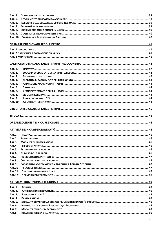| <b>ART. 4.</b>  |  |
|-----------------|--|
| <b>ART. 5.</b>  |  |
| ART. 6.         |  |
| <b>ART. 7.</b>  |  |
| <b>ART. 8.</b>  |  |
| <b>ART. 9.</b>  |  |
| <b>ART. 10</b>  |  |
|                 |  |
|                 |  |
|                 |  |
|                 |  |
|                 |  |
|                 |  |
|                 |  |
| <b>ART. 1.</b>  |  |
| <b>ART. 2.</b>  |  |
| <b>ART. 3.</b>  |  |
| <b>ART. 4.</b>  |  |
| <b>ART. 5.</b>  |  |
| ART. 6.         |  |
| <b>ART. 7.</b>  |  |
| <b>ART. 8.</b>  |  |
| <b>ART. 9.</b>  |  |
| <b>ART. 10.</b> |  |
|                 |  |
|                 |  |
|                 |  |
|                 |  |
|                 |  |
|                 |  |
|                 |  |
|                 |  |
| <b>ART.2</b>    |  |
| <b>ART.3</b>    |  |
| ART.4           |  |
| <b>ART.5</b>    |  |
| ART.6           |  |
| ART.7           |  |
| <b>ART.8</b>    |  |
| <b>ART.9</b>    |  |
| <b>ART.10</b>   |  |
| <b>ART.11</b>   |  |
| <b>ART.12</b>   |  |
|                 |  |
|                 |  |
| <b>ART. 1.</b>  |  |
| <b>ART. 2.</b>  |  |
| <b>ART. 3.</b>  |  |
| <b>ART. 4.</b>  |  |
| <b>ART. 5.</b>  |  |
| <b>ART.6.</b>   |  |
| <b>ART.7.</b>   |  |
|                 |  |
| <b>ART.8.</b>   |  |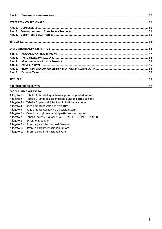| <b>ART.9.</b>  |                                                                        |
|----------------|------------------------------------------------------------------------|
|                |                                                                        |
| <b>ART. 1.</b> |                                                                        |
| <b>ART. 2.</b> |                                                                        |
| <b>ART. 3.</b> |                                                                        |
|                |                                                                        |
|                |                                                                        |
| <b>ART. 1.</b> |                                                                        |
| <b>ART. 2.</b> |                                                                        |
| <b>ART. 3.</b> |                                                                        |
| <b>ART. 4.</b> |                                                                        |
| <b>ART. 5.</b> |                                                                        |
| ART. 6.        |                                                                        |
|                |                                                                        |
|                |                                                                        |
|                | <b>MODULISTICA ALLEGATA:</b>                                           |
|                | Allegato 1 - Tabella A: Limiti di qualità assegnazione punti di merito |
|                | Allegato 2 - Tabella B: Limiti di assegnazione punti di partecipazione |
|                | Allegato 3 - Tabella C: gruppi di Merito – limiti di separazione       |
|                | Allegato 4 - Regolamento Pistola Sportiva 10m                          |
|                | Allegato 5 - Regolamento Carabina tre posizioni 10m                    |
| Allegato 6 -   | Campionato giovanissimi ripartizione montepremi                        |
| Allegato 7 -   | Tabella Incentivi Squadre PA JU - PSP JD - CL3PJU - CS3P JD            |
| Allegato 8 -   | Disegno appoggio                                                       |

- Allegato 9 Premi a gare internazionali Seniores
- Allegato 10 Premi a gare internazionali Juniores
- Allegato 11 Premi a gare internazionali Para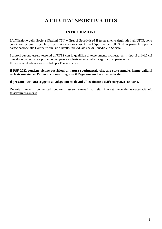# **ATTIVITA' SPORTIVA UITS**

# **INTRODUZIONE**

L'affiliazione della Società (Sezioni TSN e Gruppi Sportivi) ed il tesseramento degli atleti all'UITS, sono condizioni essenziali per la partecipazione a qualsiasi Attività Sportiva dell'UITS ed in particolare per la partecipazione alle Competizioni, sia a livello Individuale che di Squadra e/o Società.

I tiratori devono essere tesserati all'UITS con la qualifica di tesseramento richiesta per il tipo di attività cui intendono partecipare e potranno competere esclusivamente nella categoria di appartenenza. Il tesseramento deve essere valido per l'anno in corso.

**Il PSF 2022 contiene alcune previsioni di natura sperimentale che, allo stato attuale, hanno validità esclusivamente per l'anno in corso e integrano il Regolamento Tecnico Federale.**

**Il presente PSF sarà soggetto ad adeguamenti dovuti all'evoluzione dell'emergenza sanitaria.**

Durante l'anno i comunicati potranno essere emanati sul sito internet Federale **www.uits.it** e/o **tesseramento.uits.it**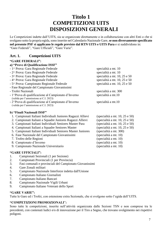# **Titolo 1 COMPETIZIONI UITS DISPOSIZIONI GENERALI**

Le Competizioni indette dall'UITS, sia se organizzate direttamente o in collaborazione con altri Enti o che si svolgano sotto la propria egida, sono inserite nel Calendario Nazionale Gare,**se non diversamente specificato nel presente PSF si applicano le regole previste dal RTN UITS e UITS Para** e si suddividono in: "Gare Federali", "Gare Ufficiali", "Gare Varie".

# **Art. 1. Competizioni UITS**

#### **"GARE FEDERALI":**

| a) "Prove di Qualificazione ISSF"                                                                          |                                                                       |
|------------------------------------------------------------------------------------------------------------|-----------------------------------------------------------------------|
| - 1^ Prova: Gara Regionale Federale                                                                        | specialità a mt. 10                                                   |
| - 2^ Prova: Gara Regionale Federale                                                                        | specialità a mt. 10                                                   |
| - 3^ Prova: Gara Regionale Federale                                                                        | specialità a mt. 10, 25 e 50                                          |
| - 4^ Prova: Gara Regionale Federale                                                                        | specialità a mt. 10, 25 e 50                                          |
| - 5^ Prova: Campionato Regionale Federale                                                                  | specialità a mt. 10, 25 e 50                                          |
| - Fase Regionale del Campionato Giovanissimi                                                               |                                                                       |
| - Trofei Nazionali                                                                                         | specialità a mt. 300                                                  |
| - 1 <sup>^</sup> Prova di qualificazione al Campionato d'Inverno<br>(valida per l'ammissione ai C.I. 2023) | specialità a mt.10                                                    |
| - 2 <sup>^</sup> Prova di qualificazione al Campionato d'Inverno<br>(valida per l'ammissione ai C.I. 2023) | specialità a mt.10                                                    |
| b) "Finali Nazionali ISSF"                                                                                 |                                                                       |
| 1. Campionati Italiani Individuali Juniores Ragazzi Allievi                                                | (specialità a mt. 10, 25 e 50)                                        |
| י יווגי תי זורים ומים המ                                                                                   | $\ell$ $\cdots$ $\cdots$ $\cdots$ $\cdots$ $\alpha$ $\alpha$ $\alpha$ |

- 2. Campionati Italiani a Squadre Juniores Ragazzi Allievi (specialità a mt. 10, 25 e 50)
- 3. Campionati Italiani Individuali Seniores Master Para (specialità a mt. 10, 25 e 50)
- 4. Campionati Italiani a Squadre Seniores Master (specialità a mt. 10, 25 e 50)
- 5. Campionati Italiani Individuali Seniores Master Juniores (specialità a mt. 300)
- 6. Fase Nazionale del Campionato Giovanissimi (specialità a mt. 10)
- 7. Trofeo delle Regioni (specialità a mt. 10)
- 8. Campionato d'Inverno (specialità a mt. 10)
- 9. Campionato Nazionale Universitario (specialità a mt. 10)

#### **"GARE UFFICIALI":**

- 1. Campionati Sezionali (1 per Sezione)
- 2. Campionati Provinciali (1 per Provincia)
- 3. Fasi comunali e provinciali del Campionato Giovanissimi
- 4. Gare Zonali militari
- 5. Campionato Nazionale Interforze indetta dall'Unione
- 6. Campionato Italiano Giornalisti
- 7. Campionato Italiano Bancari
- 8. Campionato Nazionale Vigili Urbani
- 9. Campionato Italiano Veterani dello Sport

#### **"GARE VARIE":**

Tutte le Gare ed i Trofei, con estensione extra Sezionale, che si svolgono sotto l'egida dell'UITS.

#### **"COMPETIZIONI PROMOZIONALI**"**:**

Sono tutte le competizioni, inserite nell'attività organizzata dalle Sezioni TSN e non comprese tra le precedenti, con contenuti ludici e/o di innovazione per il Tiro a Segno, che trovano svolgimento nei rispettivi poligoni.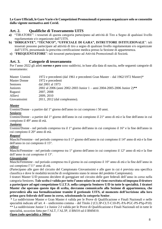#### **Le Gare Ufficiali, le Gare Varie e le Competizioni Promozionali si possono organizzare solo se consentite dalla vigente normativa anti Covid.**

# **Art. 2. Qualifiche di Tesseramento UITS**

- **a)** "TIRATORE": i tesserati di questa categoria partecipano ad attività di Tiro a Segno di qualsiasi livello regolamentate e/o organizzate dall'UITS.
- **b)** "**DIRIGENTE", "TECNICO", "UFFICIALE DI GARA", ISTRUTTORE ISTITUZIONALE**": tali tesserati possono partecipare ad attività di tiro a segno di qualsiasi livello regolamentate e/o organizzate dall'UITS, presentando la prescritta certificazione medica presso la Sezione di appartenenza.
- **c)** "**FREQUENTATORE**": tali tesserati partecipano ad Attività Promozionali di Società.

#### **Art. 3. Categorie di tesseramento**

Per l'anno 2022 gli atleti *normo e para* sono suddivisi, in base alla data di nascita, nelle seguenti categorie di tesseramento:

| Master Uomini       | 1972 e precedenti (dal 1961 e precedenti Gran Master – dal 1962/1972 Master)* |
|---------------------|-------------------------------------------------------------------------------|
| <b>Master Donne</b> | 1972 e precedenti                                                             |
| <b>Seniores</b>     | dal 2001 al 1973                                                              |
| Juniores            | 2002 al 2006 (anni 2002-2003 Junior 1 - anni 2004-2005-2006 Junior $2^{**}$   |
| Ragazzi             | 2007, 2008                                                                    |
| Allievi             | 2009, 2010                                                                    |
| Giovanissimi        | 2011, 2012 (dal compleanno).                                                  |

#### *Master*

Uomini/Donne - a partire dal 1° giorno dell'anno in cui compiono i 50 anni.

#### *Seniores*

Uomini/Donne - a partire dal 1° giorno dell'anno in cui compiono il 21° anno di età e la fine dell'anno in cui compiono il 49° anno di età.

#### *Juniores*

Uomini/Donne - nel periodo compreso tra il 1° giorno dell'anno in cui compiono il 16° e la fine dell'anno in cui compiono il 20° anno di età.

#### *Ragazzi*

Maschi/Femmine - nel periodo compreso tra il 1° giorno dell'anno in cui compiono il 14° anno di età e la fine dell'anno in cui compiono il 15°.

#### *Allievi*

Maschi/Femmine - nel periodo compreso tra 1° giorno dell'anno in cui compiono il 12° anno di età e la fine dell'anno in cui compiono il 13°.

#### *Giovanissimi*

Maschi/Femmine - nel periodo compreso tra il giorno in cui compiono il 10° anno di età e la fine dell'anno in cui compiono l'11° anno di età.

(Partecipano alle gare del circuito del Campionato Giovanissimi e alle gare in cui è prevista una specifica classifica e dove le modalità tecniche di svolgimento siano le stesse del predetto Campionato).

I tiratori Master U/D possono decidere di gareggiare nel circuito delle gare federali dell'anno in corso nella categoria Seniores. **Tale scelta è valida per tutto l'anno solare in cui viene esercitata ed impegna il tiratore a partecipare ad ogni competizione U.I.T.S. nella categoria Seniores U/D in tutte le specialità. I tiratori Master che operano questo tipo di scelta, dovranno comunicarlo alla Sezione di appartenenza, che provvederà alla sua formalizzazione tramite il gestionale UITS, al momento dell'iscrizione alla loro prima gara federale dell'anno in corso, selezionando la categoria Senior**.

\* La suddivisione Master e Gran Master è valida per le Prove di Qualificazione e Finali Nazionali e nelle specialità indicate all'art. 4 – undicesimo comma – del Titolo 2 (CL3P-CLT-C10-PL-PA-PGC-PS-PSp-P10) \*\* La suddivisione Junior 1 e Junior 2 è valida per le Prove di Qualificazione e Finali Nazionali ed in tutte le specialità, eccezion fatta per l'ALT, l'AL3P, il BM10 ed il BMM10.

#### **Open (solo specialità a 300m)**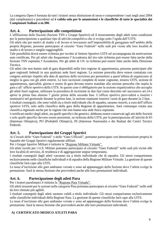La categoria Open è formata da tutti i tiratori senza distinzione di sesso e comprendente i nati negli anni 2004 (dal compleanno) e precedenti ed **è valida solo per le ammissioni e le classifiche di tutte le specialità dei Campionati Italiani a m.300.**

# **Art. 4. Partecipazione alle competizioni**

L'affiliazione delle Società (Sezioni TSN e Gruppi Sportivi) ed il tesseramento degli atleti sono condizioni per la partecipazione a qualsiasi tipo di attività competitiva che si svolga sotto l'egida dell'UITS.

Gli atleti che per motivi di studio o di lavoro si trovassero nell'impossibilità di gareggiare nell'ambito della propria Regione, possono partecipare al circuito "Gare Federali" nelle sedi più vicine alle loro località di studio o di lavoro o meglio raggiungibili.

Tale possibilità dovrà essere richiesta per iscritto al Settore Sportivo UITS ed accompagnata da motivazione auto certificata. Per gli atleti che frequentano l'Accademia del tiro tale richiesta può essere fatta anche dalla Sezione TSN ospitante l'Accademia. Per gli atleti di I.N. la richiesta può essere fatta anche dalla Direzione Tecnica.

Gli atleti che non hanno sedi di gara disponibili nella loro regione di appartenenza, possono partecipare alle gare regionali federali in una qualsiasi sede fuori regione. La sezione prescelta deve essere contattata con congruo anticipo rispetto alla data di apertura delle iscrizioni per permettere a quest'ultima di organizzare al meglio la gara con gli atleti esterni. Le loro iscrizioni complete di nome cognome, tessera UITS, sezione di appartenenza, specialità, giorno e orario di gara devono essere mandate alla sezione prescelta che ospita la gara e all' ufficio sportivo della UITS. In questo caso è obbligatorio per la sezione organizzatrice che accoglie gli atleti fuori regione, utilizzare la procedura di iscrizione in due fasi come descritto nel successivo art.14 e aprire la prima fase almeno 7 giorni prima della seconda fase. L'ufficio sportivo provvederà a inserire i nominativi nel gestionale durante la prima fase, la sezione ospitante inserirà i turni di gara durante la 2 fase.

I risultati conseguiti, che sono validi sia a titolo individuale che di squadra, saranno inseriti, a cura dell'ufficio sportivo UITS, solo nella classifica della gara della Regione di appartenenza. Sarà comunque creata una classifica regionale anche per le regioni che non hanno una sede fisica ospitante.

I certificati medici degli atleti, sia quelli specifici che generici*,* debbono essere conservati agli atti delle Società e solo quelli specifici devono essere presentati, su richiesta della UITS, per la partecipazione all'attività di IO (Interesse Olimpico), PO (Probabili Olimpici), IN (Interesse Nazionale) e dei Raduni dei Centri Tecnici Federali.

# **Art. 5. Partecipazione dei Gruppi Sportivi**

Ai Circuiti delle "Gare Federali" e delle "Gare Ufficiali", potranno partecipare con denominazione propria le Squadre dei Gruppi Sportivi regolarmente affiliati.

Per i Gruppi Sportivi Militari è istituita la "Regione Militare Virtuale".

Gli atleti iscritti per i G.S. Militari potranno partecipare al circuito "Gare Federali" nelle sedi più vicine alle loro località di servizio, di residenza e di aggregazione seppur temporanea.

I risultati conseguiti dagli atleti varranno sia a titolo individuale che di squadra. Gli stessi compariranno esclusivamente nelle classifiche individuali e di squadra della Regione Militare Virtuale. La gestione di queste classifiche farà capo alla UITS.

Le tasse d'iscrizione alle gare andranno versate e sono ad appannaggio della Sezione dove l'atleta svolge la prestazione. Sarà la stessa Sezione che provvederà anche alle loro premiazioni individuali.

# **Art. 6. Partecipazione degli atleti Para**

Per i tiratori paralimpici è istituita la "Regione Para Virtuale".

Gli atleti tesserati per le sezioni nella categoria Para potranno partecipare al circuito "Gare Federali" nelle sedi da loro ritenute più agibili.

I risultati conseguiti dagli atleti saranno validi a titolo individuale. Gli stessi compariranno esclusivamente nelle classifiche individuali della Regione Para. La gestione di queste classifiche farà capo alla UITS.

Le tasse d'iscrizione alle gare andranno versate e sono ad appannaggio della Sezione dove l'atleta svolge la prestazione. Sarà la stessa Sezione che provvederà anche alle loro premiazioni individuali.

# **A) CERTIFICATO MEDICO ATLETI PARA**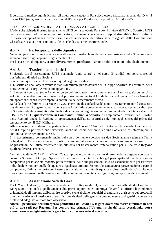Il certificato medico agonistico per gli atleti della categoria Para deve essere rilasciato ai sensi del D.M. 4 marzo 1993 (integrato dalla dichiarazione dell'atleta per l'epilessia, "appendice 10 Epilessia")

# B) CLASSIFICAZIONE DEGLI ATLETI DELLA CATEGORIA PARA

L'atleta che richiede il primo tesseramento UITS per la categoria Para dovrà inviare all'Ufficio Sportivo UITS per il successivo inoltro al tecnico Classificatore, documenti che attestano il tipo di disabilità al fine di definire la classe di appartenenza provvisoria. La classificazione definitiva sarà assegnata dalla Commissione Classificatrice alla prima riunione utile in sede di visita medica/funzionale.

# **Art. 7. Partecipazione delle Squadre**

Nelle competizioni in cui è prevista una attività di Squadra, le modalità di composizione delle Squadre stesse saranno fissate dagli appositi Regolamenti del PSF.

Per la classifica di Squadra, **se non diversamente specificato,** saranno validi i risultati individuali ottenuti.

# **Art. 8. Trasferimento di atleti**

Si ricorda che il tesseramento UITS è annuale (anno solare) e nel corso di validità non sono consentiti trasferimenti di atleti tra Società.

Sono comunque previste le eccezioni qui di seguito riportate:

1. L'iscritto ad una Società avente lo status di militare può tesserarsi per il Gruppo Sportivo, se costituito, della Forza Armata o Corpo Armato cui appartiene.

2. Il tesserato per una Società che nel corso dell'anno sportivo assume lo status di militare, sia per servizio volontario che effettivo, può trasferire il proprio tesseramento al GS della Forza Armata o Corpo Armato a cui appartiene, senza interrompere la continuità del tesseramento stesso.

Dalla data di trasferimento da Società a G.S., che coincide con la data del nuovo tesseramento, non è consentita più alcuna attività di gare federali con la Società cui l'atleta precedentemente apparteneva. Restano validi, per la Società cedente, i risultati individuali e di squadra conseguiti sino a quel momento dall'atleta a valersi sul CIS, CRS e GPG**, qualificazione ai Campionati Italiani a Squadre** e Campionato d'Inverno. Per il Trofeo delle Regioni, anche la Regione di appartenenza dell'atleta usufruisce dei punteggi conseguiti prima del tesseramento con il G.S. Militare..

Alla cessazione dello status di appartenente alle FF.AA. o ai CC.AA. dello Stato l'atleta cessa dal tesseramento per il Gruppo Sportivo e può trasferirlo, anche nel corso dell'anno, ad una Società senza interrompere la continuità del tesseramento stesso.

3. Il trasferimento consensuale anche nel corso dell'anno sportivo tra due Società, una cedente e l'altra richiedente, e l'atleta interessato. Il trasferimento non interrompe la continuità del tesseramento stesso.

Le prestazioni dell'atleta effettuate sino alla data del trasferimento restano valide per la Società **e Regione qualora diverse,** cedente.

Nell'attività delle "GARE FEDERALI", a campionato già iniziato e sino al termine della stagione sportiva in corso, la Società o il Gruppo Sportivo che acquisisce l'atleta che abbia già partecipato ad una delle gare di campionato per la società cedente*,* potrà avvalersi delle sue prestazioni solo ed esclusivamente per l'attività individuale e non per quella di squadra di qualsiasi circuito. Se non v'è stata alcuna partecipazione a gare di campionato, l'atleta trasferito potrà essere utilizzato nell'attività di squadra esclusa quella del CRS che non può subire variazioni nella formazione delle compagini presentata per ogni stagione sportiva di riferimento.

# **Art. 9. Assegnazione Sedi di Gara**

Per le "Gare Federali", l'organizzazione delle Prove Regionali di Qualificazione sarà affidata dai Comitati o Delegazioni Regionali a quelle Società che, previa opportuna ed inderogabile verifica, offrono le condizioni di idoneità degli impianti adibiti al tiro sportivo e che abbiano i requisiti di garanzia e di rispetto dei protocolli di organizzazione, di gestione e di trasmissione risultati della gara che devono essere tutti gestiti da personale titolato ed adeguato al ruolo loro assegnato.

**Atteso il perdurare dell'emergenza pandemica da Covid-19, le gare dovranno essere effettuate in non più di due sedi per Regione. Per comprovate esigenze l'Unione, in via del tutto eccezionale, potrà autorizzare lo svolgimento della gara in una ulteriore sede al massimo.**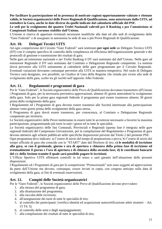**Per facilitare la partecipazione ed in presenza di motivate ragioni opportunamente valutate e ritenute valide, le Società organizzatrici delle Prove Regionali di Qualificazione, sono autorizzate dalla UITS, ad estendere la Gara, anche in date diverse da quelle indicate dal calendario ufficiale del PSF.**

**Le sedi per lo svolgimento dei quattro Trofei Nazionali valevoli per il Ranking e per l'ammissione ai Campionati Italiani saranno stabilite dall'Unione.**

L'Unione si riserva di apportare eventuali necessarie modifiche alle date ed alle sedi di svolgimento delle "Gare Federali" e di assegnare in autonomia la sede di una o più Prove Regionali di Qualificazione.

# **Art. 10. Delegati Tecnici UITS**

Ad ogni competizione del Circuito "Gare Federali" sarà nominato **per ogni sede** un Delegato Tecnico UITS (DT) con il compito specifico di controllo della completezza ed efficienza dell'organizzazione generale e dei protocolli di gestione e trasmissione dei risultati di gara.

Nelle gare ad estensione nazionale e nei Trofei Ranking il DT sarà nominato dal dall'Unione. Nelle gare ad estensione Regionale il DT sarà nominato dal Comitato o Delegazione Regionale competente. La nomina dovrà pervenire alla UITS unitamente al calendario delle gare programmate per il Circuito Regionale. Eventuali variazioni dovranno comunque pervenire alla UITS in maniera tempestiva. Nel ruolo di Delegato Tecnico sarà designato, ove possibile, un Giudice di Gara della Regione che risieda più vicino alla sede di svolgimento della gara, scelto tra gli iscritti nell'apposito Albo Federale.

# **Art. 11. Regolamenti e programmi di gara**

Per le "Gare Federali", le Società organizzatrici delle Prove di Qualificazione dovranno trasmettere all'Unione i Programmi di gara, per la necessaria preventiva approvazione, almeno 45 giorni antecedenti lo svolgimento della gara. Solo per la prima gara regionale federale il programma può essere trasmesso almeno 30 giorni prima dello svolgimento della gara.

I Regolamenti ed i Programmi di gara devono essere trasmessi alle Società interessate alla partecipazione almeno venti giorni prima dello svolgimento della gara stessa.

Il Programma di gara dovrà essere trasmesso, per conoscenza, al Comitato o Delegazione Regionale competente per territorio.

Le Società organizzatrici delle Prove metteranno in essere tutte le accortezze necessarie a favorire la massima partecipazione, programmando più turni in tutti i giorni ed in tutte le specialità.

Le Società organizzatrici delle fasi Comunali, Provinciali e Regionali (questa fase è integrata nelle gare regionali federali) del Campionato Giovanissimi, per la compilazione del Regolamento e Programma di gara devono attenersi agli schemi pubblicati nelle specifiche disposizioni previste dal Titolo 2 del presente PSF*.*

Ogni programma deve indicare: a) l'orario di inizio del tempo di preparazione e prova; b) l'orario di inizio del tempo ufficiale di gara che coincide con lo "START" dato dal Direttore di tiro; **c) le modalità di iscrizione alla gara, se con il gestionale, giorno e ora di apertura e chiusura della prima fase di iscrizione ed eventualmente il giorno e l'ora di apertura e di chiusura della seconda fase; d) le coordinate bancarie del c/c della Sezione tramite il quale sarà possibile pagare le iscrizioni.**

L'Ufficio Sportivo UITS effettuerà controlli in tal senso e sarà garante dell'attuazione delle presenti disposizioni.

I Regolamenti ed i Programmi di gara per le competizioni "Promozionali" non sono soggetti ad approvazione da parte dell'Unione ma devono, comunque, essere inviati in copia, con congruo anticipo sulla data di svolgimento della gara, ai fini di eventuali osservazioni.

# **Art. 12. Compiti delle Società organizzatrici**

Per le "Gare Federali", le Società organizzatrici delle Prove di Qualificazione devono provvedere:

- 1. alla stesura del programma di gara;
- 2. alla diramazione del programma;
- 3. alla raccolta delle iscrizioni;
- 4. all'assegnazione dei turni di tutte le specialità di tiro;
- 5. al controllo dei partecipanti: (verifica identità ed acquisizione autocertificazione atleti stranieri Art. 15 Tit. I);
- 6. al controllo delle armi e degli equipaggiamenti;
- 7. alla compilazione dei risultati di tutte le specialità di tiro;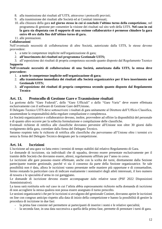- 8. alla trasmissione dei risultati all'UITS, attraverso i protocolli previsti;
- 9. alla trasmissione dei risultati alle Società ed ai Comitati interessati;
- 10. alla chiusura della gara **nel giorno stesso in cui si conclude l'ultimo turno della competizione**, nel programma di gestione per consentire la visione dei risultati sul sito web della UITS. **Nel caso in cui la gara sia disputata con il supporto di una sezione collaboratrice è permesso chiudere la gara entro 48 ore dalla fine dell'ultimo turno di gara.**

11. alle premiazioni.

#### **Collaborazioni**

Nell'eventuale necessità di collaborazione di altre Società, autorizzate dalla UITS, le stesse devono provvedere:

- 1. a tutte le competenze implicite nell'organizzazione di gara;
- 2. **all'inserimento dei risultati nel programma Gestionale UITS;**
- 3. all'esposizione dei risultati di propria competenza secondo quanto disposto dal Regolamento Tecnico **Supporto**

#### **Nell'eventuale necessità di collaborazione di una Società, autorizzata dalla UITS, la stessa deve provvedere:**

- 1. **a tutte le competenze implicite nell'organizzazione di gara;**
- 2. **alla trasmissione immediata dei risultati alla Società organizzatrice per il loro inserimento nel Gestionale UITS;**
- 3. **all'esposizione dei risultati di propria competenza secondo quanto disposto dal Regolamento Tecnico**

#### **Art. 13. Protocollo di Gestione Gare e Trasmissione risultati**

La gestione delle "Gare Federali", delle "Gare Ufficiali" e delle "Gare Varie" deve essere effettuata esclusivamente con il software di Gestione Gare dell'Unione**.**

Il Delegato Tecnico UITS deve sottoscrivere i risultati di gara unitamente al Direttore dell'Ufficio Classifica, assumendone la responsabilità della regolare compilazione e completezza.

Le Società organizzatrice e collaboratrice devono, inoltre, provvedere ad offrire la disponibilità del personale e di quanto altro occorre per la sollecita formulazione e compilazione delle classifiche.

Eventuali richieste di rettifica alle classifiche dovranno pervenire all'Unione non oltre 30 giorni dallo svolgimento della gara, corredate dalla firma del Delegato Tecnico.

Saranno respinte tutte le richieste di rettifica alle classifiche che perverranno all'Unione oltre i termini e/o senza la firma del Delegato Tecnico designato per la competizione.

#### **Art. 14. Iscrizioni**

L'iscrizione ad una gara va fatta entro i termini di tempo stabiliti dal relativo Regolamento di Gara.

Le domande di iscrizione, sia individuali che di squadra, devono essere presentate esclusivamente per il tramite delle Società che dovranno essere, altresì, regolarmente affiliate per l'anno in corso.

Le iscrizioni alle gare possono essere effettuate, anche con la scelta dei turni, direttamente dalla Sezione partecipante tramite gestionale, purché vi sia il consenso da parte della Sezione organizzatrice. Se tale possibilità non è data, allora le iscrizioni vanno presentate nelle maniere più opportune e di consuetudine, fermo restando la particolare cura di indicare esattamente i nominativi degli atleti interessati, il loro numero di tessera e le specialità d'arma in cui gareggiano.

Le domande di iscrizione devono essere accompagnate dalle relative tasse (PSF 2022 Disposizioni Amministrative).

La tassa sarà restituita solo nel caso in cui l'atleta abbia espressamente richiesto nella domanda di iscrizione di non accogliere la stessa qualora non possa essere assegnato il turno prescelto.

Le sezioni organizzatrici che per le iscrizioni si avvalgono del gestionale Coninet, dovranno aprire le iscrizioni on line con congruo anticipo rispetto alla data di inizio della competizione e hanno la possibilità di gestire la procedura di iscrizione in due fasi:

- la prima fase consiste nel permettere ai partecipanti di inserire i nomi e le relative specialità;
- la seconda fase, in una data successiva a quella della prima fase, permette di prenotare i turni di gara.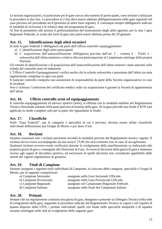Le sezioni organizzatrici, in particolare per le gare con un alto numero di partecipanti, sono invitate a utilizzare la procedura in due fasi. La procedura in 2 fasi deve essere adottata obbligatoriamente nelle gare regionali nel caso previsto nel precedente art.4 (presenza di atleti fuori regione). È comunque sempre obbligatorio indicare le modalità di iscrizione e le relative date nel programma di gara.

Al fine di permettere alle sezioni il perfezionamento del tesseramento degli atleti agonisti, per la sola 1 gara Regionale Federale, la scelta dei turni di gara non potrà essere abilitata prima del 20 gennaio.

# **Art. 15. Identificazione degli atleti stranieri**

In tutte le gare Federali è obbligatorio da parte dell'ufficio controllo equipaggiamenti:

- a) L'identificazione degli atleti partecipanti
- b) L' acquisizione dell'autocertificazione obbligatoria prevista dall'art. 2 comma 4 Titolo 2 sottoscritta dall'atleta straniero e relativa alla non partecipazione al Campionato omologo della propria Nazione.

Gli estremi di identificazione e di acquisizione dell'autocertificazione dell'atleta stranieri vanno annotati sulla scheda del controllo armi ed indumenti.

L'Ufficio Controllo Equipaggiamenti verifica anche che la scheda sottoscritta e presentata dall'atleta sia stata regolarmente compilata in ogni sua parte.

Il mancato controllo comporta una assunzione di responsabilità da parte della Società organizzatrice in caso di incidenti

Non è richiesta l'esibizione del certificato medico sulla cui acquisizione è garante la Società di appartenenza dell'atleta.

## **Art. 16. Ufficio controllo armi ed equipaggiamento**

Il controllo equipaggiamenti ed attrezzi sportivi (armi), si effettua con le modalità stabilite nel Regolamento Tecnico Nazionale soltanto nella parte prevista al termine della gara. Se la gara prevede una finale il RTN sarà applicato in modo completo solo per la parte che riguardante la finale.

#### **Art. 17. Classifiche**

Nelle "Gare Federali", per le categorie e specialità in cui è previsto, devono essere stilate classifiche individuali differenziate per Gruppi di Merito o per fasce d'età.

#### **Art. 18. Reclami**

Saranno esaminati solo i reclami presentati secondo le modalità previste dal Regolamento tecnico vigente. Il reclamo dovrà essere accompagnato da una tassa  $\epsilon$  25,00 che sarà restituita solo in caso di accoglimento. Qualsiasi reclamo avverso eventi verificatisi durante lo svolgimento della manifestazione va indirizzato alla preposta giuria di gara e consegnati alla Direzione di Gara. Avverso le decisioni della giuria di gara è ammesso ricorso agli organi di disciplina sportiva, ad esclusione di quelle decisioni non considerate appellabili dalle norme del vigente regolamento di giustizia.

# **Art. 19. Titoli di Campione**

Saranno assegnati i seguenti titoli individuali di Campione, in ciascuna delle categorie, specialità e Gruppi di Merito, per le seguenti competizioni:

- a) Campione Sezionale: assegnato nella Gara Sezionale Ufficiale.
- b) Campione Provinciale: assegnato nella Gara Provinciale Ufficiale.
- c) Campione Regionale: assegnato nel Campionato Regionale Federale.
- d) Campione Italiano: assegnato nelle finali dei Campionati Italiani.

# **Art. 20. Primati**

Sempre che sia regolarmente costituita una giuria di gara, designato e presente un Delegato Tecnico nella sede di svolgimento della gara, seguendo le procedure indicate dal Regolamento Tecnico in vigore e nel rispetto di quanto disposto dalla UITS, i primati individuali, quelli con finale nelle specialità olimpiche e di squadra saranno omologati nelle sedi di svolgimento delle seguenti gare: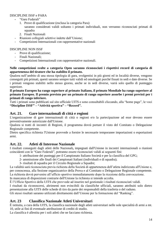#### DISCIPLINE ISSF e PARA

- "Gare Federali"
	- 1. Prove di qualificazione (esclusa la categoria Para) saranno considerati validi soltanto i primati individuali, non verranno riconosciuti primati di squadra
	- 2. Finali Nazionali
- Riunioni collegiali selettive indette dall'Unione:
- Competizioni Internazionali con rappresentative nazionali

#### DISCIPLINE NON ISSF

- Prove di qualificazione;
- Finali Nazionali;
- Competizioni Internazionali con rappresentative nazionali.

#### **Nelle competizioni svolte a categoria Open saranno riconosciuti i rispettivi record di categoria di appartenenza del tiratore che ha stabilito il primato.**

Qualora nell'ambito di una stessa tipologia di gara, svolgentisi in più giorni ed in località diverse, vengono conseguiti più primati, questi saranno sempre tutti validi ed omologati purché fissati in sedi e date diverse. Se i primati vengono stabiliti nello stesso giorno, anche se in sedi diverse, varrà solo quello di punteggio superiore.

#### **Il primato Europeo ha rango superiore al primato Italiano, il primato Mondiale ha rango superiore al primato Europeo. Il premio previsto per un primato di rango superiore assorbe i premi previsti per i primati di rango inferiore.**

Tutti i primati sono pubblicati sul sito ufficiale UITS e sono consultabili cliccando, alla "home page", le voci **"Discipline ISSF" – "Attività sportiva" – "Record".**

### **Art. 21. Gare internazionali di città e regioni**

L'organizzazione di gare internazionali di città o regioni e/o la partecipazione ad esse devono essere preventivamente autorizzate dall'Unione.

Qualora si tratti di incontri di Regioni, il programma dovrà portare il visto del Comitato o Delegazione Regionale competente.

Dietro specifica richiesta l'Unione provvede a fornire le necessarie temporanee importazioni o esportazioni armi.

# **Art. 22. Atleti di Interesse Nazionale**

I risultati conseguiti dagli atleti delle Nazionali*,* impegnati dall'Unione in incontri internazionali o riunioni coincidenti con le "Gare Federali", potranno essere riconosciuti validi ai seguenti fini:

- 1- attribuzione dei punteggi per il Campionato Italiano Società e per la classifica del GPG;
- 2- ammissione alle finali dei Campionati Italiani (individuali e di squadra);
- 3- risultati di squadra per il Circuito Regionale a Squadre;

La validità sarà riconosciuta previa richiesta della Società di appartenenza dell'atleta indirizzata all'Unione e, per conoscenza, alla Sezione organizzatrice della Prova e al Comitato o Delegazione Regionale competente. La richiesta dovrà pervenire all'ufficio sportivo immediatamente dopo la ricezione della convocazione. In mancanza di disposizioni contrarie dell'Unione la richiesta si intende accolta.

È l'Ufficio Sportivo della UITS che provvede ad inserire nel gestionale i risultati riconosciuti validi.

I risultati da riconoscersi, altrimenti non evincibili da classifiche ufficiali, saranno attribuiti solo dietro presentazione alla UITS delle schede di tiro da parte dei responsabili della trasferta o del raduno.

Gli stessi risultati saranno utilizzati direttamente dall'Unione per la formazione del "Ranking".

# **Art. 23 Classifica Nazionale Atleti Universitari**

È istituita, a cura della UITS, la classifica nazionale degli atleti universitari nelle sole specialità di armi a mt. 10, utile ai fini di eventuale attribuzione di crediti di studio.

La classifica è allestita per i soli atleti che ne facciano richiesta.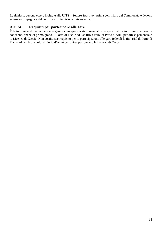Le richieste devono essere inoltrate alla UITS – Settore Sportivo - prima dell'inizio del Campionato e devono essere accompagnate dal certificato di iscrizione universitaria.

# **Art. 24 Requisiti per partecipare alle gare**

È fatto divieto di partecipare alle gare a chiunque sia stato revocato o sospeso, all'esito di una sentenza di condanna, anche di primo grado, il Porto di Fucile ad uso tiro a volo, di Porto d'Armi per difesa personale o la Licenza di Caccia. Non costituisce requisito per la partecipazione alle gare federali la titolarità di Porto di Fucile ad uso tiro a volo, di Porto d'Armi per difesa personale o la Licenza di Caccia.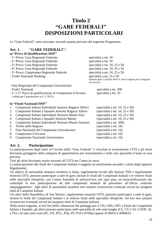# **Titolo 2 "GARE FEDERALI" DISPOSIZIONI PARTICOLARI**

Le "Gare Federali" sono articolate secondo quanto previsto dal seguente Programma.

# **Art. 1. "GARE FEDERALI":**

|                            | a) "Prove di Qualificazione ISSF"                                                                   |                                                                                                              |  |  |
|----------------------------|-----------------------------------------------------------------------------------------------------|--------------------------------------------------------------------------------------------------------------|--|--|
|                            | - 1^ Prova: Gara Regionale Federale                                                                 | specialità a mt. 10                                                                                          |  |  |
|                            | - 2^ Prova: Gara Regionale Federale                                                                 | specialità a mt. 10                                                                                          |  |  |
|                            | - 3^ Prova: Gara Regionale Federale                                                                 | specialità a mt. 10, 25 e 50                                                                                 |  |  |
|                            | - 4^ Prova: Gara Regionale Federale                                                                 | specialità a mt. 10, 25 e 50                                                                                 |  |  |
|                            | - 5^ Prova: Campionato Regionale Federale                                                           | specialità a mt. 10, 25 e 50                                                                                 |  |  |
| - Trofei Nazionali Ranking |                                                                                                     | specialità a mt. 25 e 50<br>(Quattro gare. I risultati della 4^ prova valgono per la stagione<br>successiva) |  |  |
|                            | - Fase Regionale del Campionato Giovanissimi                                                        |                                                                                                              |  |  |
|                            | - Trofei Nazionali                                                                                  | specialità a mt. 300                                                                                         |  |  |
|                            | - 1^ e 2^ Prova di qualificazione al Campionato d'Inverno<br>(valida per l'ammissione ai C.I. 2023) | specialità a mt. 10                                                                                          |  |  |
|                            | b) "Finali Nazionali ISSF"                                                                          |                                                                                                              |  |  |
| 1.                         | Campionati Italiani Individuali Juniores Ragazzi Allievi                                            | (specialità a mt. $10$ , $25$ e $50$ )                                                                       |  |  |
| 2.                         | Campionati Italiani a Squadre Juniores Ragazzi Allievi                                              | (specialità a mt. $10$ , $25$ e $50$ )                                                                       |  |  |
| 3.                         | Campionati Italiani Individuali Seniores Master Para                                                | (specialità a mt. $10$ , $25$ e $50$ )                                                                       |  |  |
| 4.                         | Campionati Italiani a Squadre Seniores Master                                                       | (specialità a mt. 10, 25 e 50)                                                                               |  |  |
| 5.                         | Campionati Italiani Individuali Seniores Master Juniores                                            | (specialità a mt. 300)                                                                                       |  |  |
| 6.                         | Trofeo delle Regioni                                                                                | (specialità a mt. 10)                                                                                        |  |  |
| 7.                         | Fase Nazionale del Campionato Giovanissimi                                                          | (specialità a mt. 10)                                                                                        |  |  |
| 8.                         | Campionato d'Inverno                                                                                | (specialità a mt. 10)                                                                                        |  |  |
| 9.                         | Campionato Nazionale Universitario                                                                  | (specialità a mt. 10)                                                                                        |  |  |

#### **Art. 2. Partecipazione**

La partecipazione degli atleti al Circuito delle "Gare Federali" è vincolata al tesseramento UITS e gli stessi dovranno gareggiare nella categoria di appartenenza per tesseramento e nelle sole specialità d'arma in essa previste.

Tutti gli atleti dovranno essere tesserati all'UITS per l'anno in corso.

La partecipazione alle finali dei Campionati Italiani è soggetta ad ammissione secondo i criteri degli appositi Regolamenti.

Gli atleti/e di nazionalità straniera residenti in Italia, regolarmente iscritti alle Sezioni TSN e regolarmente tesserati UITS, possono partecipare a tutte le gare, incluse le finali dei Campionati Italiani e le relative finali nelle specialità olimpiche, con l'unica formalità di sottoscrivere, per ogni gara, un'autocertificazione che contempli la non partecipazione ad altri campionati stranieri da presentare all'ufficio controllo equipaggiamenti. Agli atleti di nazionalità straniera non saranno riconosciuti eventuali record né assegnati titoli di Campioni Italiani.

Gli atleti della Repubblica di San Marino, regolarmente tesserati UITS, possono partecipare a tutte le gare, incluse le finali dei Campionati Italiani e le relative finali nelle specialità olimpiche. Ad essi non saranno riconosciuti eventuali record né assegnati titoli di Campione Italiano.

Nella stessa stagione, ai soli fini della valutazione dei punteggi per il CIS, CRS, GPG e Finali dei Campionati Italiani a Squadre, gli atleti possono partecipare nelle specialità di sole armi lunghe (CL, CS, C10, C103P, AL e FS) o di sole armi corte (PL, PA, PGC, PSp, PS, P10 e P10Sp) oppure di BM10 e BMM10.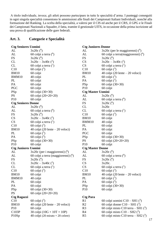A titolo individuale, invece, gli atleti possono partecipare in tutte le specialità d'arma. I punteggi conseguiti in ogni singola specialità consentono le ammissioni alle finali dei Campionati Italiani Individuali, nonché alla formazione del Ranking. La scelta della specialità, a valersi per il CIS ed anche per il CRS, il GPG e le Finali dei Campionati Nazionali a Squadre, è fatta, tramite il gestionale UITS, in occasione della prima iscrizione ad una prova di qualificazione delle gare federali.

# **Art. 3. Categorie e Specialità**

| <b>Ctg Seniores Uomini</b> |                                                    | <b>Ctg Juniores Donne</b> |                                                   |  |
|----------------------------|----------------------------------------------------|---------------------------|---------------------------------------------------|--|
| AL                         | $3x20c^{6}$                                        | AL                        | $3x20c$ (per le maggiorenni) ( <sup>6</sup> )     |  |
| AL                         | 60 colpi a terra $(6)$                             | AL                        | 60 colpi a terra(maggiorenni) $(°)$               |  |
| <b>FS</b>                  | $3x20c^{6}$                                        | <b>FS</b>                 | $3x20c^{6}$                                       |  |
| CL                         | $3x20c - 3x40c$ <sup>(2</sup> )                    | <b>CS</b>                 | $3x20c - 3x40c$ <sup>(2</sup> )                   |  |
| CL                         | 60 colpi a terra $(^1)$                            | CS                        | 60 colpi a terra $(^1)$                           |  |
| C10                        | 60 colpi $(3)$                                     | C10                       | 60 colpi $(3)$                                    |  |
| <b>BM10</b>                | 60 colpi                                           | <b>BM10</b>               | 40 colpi (20 lente $-$ 20 veloci)                 |  |
| BMM10                      | 40 colpi                                           | PL                        | 60 colpi $(5)$                                    |  |
| PL                         | 60 colpi                                           | PA                        | 60 colpi $(5)$                                    |  |
| PA                         | 60 colpi                                           | PSp                       | 60 colpi $(30+30)$                                |  |
| <b>PGC</b>                 | 60 colpi                                           | P <sub>10</sub>           | 60 colpi                                          |  |
| PSp                        | 60 colpi $(30+30)$                                 | <b>Ctg Master Uomini</b>  |                                                   |  |
| <b>PS</b>                  | 60 colpi $(20+20+20)$                              | AL                        | $3x20c^{6}$                                       |  |
| P10                        | 60 colpi                                           | AL                        | 60 colpi a terra $(6)$                            |  |
| <b>Ctg Seniores Donne</b>  |                                                    | <b>FS</b>                 | $3x20c^{6}$                                       |  |
| AL                         | $3x20c^{6}$                                        | CL                        | 3x20c                                             |  |
| AL                         | 60 colpi a terra $(6)$                             | CL                        | 60 colpi a terra $(^1)$                           |  |
| <b>FS</b>                  | 3x20c(6)                                           | C10                       | 60 colpi $(3)$                                    |  |
| CS                         | $3x20c - 3x40c$ <sup>(2)</sup>                     | <b>BM10</b>               | 60 colpi                                          |  |
| CS                         | 60 colpi a terra $(^1)$                            | BMM10                     | 40 colpi                                          |  |
| C10                        | 60 colpi $(3)$                                     | PL                        | 60 colpi                                          |  |
| <b>BM10</b>                | 40 colpi (20 lente $-$ 20 veloci)                  | PA                        | 60 colpi                                          |  |
| PL                         | 60 colpi $(5)$                                     | PGC                       | 60 colpi                                          |  |
| PA                         | 60 colpi $(5)$                                     | PSp                       | 60 colpi $(30+30)$                                |  |
| PSp                        | 60 colpi $(30+30)$                                 | <b>PS</b>                 | 60 colpi $(20+20+20)$                             |  |
| P10                        | 60 colpi                                           | P10                       | 60 colpi                                          |  |
| <b>Ctg Juniores Uomini</b> |                                                    | <b>Ctg Master Donne</b>   |                                                   |  |
| AL                         | $3x20c$ (per i maggiorenni) ( <sup>6</sup> )       | AL                        | $3x20c^{6}$                                       |  |
| AL                         | 60 colpi a terra (maggiorenni) $(6)$               | AL                        | $60$ colpi a terra $(6)$                          |  |
| $\mathop{\rm FS}\nolimits$ | $3x20c^{6}$                                        | <b>FS</b>                 | $3x20c^{6}$                                       |  |
| CL                         | $3x20c - 3x40c$ ( <sup>2</sup> )                   | CS                        | 3x20c.                                            |  |
| CL                         | 60 colpi a terra $(^1)$                            | CS                        | 60 colpi a terra $\binom{1}{1}$                   |  |
| C10                        | 60 colpi $(3)$                                     | C10                       | 60 colpi $(3)$                                    |  |
| <b>BM10</b>                | 60 colpi                                           | <b>BM10</b>               | 40 colpi $(20 \text{ lente} - 20 \text{ veloci})$ |  |
| BMM10                      | 40 colpi                                           | PL                        | $60$ colpi $(°)$                                  |  |
| PL                         | 60 colpi                                           | PA                        | 60 colpi $(5)$                                    |  |
| PA                         | 60 colpi                                           | PSp                       | 60 colpi $(30+30)$                                |  |
| PSp                        | 60 colpi (30+30)                                   | P <sub>10</sub>           | 60 colpi                                          |  |
| <b>PS</b>                  | 60 colpi $(20+20+20)$                              |                           |                                                   |  |
| <b>Ctg Ragazzi</b>         |                                                    | <b>Ctg Para</b>           |                                                   |  |
| C10                        | 60 colpi $(3)$                                     | R1                        | 60 colpi uomini $C10 - SH1$ ( <sup>3</sup> )      |  |
| <b>BM10</b>                | 40 colpi (20 lente $-$ 20 veloci)                  | R <sub>2</sub>            | 60 colpi donne $C10 - SH1$ ( <sup>3</sup> )       |  |
| P10                        | 60 colpi                                           | R <sub>3</sub>            | 60 colpi misto C10 terra – SH1 $(3)$              |  |
| C103P                      | 30 colpi $(10G + 10T + 10P)$                       | R <sub>4</sub>            | 60 colpi misto $C10 - SH2$ ( <sup>3</sup> )       |  |
| P10Sp                      | 40 colpi $(20 \text{ mirato} + 20 \text{ celere})$ | R <sub>5</sub>            | 60 colpi misto C10 terra – SH2 $(3)$              |  |
|                            |                                                    |                           |                                                   |  |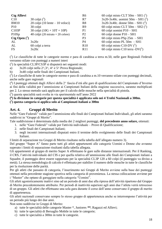| <b>Ctg Allievi</b> |                                   | R6             | 60 colpi misto CLT 50m – SH1 $(^1)$               |
|--------------------|-----------------------------------|----------------|---------------------------------------------------|
| C10                | 30 colpi $(3)$                    | R7             | $3x20-3x40c$ . uomini 50m – SH1 ( <sup>2</sup> )  |
| <b>BM10</b>        | $20$ colpi (10 lente – 10 veloci) | R8             | $3x20-3x40c$ . donne $50m - SH1$ ( <sup>2</sup> ) |
| <b>P10</b>         | 30 colpi                          | R <sub>9</sub> | 60 colpi misto CLT 50m – SH2 $(^1)$               |
| C103P              | 30 colpi $(10G + 10T + 10P)$      | P <sub>1</sub> | 60 colpi uomini $P10 - SH1$                       |
| P10Sp              | 40 colpi (20 mirato + 20 celere)  | P <sub>2</sub> | 60 colpi donne $P10 - SH1$                        |
| Ctg Open $(7)$     |                                   | P3             | 60 colpi misto PSp $25m - SH1$                    |
| AL                 | 3x20c                             | P4             | 60 colpi misto PL $50m - SH1$                     |
| AL                 | 60 colpi a terra                  | R10            | 60 colpi misto C10-DV $(5)$                       |
| <b>FS</b>          | 3x20c                             | R11            | 60 colpi misto C10 terra - $DV(5)$                |

( 1 ) Le classifiche di tutte le categorie normo e para di carabina a terra m.50, nelle gare Regionali Federali verranno stilate con punteggi a numeri interi

( 2 ) la specialità CL3P/CS3P si disputerà nei seguenti modi:

- a)  $3x20$  colpi nella  $2^{\wedge}, 3^{\wedge}, 4^{\wedge}$  e 5<sup> $\wedge$ </sup> Prova Regionale;
- b) 3x40 colpi nelle finali dei Campionati Italiani.

 $(3)$  Le classifiche di tutte le categorie normo e para di carabina a m.10 verranno stilate con punteggi decimali, anche nelle gare regionali

( 4 ) I punteggi ottenuti dagli Allievi della 2^ fascia d'età alle gare di qualificazione del Campionato d'Inverno ai fini della validità per l'ammissione ai Campionati Italiani della stagione successiva, saranno moltiplicati per 2. Lo stesso metodo sarà applicato per il calcolo delle mouche nella specialità di pistola.

( 5 ) questa specialità sarà svolta in via sperimentale nell'anno 2022

**( 6 ) la divisione in categorie per questa specialità è applicata solo nei 4 Trofei Nazionali a 300m.**

**( 7 ) questa categoria si applica solo ai Campionati italiani a 300m**

#### **Art. 4. Gruppi di Merito**

Nelle "Gare Federali" valide per l'ammissione alle finali dei Campionati Italiani Individuali, gli atleti saranno suddivisi in "Gruppi di Merito".

Tale suddivisione è determinata dalla media dei 2 migliori punteggi, **del precedente anno solare,** ottenuti:

- 1. nelle "Gare Federali" valide per l'attività individuale Prove di Qualificazione;
- 2. nelle finali dei Campionati Italiani;
- 3. negli incontri internazionali disputati entro il termine dello svolgimento delle finali dei Campionati Italiani.

I limiti di separazione tra Gruppi di Merito risultano nella tabella dell'allegato numero 3).

Del gruppo "Super A" fanno parte tutti gli atleti appartenenti alle categorie Uomini e Donne che avranno superato i limiti di separazione risultanti dalla tabella allegata.

Gli appartenenti al gruppo di merito Super A effettuano le gare sulle distanze internazionali. Per il Ranking, il CRS, l'attività individuale del CIS e per quella relativa all'ammissione alle finali dei Campionati italiani a Squadre, il punteggio deve essere rapportato per la specialità CL3P 120 a 60 colpi (il punteggio va diviso a metà). La stessa metodologia di calcolo è effettuata per stabilire il numero delle mouche in tutte le classifiche per la risoluzione delle parità.

Per gli atleti che passano di categoria, l'inserimento nei Gruppi di Merito avviene sulla base dei punteggi ottenuti nella precedente stagione sportiva nella categoria di provenienza. La stessa collocazione avviene per i "Master" che optano di gareggiare nella categoria "Uomini".

Gli atleti agonisticamente inattivi sino ad un periodo di anni due alla ripresa dell'attività ripartono dal Gruppo di Merito precedentemente attribuito. Per periodi di inattività superiore agli anni due l'atleta verrà retrocesso di un gruppo. Gli atleti che effettuano una sola gara durante il corso dell'anno conservano il gruppo di merito di appartenenza.

Gli atleti nazionali conservano sempre lo stesso gruppo di appartenenza anche se interrompono l'attività per un periodo più lungo dei due anni.

Non sono suddivise in Gruppi di Merito:

- a) tutte le specialità delle categorie Master \*, Juniores *\*\**, Ragazzi ed Allievi;
- b) tutte le specialità di Bersaglio Mobile in tutte le categorie;
- c) tutte le specialità a 300m in tutte le categorie.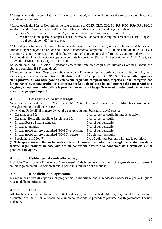L'assegnazione dei rispettivi Gruppi di Merito agli atleti*,* oltre che riportata sul sito*,* sarà comunicata alle Società in tempo utile.

\* La categoria dei Master Uomini, per le sole specialità di **CL3P,** CLT, C10, PL, **PA,** PGC, **PSp,** PS e P10, è suddivisa in due Gruppi per fasce d'età (Gran Master e Master) così come di seguito indicato:

- a) Gran Master: i nati a partire dal 1° giorno dell'anno in cui compiono i 61 anni di età;
- b) Master: i nati nel periodo compreso dal 1° giorno dell'anno in cui compiono i 50 anni e la fine di quello in cui compiono il 60° anno di età;

\*\* La categoria Juniores (Uomini e Donne) è suddivisa in due fasce di età (Junior 1 e Junior 2). Alla Fascia 1 (Junior 1) appartengono coloro che nell'anno di riferimento compiono il 19° e il 20° anno di età. Alla Fascia 2 (Junior 2) appartengono tutti gli altri che, sempre nello stesso anno di riferimento, compiono il 16°, 17° e 18° anno di età. La suddivisione è operante per tutte le specialità d'arma, fatta eccezione per ALT, AL3P, FS, il BM10, il BMM10 (solo JU), PL JD, PA JD.

Le specialità di ALT, AL3P e FS possono essere praticate solo dagli atleti Juniores Uomini e Donne che abbiano compiuto il 18° anno di età.

L'Unione Italiana Tiro a Segno, su indicazione della Direzione Tecnica, stilerà un elenco di atleti che, nelle gare di qualificazione, devono tirare sulla distanza dei 120 colpi nella CL3P/CS3P. **Questi atleti, qualora siano juniores o Para nelle gare ad estensione regionale compariranno, rispetto ai pari categoria che fanno i 60 colpi, in una graduatoria separata per la quale nel caso in cui il numero dei concorrenti non raggiunga il numero minimo di tre la premiazione non avrà luogo. Se trattasi di atleti Seniores verranno inseriti nel gruppo Super A.**

# **Art. 5. Bersagli e colpi sui bersagli**

Nelle competizioni dei Circuiti "Gare Federali" e "Gare Ufficiali" devono essere utilizzati esclusivamente bersagli omologati dall'UITS o ISSF.

Nelle "Gare Federali" il numero dei colpi da sparare su ogni bersaglio, dovrà essere:

- Carabine a m 50: 1 colpo per bersaglio in tutte le posizioni
- Carabine, Bersaglio mobile e Pistole a m 10: 1 colpo per bersaglio
- Pistola libera e Pistola standard: 5 colpi per bersaglio
- 
- Pistola grosso calibro e standard  $(30+30)$ : precisione 5 colpi per bersaglio;
- Pistola grosso calibro e standard  $(30+30)$ : celere 35 colpi per bersaglio
- 
- Pistola automatica: 7 colpi per bersaglio
- Specialità a m 300: (\*) 5 o 10 colpi per bersaglio in tutte le posizioni

**(\*)Nelle specialità a 300m su bersagli cartacei, il numero dei colpi per bersaglio sarà stabilito dalla sezione organizzatrice in base alle attuali condizioni dovute alla pandemia da Coronavirus e ai protocolli in vigore.**

# **Art. 6. Calibri per il controllo bersagli**

L'Ufficio Classifica e la Direzione di Tiro a metri 25 delle Società organizzatrici le gare, devono disporre di calibri regolamentari, ivi compresi quelli per la misurazione delle mouche.

# **Art. 7. Modifiche al programma**

L'Unione si riserva di apportare al programma le modifiche che si rendessero necessarie per la migliore riuscita delle manifestazioni.

# **Art. 8. Finali**

Alle finali dei Campionati Italiani, per tutte le categorie, escluse quelle dei Master, Ragazzi ed Allievi, saranno disputate le "Finali" per le Specialità Olimpiche, secondo le procedure previste dal Regolamento Tecnico Federale.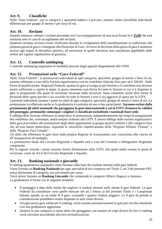# **Art. 9. Classifiche**

Nelle "Gare Federali", per le categorie e specialità laddove è previsto, saranno stilate classifiche individuali differenziate per gruppi di merito e per fasce di età.

# **Art. 10. Reclami**

Saranno ammessi soltanto i reclami presentati con l'accompagnamento di una tassa fissata in € **25,00** che sarà restituita solo in caso di accoglimento del reclamo.

Qualsiasi reclamo avverso eventi verificatisi durante lo svolgimento della manifestazione va indirizzato alla preposta giuria di gara e consegnati alla Direzione di Gara. Avverso le decisioni della giuria di gara è ammesso ricorso agli organi di disciplina sportiva, ad esclusione di quelle decisioni non considerate appellabili dalle norme del vigente regolamento di giustizia.

#### **Art. 11. Controllo antidoping**

I controlli antidoping seguiranno le modalità previste dagli appositi Regolamenti del CONI.

#### **Art. 12. Premiazioni nelle "Gare Federali"**

Nelle "Gare Federali", le premiazioni individuali di ogni categoria, specialità, gruppo di merito e fasce di età, saranno effettuate a cura della Società organizzatrice con un contributo federale fisso pari ad € 200,00. Nelle Prove di qualificazione Regionali Federali, qualora la gara si svolga su più Sezioni e il contributo non dovesse essere sufficiente a coprire le spese, la quota rimanente sarà divisa fra tutte le Sezioni in cui si è disputata la gara in proporzione alle quote di iscrizione incassate dalle iscrizioni. Sono consentite anche altre forme di divisione delle spese purché ci sia accordo fra tutte le Sezioni e non ci sia aggravio di spesa per la UITS.

I premiati individuali saranno i primi tre atleti di ogni categoria, specialità, gruppo di merito e fasce di età. La premiazione va effettuata anche se la graduatoria è costituita da uno o due partecipanti. **Saranno esclusi dalla premiazione gli atleti nazionali che gareggiano in gare internazionali a cui la UITS riconosce la validità del punteggio, premiando comunque i migliori 3 classificati escludendo i nazionali fuori sede.**

È obbligo della Sezione effettuare in tempi brevi le premiazioni, indipendentemente dai tempi di assegnazione del contributo che, comunque, andrà sempre richiesto alla UITS. È altresì obbligo delle sezioni organizzatrici della gara provvedere alle premiazioni degli atleti appartenenti ai gruppi sportivi militari e alle categorie Para che ad essa hanno partecipato, seguendo le classifiche rispettivamente della "Regione Militare Virtuale" e della "Regione Para Virtuale".

Gli atleti che effettuano le gare fuori dalla propria Regione di tesseramento non concorrono alla vincita ed all'assegnazione di medaglie

La premiazione finale del Circuito Regionale a Squadre sarà a cura del Comitato o Delegazione Regionale competente.

Per la regione virtuale i premi saranno forniti direttamente dalla UITS, alla quale andrà versata la quota di iscrizione, come da Art.6 del Circuito Regionale a Squadre.

#### **Art. 13. Ranking nazionale e giovanile**

Il ranking (graduatoria nazionale) viene formato sulla base dei risultati ottenuti nelle gare federali.

Viene formato un **Ranking Nazionale** per ogni specialità di tiro compresa nel Titolo 2, art.3 del presente PSF, senza distinzione di categoria, ma unicamente per sesso.

Verrà altresì formato un **Ranking Giovanile** che comprende le categorie Allievi, Ragazzi e Juniores. La graduatoria si forma con le seguenti modalità:

- Il punteggio è dato dalla media dei migliori 4 risultati ottenuti nelle ultime 8 gare federali. Le gare Federali da considerare sono quelle elencate nel art.1 lettera a) del presente Titolo e i Campionati Italiani; quindi, su un totale di 8 gare, scartando i quattro risultati peggiori. Le 8 gare da prende in considerazione potrebbero essere disputate in anni solari diversi.
- Ad ogni nuova gara valida per il ranking, verrà scartata automaticamente la gara più vecchia ottenendo così una graduatoria aggiornata.
- Qualora in una categoria ci siano atleti che gareggiano con numero di colpi diversi fra loro il ranking verrà calcolato procedendo alla loro normalizzazione.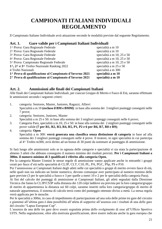# **CAMPIONATI ITALIANI INDIVIDUALI REGOLAMENTO**

Il Campionato Italiano Individuale avrà attuazione secondo le modalità previste dal seguente Regolamento.

#### **Art. 1. Gare valide per i Campionati Italiani Individuali**

| 1^ Prova di qualificazione al Campionato d'Inverno 2021<br>2^ Prova di qualificazione al Campionato d'Inverno 2021 | specialità a m 10<br>specialità a m 10 |
|--------------------------------------------------------------------------------------------------------------------|----------------------------------------|
| 4 Trofei Nazionali                                                                                                 | specialità a m 300                     |
| 1 <sup>1</sup> , 2 <sup>1</sup> e 3 <sup>1</sup> Trofeo Nazionale Ranking 2022                                     | specialità a m 25 e 50                 |
| 5^ Prova: Campionato Regionale Federale                                                                            | specialità a m 10, 25 e 50             |
| 4^ Prova: Gara Regionale Federale                                                                                  | specialità a m 10, 25 e 50             |
| 3^ Prova: Gara Regionale Federale                                                                                  | specialità a m 10, 25 e 50             |
| 2^ Prova: Gara Regionale Federale                                                                                  | specialità a m 10                      |
| 1^ Prova: Gara Regionale Federale                                                                                  | specialità a m 10                      |

#### **Art. 2. Ammissioni alle finali dei Campionati Italiani**

Alle finali dei Campionati Italiani Individuali, per ciascun Gruppo di Merito e Fasce di Età, saranno effettuate le ammissioni secondo i seguenti criteri:

- 1. categoria: Seniores*,* Master, Juniores, Ragazzi, Allievi Specialità a m 10 **(escluso il BM e BMM)**: in base alla somma dei 3 migliori punteggi conseguiti nelle 7 prove;
- 2. categoria: Seniores, Juniores, Master
- Specialità a m 25 e 50: in base alla somma dei 3 migliori punteggi conseguiti nelle 6 prove;
- 3. Categoria Para, specialità a m.10, 25 e 50: in base alla somma dei 2 migliori punteggi conseguiti nelle prove valide **(7 per R1, R2, R3, R4, R5, P1, P2 e 6 per R6, R7, R8 e R9)**;

4. categoria: **Open**

Specialità a m 300: **verrà generata una classifica senza distinzione di categoria** in base ad alla somma dei 3 migliori punteggi conseguiti nelle 4 prove. Il tiratore, in ogni specialità in cui partecipa al 4^ Trofeo m300, avrà diritto ad un bonus di 30 punti da sommare al punteggio di ammissione.

Si farà luogo alle ammissioni solo se in ognuna delle categorie e specialità vi sia stata la partecipazione di almeno 3 atleti che abbiano conseguito il numero minimo dei risultati previsti. **Per i Campionati Italiani a 300m. il numero minimo di 3 qualificati è riferito alla categoria Open.**

Per la categoria Master Uomini le stesse regole di ammissione vanno applicate anche in entrambi i gruppi creati per fasce d'età nelle specialità di CL3P, CLT, C10, PL, PA, PGC, PSp, PS e P10.

Per l'ammissione ai Campionati Italiani degli atleti nelle cui specialità o gruppi di merito ovvero fasce di età, nelle quali non sia indicato un limite numerico, devono comunque aver partecipato al numero minimo delle gare previste (3 per le specialità a fuoco e 3 per quelle a metri 10 e 2 per le specialità della categoria Para).

Ai fini del calcolo dei punteggi di ammissione ai Campionati Italiani, gli atleti segnalati dalla Direzione Tecnica che fanno la CL3P/CS3P sulla distanza dei 120 colpi laddove sia prevista per la loro categoria/gruppo di merito di appartenenza la distanza sui 60 colpi, saranno inseriti nella loro categoria/gruppo di merito di naturale appartenenza, il sistema di calcolo terrà conto del punteggio ottenuto diviso a metà. La stessa regola verrà applicata per le mouche.

Per le specialità a 300m, in caso di impedimento di partecipazione ad una sola delle prime tre gare del circuito e giammai all'ultima gara è data possibilità all'atleta di sopperire all'assenza con i risultati di una delle gare del circuito "Lapua European Cup".

L'assenza da una delle tre gare deve essere segnalata prima dello svolgimento di esse all'Ufficio Sportivo UITS. Nella segnalazione, oltre alla motivata giustificazione, deve essere indicata anche la gara europea che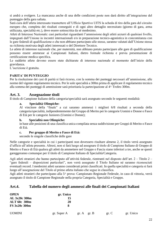si andrà a svolgere. La mancanza anche di una delle condizioni poste non darà diritto all'integrazione del punteggio della gara saltata.

Sarà cura dell'atleta interessato trasmettere all'Ufficio Sportivo UITS la scheda di tiro della gara del circuito europeo che, completa dei risultati conseguiti e di ogni altro dettaglio necessitato (giorno di gara, arma utilizzata, specialità etc.), deve essere sottoscritta da sé medesimo.

Atleti di Interesse Nazionale: casi particolari riguardanti l'ammissione degli atleti azzurri di qualsiasi livello, impegnati dall'Unione in incontri internazionali e/o in preparazione tecnico-agonistica in concomitanza con le gare federali di qualificazione o che non abbiano partecipato alle stesse, saranno valutati dall'Unione stessa su richiesta motivata degli atleti interessati o del Direttore Tecnico.

Le atlete di interesse nazionale che, per maternità, non abbiano potuto partecipare alle gare di qualificazione possono essere ammesse ai Campionati Italiani, dietro formale richiesta e previa presentazione di certificazione medica specifica.

Le suddette atlete devono essere state dichiarate di interesse nazionale al momento dell'inizio della gravidanza.

L'iscrizione è gratuita.

#### **PARITA' DI PUNTEGGIO**

Per la risoluzione dei casi di parità si farà ricorso, con la somma dei punteggi necessari all'ammissione, alle norme del vigente regolamento tecnico. Per le sole specialità a 300m prima di applicare il regolamento tecnico alla somma dei punteggi di ammissione sarà prioritaria la partecipazione al 4^ Trofeo 300m.

#### **Art. 3. Assegnazione titoli**

Il titolo di Campione Italiano della categoria/specialità sarà assegnato secondo le seguenti modalità:

#### **a. Specialità Olimpiche:**

Al vincitore della "finale" a cui saranno ammessi i migliori 6/8 risultati a seconda della categoria/specialità, indipendentemente dal Gruppo di Merito per le categorie Uomini e Donne o Fasce di Età per le categorie Juniores (Uomini e Donne);

#### **b. Specialità non Olimpiche:**

in base alle posizioni di una classifica unica compilata senza suddivisione per Gruppi di Merito o Fasce di Età.

#### **c. Per gruppo di Merito o Fasce di Età:**

secondo le singole classifiche delle gare

Nelle categorie e specialità in cui i partecipanti non dovessero risultare almeno 2, il titolo verrà assegnato d'ufficio all'atleta presente. Altresì, non si farà luogo ad assegnare il titolo di Campione Italiano di Gruppo di Merito o Fasce di Età qualora gli atleti da ammettere nel Gruppo o Fascia siano inferiori a tre, anche se questi gareggeranno comunque per il titolo di Campione Italiano di Specialità/Categoria.

Agli atleti stranieri che hanno partecipato all'attività federale, rientranti nel disposto dell'art. 2 – Titolo 2 – "gare federali – disposizioni particolari", non verrà assegnato il Titolo Italiano né saranno riconosciuti eventuali record. I medesimi atleti saranno considerati primi classificati. In quella specialità e categoria si farà luogo all'assegnazione del Titolo al primo atleta italiano che segue in classifica.

Agli atleti stranieri che partecipano alla 5^ prova: Campionato Regionale Federale, in caso di vittoria, verrà assegnato il titolo di Campione Regionale nella propria Categoria, Specialità e Gruppo.

#### **Art.4. Tabella del numero degli ammessi alle finali dei Campionati Italiani**

| <b>OPEN</b>          | gr. Unico |
|----------------------|-----------|
| AL 3x20c 300m        | 15        |
| <b>ALT 60c 300m</b>  | 20        |
| <b>FS 3x20c 300m</b> | х         |

| <b>UOMINI</b> | gr. Super A | gr. A gr. B | gr. C | gr. Unico |
|---------------|-------------|-------------|-------|-----------|
|               |             |             |       |           |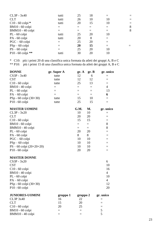| CL3P - 3x40          | tutti | 25 | 18 |    |     |
|----------------------|-------|----|----|----|-----|
| <b>CLT</b>           | tutti | 26 | 10 | 10 | $=$ |
| $C10 - 60$ colpi $*$ | tutti | 20 | 15 | 10 | $=$ |
| BM10 - 60 colpi      |       |    |    |    | 8   |
| BMM10 - 40 colpi     |       |    |    |    | 8   |
| PL - 60 colpi        | tutti | 25 | 20 | 10 |     |
| PA - 60 colpi        | tutti | 20 | 8  |    |     |
| $PGC - 60$ colpi     |       | 25 | 20 |    |     |
| $PSp-60$ colpi       |       | 20 | 15 |    |     |
| $PS - 60$ colpi      |       | 25 | 20 | 10 |     |
| $P10 - 60$ colpi **  | tutti | 30 | 20 | 10 |     |
|                      |       |    |    |    |     |

\* C10: più i primi 20 di una classifica unica formata da atleti dei gruppi A, B e C \*\* P10: più i primi 15 di una classifica unica formata da atleti dei gruppi A, B e C

| <b>DONNE</b>             | gr. Super A | gr. A    | gr. B | gr. unico      |
|--------------------------|-------------|----------|-------|----------------|
| CS3P - 3x40              | tutte       | 12       | 6     | $=$            |
| <b>CST</b>               | tutte       | 12       | 12    | $=$            |
| C10 - 60 colpi           | tutte       | 25       | 13    | $=$            |
| BM10 - 40 colpi          | $=$         | $=$      | $=$   | $\overline{4}$ |
| $PL - 60$ colpi          | $=$         | $=$      | $=$   | 13             |
| $PA - 60$ colpi          | $=$         | $=$      | $=$   | 6              |
| PSp - 60 colpi (30+30)   | tutte       | 15       | 10    | $=$            |
| P10 - 60 colpi           | tutte       | 25       | 15    | $=$            |
| <b>MASTER UOMINI</b>     |             | G.M.     | M.    | gr. unico      |
| CL3P - 3x20              |             | 10       | 10    | $=$            |
| <b>CLT</b>               |             | 20       | 20    | $=$            |
| C10 - 60 colpi           |             | 15       | 15    | $=$            |
| BM10 - 60 colpi          |             | $=$      | $=$   | 8              |
| BMM10 - 40 colpi         |             | $=$      | $=$   | 8              |
| PL - 60 colpi            |             | 20       | 20    | $=$            |
| PA - 60 colpi            |             | 8        | 8     | $=$            |
| $PGC - 60$ colpi         |             | 10       | 10    | $=$            |
| $PSp-60$ colpi           |             | 10       | 10    | $=$            |
| PS - 60 colpi (20+20+20) |             | 10       | 10    | $=$            |
| P10 - 60 colpi           |             | 20       | 20    | $=$            |
| <b>MASTER DONNE</b>      |             |          |       |                |
| $CS3P - 3x20$            |             |          |       | 6              |
| <b>CST</b>               |             |          |       | 10             |
| C10 - 60 colpi           |             |          |       | 16             |
| BM10 - 40 colpi          |             |          |       | $\overline{4}$ |
| PL - 60 colpi            |             |          |       | 10             |
| $PA - 60$ colpi          |             |          |       | $\overline{4}$ |
| PSp - 60 colpi (30+30)   |             |          |       | 12             |
| P10 - 60 colpi           |             |          |       | 20             |
| <b>JUNIORES-UOMINI</b>   | gruppo 1    | gruppo 2 |       | gr. unico      |
| <b>CL3P 3x40</b>         | 16          | 22       |       | $=$            |
| <b>CLT</b>               | 15          | 20       |       | $=$            |

 $C10 - 60$  colpi 20 25  $=$  $BM10 - 60$  colpi  $=$   $=$  5  $BMM10 - 40$  colpi =  $=$  5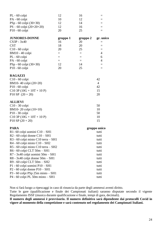| PL - 60 colpi                                                                                                                    | 12       | 16       |           |
|----------------------------------------------------------------------------------------------------------------------------------|----------|----------|-----------|
| PA - 60 colpi                                                                                                                    | 10       | 12       |           |
| PSp - 60 colpi (30+30)                                                                                                           | 12       | 14       | $=$       |
| $PS - 60$ colpi $(20+20+20)$                                                                                                     | 12       | 16       | $=$       |
| $P10 - 60$ colpi                                                                                                                 | 20       | 25       | $=$       |
| <b>JUNIORES-DONNE</b>                                                                                                            | gruppo 1 | gruppo 2 | gr. unico |
| $CS3P - 3x40$                                                                                                                    | 16       | 20       |           |
| <b>CST</b>                                                                                                                       | 18       | 20       |           |
| $C10 - 60$ colpi                                                                                                                 | 20       | 25       |           |
| BM10 - 40 colpi                                                                                                                  | $=$      | $=$      | 4         |
| PL - 60 colpi                                                                                                                    | $=$      | $=$      | 6         |
| PA - 60 colpi                                                                                                                    | $=$      | $=$      | 4         |
| $PSp - 60$ colpi $(30+30)$                                                                                                       | 12       | 14       |           |
| $P10 - 60$ colpi                                                                                                                 | 20       | 25       |           |
| <b>RAGAZZI</b>                                                                                                                   |          |          |           |
| $C10 - 60$ colpi                                                                                                                 |          |          | 42        |
| $\mathbf{D} \mathbf{M}$ 10 $\mathbf{A} \mathbf{A}$ $\mathbf{A}$ $\mathbf{A}$ $\mathbf{A}$ $\mathbf{A}$ $\mathbf{A}$ $\mathbf{A}$ |          |          | $\Lambda$ |

| 42 |
|----|
| 15 |
| 20 |
|    |
|    |

#### **ALLIEVI**

| $C10 - 30$ colpi            | 50 |
|-----------------------------|----|
| BM10-20 colpi $(10+10)$     | 10 |
| $P10 - 30$ colpi            | 50 |
| $C10$ 3P (10G + 10T + 10 P) | 10 |
| $P10 SP (20 + 20)$          | 15 |

#### **PARA gruppo unico**

|                                       | 8- - r r - --- |
|---------------------------------------|----------------|
| $R1 - 60$ colpi uomini $C10 - SH1$    | tutti          |
| $R2 - 60$ colpi donne $C10 - SH1$     | tutti          |
| $R3 - 60$ colpi misto C10 terra – SH1 | tutti          |
| $R4 - 60$ colpi misto $C10 - SH2$     | tutti          |
| R5 - 60 colpi misto C10 terra – SH2   | tutti          |
| R6 - 60 colpi CLT 50m - SH1           | tutti          |
| $R7 - 3x40$ colpi uomini $50m - SH1$  | tutti          |
| $R8 - 3x40$ colpi donne $50m - SH1$   | tutti          |
| $R9 - 60$ colpi CLT $50m - SH2$       | tutti          |
| $P1 - 60$ colpi uomini $P10 - SH1$    | tutti          |
| $P2 - 60$ colpi donne $P10 - SH1$     | tutti          |
| $P3 - 60$ colpi $PSp$ 25m misto – SH1 | tutti          |
| $P4 - 60$ colpi PL 50m misto $- S H1$ | tutti          |
|                                       |                |

Non si farà luogo a ripescaggi in caso di rinuncia da parte degli ammessi aventi diritto.

Tutte le gare (qualificazione e finale dei Campionati italiani) saranno disputate secondo il vigente Regolamento ISSF (musica durante qualificazione e finale, tempi di gara, decimali).

**Il numero degli ammessi è provvisorio. Il numero definitivo sarà dipendente dai protocolli Covid in vigore al momento della competizione e sarà contenuto nel regolamento dei Campionati Italiani.**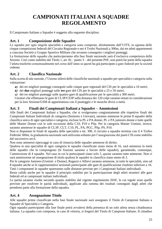# **CAMPIONATI ITALIANI A SQUADRE REGOLAMENTO**

Il Campionato Italiano a Squadre è soggetto alla seguente disciplina:

# **Art. 1 Composizione delle Squadre**

Le squadre per ogni singola specialità e categoria sono composte, direttamente dall'UITS, in ognuna delle cinque competizioni federali del Circuito Regionale o nei 4 Trofei Nazionali a 300m, dai tre atleti appartenenti a ciascuna Società o Gruppo Sportivo Militare che avranno conseguito i migliori punteggi.

La formazione delle squadre che parteciperanno alla fase finale nazionale sarà d'esclusiva competenza delle Sezioni. Così come stabilito dal Titolo 1, art. 8) – punto 3 – del presente PSF, non potrà far parte della squadra l'atleta trasferito consensualmente nel corso dell'anno se questi ha già partecipato a gare federali per la società cedente.

# **Art. 2 Classifica Nazionale**

Sulla scorta di tale metodo, l'Unione stilerà delle classifiche nazionali a squadre per specialità e categoria sulla valutazione:

- **a)** dei tre migliori punteggi conseguiti sulle cinque gare regionali del CIS per le specialità a 10 metri;
- **b)** dei **due** migliori punteggi sulle **tre** gare del CIS per le specialità a 25 e 50 metri;
- **c)** dei tre migliori punteggi sulle quattro gare di qualificazione per le specialità a 300 metri.

I tiratori che effettuano le gare di CL3P/CS3P sulla distanza dei 120 colpi saranno tenuti in considerazione per la loro Sezione/GSM di appartenenza con il punteggio e le mouche divisi a metà.

## **Art. 3 Finali dei Campionati Italiani a Squadre – Ammissioni**

Alle finali dei Campionati Italiani a Squadre, che si svolgeranno congiuntamente alle rispettive finali dei Campionati Italiani Individuali di categoria (Seniores e Giovani), saranno ammesse le prime 8 squadre della classifica unica di ogni specialità e categoria, escluse la PL e PA donne, PL e PA juniores donne e tutte quelle delle Master Donne con le sole eccezioni della C10, P10 e PSp. Per la categoria Master Uomini, invece, saranno ammesse le squadre di CL3P, CLT, C10, PL, PA, PGC, PSp, PS, P10.

Non si disputano le finali di squadra delle specialità a mt. 300, il circuito a squadre termina con il 4 Trofeo Federale 300m, la graduatoria nazionale sarà utilizzata soltanto per l'assegnazione dei punti CIS come stabilito dal successivo art.6.

Non sono ammessi ripescaggi in caso di rinuncia delle squadre ammesse di diritto.

Qualora in una specialità di ogni categoria le squadre classificate siano meno di 16, sarà ammessa la metà delle squadre che la compongono (le frazioni saranno a favore delle squadre), garantendo, comunque, l'ammissione di 4 squadre. Nel caso in cui le partecipanti siano solo 3, queste saranno tutte ammesse. Non ci sarà ammissione né assegnazione di titolo qualora le squadre in classifica siano meno di 3.

Per le categorie Juniores (Uomini e Donne), Ragazzi e Allievi saranno ammesse, in tutte le specialità, sino ad 8 squadre anche se le rappresentative sezionali partecipanti alle gare di qualificazione risultino inferiore a 16. Tutti i componenti le squadre spareranno sulle distanze previste per i Campionati Italiani individuali.

Resta valido anche per le squadre il principio stabilito per la partecipazione degli atleti stranieri alle gare federali ed ai campionati italiani individuali.

Le parità saranno risolte secondo quanto stabilito dal vigente regolamento ISSF, le cui regole sono quelle previste per risolvere le parità individuali, applicate alla somma dei risultati conseguiti dagli atleti che prendono parte alla formazione della squadra.

# **Art. 4 Assegnazione Titolo**

Alle squadre prime classificate nella fase finale nazionale sarà assegnato il Titolo di Campione Italiano a Squadre di Specialità e Categoria.

Ogni squadra partecipante alla fase finale potrà avvalersi della presenza di un solo atleta senza cittadinanza italiana. La squadra così composta, in caso di vittoria, si fregerà del Titolo di Campione Italiano. Il cittadino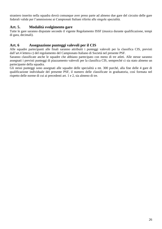straniero inserito nella squadra dovrà comunque aver preso parte ad almeno due gare del circuito delle gare federali valide per l'ammissione ai Campionati Italiani riferite alle singole specialità.

## **Art. 5. Modalità svolgimento gare**

Tutte le gare saranno disputate secondo il vigente Regolamento ISSF (musica durante qualificazione, tempi di gara, decimali).

# **Art. 6 Assegnazione punteggi valevoli per il CIS**

Alle squadre partecipanti alle finali saranno attribuiti i punteggi valevoli per la classifica CIS, previsti dall'art.4 lettera c) del regolamento del Campionato Italiano di Società nel presente PSF.

Saranno classificate anche le squadre che abbiano partecipato con meno di tre atleti. Alle stesse saranno assegnati i previsti punteggi di piazzamento valevoli per la classifica CIS, sempreché ci sia stato almeno un partecipante della squadra.

Gli stessi punteggi sono assegnati alle squadre delle specialità a mt. 300 purché, alla fine delle 4 gare di qualificazione individuale del presente PSF, il numero delle classificate in graduatoria, così formata nel rispetto delle norme di cui ai precedenti art. 1 e 2, sia almeno di tre.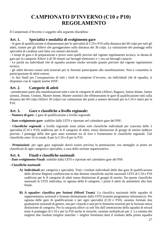# **CAMPIONATO D'INVERNO (C10 e P10) REGOLAMENTO**

Il Campionato d'Inverno è soggetto alla seguente disciplina:

# **Art. 1. Specialità e modalità di svolgimento gare**

– le gare di qualificazione si disputeranno per le specialità di C10 e P10 sulla distanza dei 60 colpi per tutti gli atleti, tranne per gli Allievi che gareggeranno sulla distanza dei 30 colpi. La valutazione dei punteggi nella specialità di carabina sarà fatta con numeri decimali.

- I tempi di gara e di preparazione e prove sono quelli previsti dal vigente regolamento tecnico, la durata di gara per la categoria Allievi è di 50 minuti sui bersagli elettronici e 1 ora sui bersagli cartacei.

- Le parità sia individuali che di squadra saranno risolte secondo quanto previsto dal vigente regolamento tecnico.

- gli atleti devono essere tutti tesserati per la Sezione partecipante alla manifestazione. Non è consentita la partecipazione di atleti esterni.

- le fasi finali per l'assegnazione di tutti i titoli di campioni d'inverno, sia individuali che di squadra, si disputano con le vigenti norme ISSF;

# **Art. 2. Categorie di atleti**

- prenderanno parte alla manifestazione tutte e otto le categorie di atleti (Allievi, Ragazzi, Junior donne, Junior uomini, Donne, Uomini, Master donne, Master uomini) che effettueranno le gare di qualificazione tutti sulla distanza dei 60 colpi (Allievi 30 colpi) con valutazione dei punti a numeri decimali per la C10 e interi per la P10.

# **Art. 3. Gare e classifiche a livello regionale:**

*-* **Numero di gare**: 2 gare di qualificazione a livello regionale

*-* **Date svolgimento gare**: stabilite dalla UITS e riportate nel calendario gare del PSF;

- **Classifiche regionali**: a livello regionale sono stilate solo classifiche individuali per ciascuna delle 2 specialità (C10 e P10) suddivise per le 8 categorie di atleti, senza distinzione di gruppi di merito laddove previsti. I punteggi delle due gare sono sommati tra di loro e formeranno le classifiche regionali. Tali classifiche sono 16 in totale, 8 per la C10 e 8 per la P10.

- **Premiazioni**: per ogni gara regionale dovrà essere prevista la premiazione con medaglie ai primi tre classificati di ogni categoria e specialità, a cura della sezione organizzatrice.

#### **Art. 4. Finali e classifiche nazionali**

**- Date svolgimento Finali**: stabilite dalla UITS e riportate nel calendario gare del PSF.

- **- Classifiche nazionali**:
	- **A) Individuali** per categoria e specialità: Tutti i risultati individuali delle due gare di qualificazione delle diverse Regioni confluiscono in due distinte classifiche uniche nazionali UITS di C10 e P10 suddivise per le 8 categorie di atleti senza distinzione di gruppi di merito. Da queste classifiche nazionali la UITS individua, in ognuna delle 8 categorie, i primi 6 atleti da ammettere alla fase finale.
	- **B) A squadre: classifica per Sezioni (Mixed Team)***:* La classifica nazionale delle squadre di rappresentanza sezionali è formata direttamente dalla UITS (tramite programma informatico). Per ognuna delle gare di qualificazione e per ogni specialità (C10 e P10), saranno formate due graduatorie sezionali di genere, una per i maschi e una per le femmine tesserati per la Sezione senza distinzione di categoria. Per la categoria allievi ai soli fini dell'ammissione della squadra di mixed team il punteggio di C10 e per la P10 anche le mouche, saranno moltiplicati per 2. La somma dei migliori due risultati (miglior maschio + miglior femmina) darà il risultato della prima squadra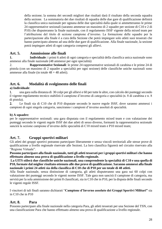della sezione; la somma dei secondi migliori due risultati darà il risultato della seconda squadra della sezione. La sommatoria dei due risultati di squadra delle due gare di qualificazione definirà la classifica unica nazionale per ognuna delle due specialità dalla quale si ammetteranno le prime 24 rappresentative sezionali (saranno ammesse un massimo di 2 squadre per sezione di C10 e 2 di P10) che disputeranno la finale nazionale, con il regolamento ISSF vigente della mixed team per l'attribuzione del titolo di sezione campione d'inverno. La formazione delle squadre per la partecipazione alla finale è a cura della Sezione che potrà impiegare solo atleti suoi tesserati che hanno partecipato almeno ad una delle due gare di qualificazione. Alla finale nazionale, la sezione potrà impiegare atleti di ogni categoria compresi gli allievi.

## **Art. 5. Ammissione alle finali**

**1. Individuale**: i primi 6 atleti di ogni categoria e specialità della classifica unica nazionale sono ammessi alla finale nazionale (48 ammessi per ogni specialità)

2. **Rappresentative Sezionali**: le prime 24 rappresentative sezionali di carabina e le prime 24 di pistola (con un massimo di 2 squadre a specialità per ogni sezione) delle classifiche uniche nazionali sono ammesse alla finale (in totale  $48 + 48$  atleti).

# **Art. 6. Modalità di svolgimento delle finali**

#### **a) Individuale**:

 una gara sulla distanza di 30 colpi per gli allievi e 60 per tutte le altre, con calcolo dei punteggi secondo il vigente regolamento tecnico stabilirà il campione d'inverno di categoria e specialità (n. 8 di carabina e n. 8 di pistola).

 Le finali sia di C10 che di P10 disputate secondo le nuove regole ISSF, dove saranno ammessi i campioni di ogni singola categoria, sanciranno i campioni d'inverno assoluti di specialità.

#### **b) A squadre***:*

per le rappresentative sezionali: una gara disputata con il regolamento mixed team e con valutazione dei punteggi secondo le vigenti regole ISSF dei due atleti di sesso diverso, formanti la rappresentativa sezionale sancirà la sezione campione d'inverno delle specialità di C10 mixed team e P10 mixed team;

#### **Art. 7. Gruppi sportivi militari**

Gli atleti dei gruppi sportivi potranno partecipare liberamente e senza vincoli territoriali alle stesse prove di qualificazione a livello regionale riservate alle Sezioni. La loro classifica figurerà nel circuito riservato alla "Regione Virtuale".

**Possono partecipare alla finale nazionale, tutti gli atleti tesserati per i gruppi sportivi militari che hanno effettuato almeno una prova di qualificazione a livello regionale.**

**La UITS stilerà due classifiche uniche nazionali, una comprendente la specialità di C10 e una quella di P10, formate dal miglior risultato ottenuto alle due prove di qualificazione. Saranno ammessi alla finale nazionale i primi 24 atleti sia della classifica di C10 che di P10 per un totale di 48 atleti.**

Alla finale nazionale, senza distinzione di categoria, gli atleti disputeranno una gara sui 60 colpi con valutazione dei punteggi secondo le vigenti norme ISSF. Tale gara non sancirà il campione di categoria, ma servirà per la sola ammissione dei primi 8 classificati, sia in C10 che in P10, per la disputa delle finali secondo le vigenti regole ISSF.

I vincitori di tali finali saranno dichiarati "**Campione d'Inverno assoluto dei Gruppi Sportivi Militari"** sia in C10 che in P10

#### **Art. 8. Para**

Possono partecipare alla finale nazionale nella categoria Para, gli atleti tesserati per una Sezione del TSN, con una classificazione Para che hanno effettuato almeno una prova di qualificazione a livello regionale.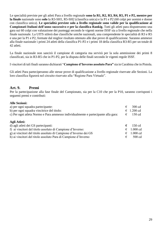Le specialità previste per gli atleti Para a livello regionale **sono la R1, R2, R3, R4, R5, P1 e P2, mentre per la finale** nazionale sono **solo** la R3-SH1, R5-SH2 (classifica unica) e la P1 e P2 (60 colpi per uomini e donne con classifica unica). **Le specialità previste solo a livello regionale sono valide per la qualificazione ai Campionati Italiani dell'anno successivo e per la classifica Rankig.** Tutti gli atleti para disputeranno una gara sui 60 colpi con valutazione dei punteggi secondo le vigenti norme ISSF sia a livello regionale che nella finale nazionale. La UITS stilerà due classifiche uniche nazionali, una comprendente le specialità di R3 e R5 e una per la P1 e P2, formate dal miglior risultato ottenuto alle due prove di qualificazione. Saranno ammessi alla finale nazionale i primi 24 atleti della classifica P1-P2 e i primi 18 della classifica R3-R5 per un totale di 42 atleti.

La finale nazionale non sancirà il campione di categoria ma servirà per la sola ammissione dei primi 8 classificati, sia in R3-R5 che in P1-P2, per la disputa delle finali secondo le vigenti regole ISSF.

I vincitori di tali finali saranno dichiarati "**Campione d'Inverno assoluto Para"** sia in Carabina che in Pistola.

Gli atleti Para parteciperanno alle stesse prove di qualificazione a livello regionale riservate alle Sezioni. La loro classifica figurerà nel circuito riservato alla "Regione Para Virtuale".

#### **Art. 9. Premi**

Per la partecipazione alla fase finale del Campionato, sia per la C10 che per la P10, saranno corrisposti i seguenti premi e contributi:

#### **Alle Sezioni:**

| a) per ogni squadra partecipante:                                                 | € | $300 \text{ cd}$ |
|-----------------------------------------------------------------------------------|---|------------------|
| b) per ogni squadra vincitrice del titolo:                                        | € | $1.200$ cd       |
| c) Per ogni atleta Normo e Para ammesso individualmente e partecipante alla gara: | € | $150 \text{ cd}$ |
| Agli Atleti:                                                                      |   |                  |
| d) agli atleti dei GS partecipanti:                                               | € | 150 cd           |
| f) ai vincitori del titolo assoluto di Campione d'Inverno:                        | € | $1.000$ cd       |
| g) ai vincitori del titolo assoluto di Campione d'Inverno dei GS                  | € | $1.000$ cd       |
| h) ai vincitori del titolo assoluto Para di Campione d'Inverno                    | € | $500$ cd         |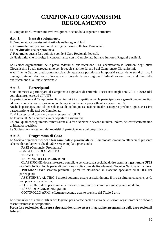# **CAMPIONATO GIOVANISSIMI REGOLAMENTO**

Il Campionato Giovanissimi avrà svolgimento secondo la seguente normativa

## **Art. 1. Fasi di svolgimento**

Il Campionato Giovanissimi si articola nelle seguenti fasi:

- **a) Comunale**: una per comune da svolgersi prima della fase Provinciale.
- **b) Provinciale**: una per provincia.
- **c) Regionale**: questa fase coincide con le 5 Gare Regionali Federali.
- **d) Nazionale***:* che si svolge in concomitanza con il Campionato Italiano Juniores, Ragazzi e Allievi.

Le Sezioni organizzatrici delle prove federali di qualificazione ISSF accetteranno le iscrizioni degli atleti Giovanissimi i quali gareggeranno con le regole stabilite dal art.5 del Campionato Giovanissimi.

A tal fine, le Sezioni predisporranno piazzole attrezzate posizionate in appositi settori dello stand di tiro. I punteggi ottenuti dai tiratori Giovanissimi durante le gare regionali federali saranno validi al fine della qualificazione alla Finale Nazionale.

# **Art. 2. Partecipanti**

Sono ammessi a partecipare al Campionato i giovani di entrambi i sessi nati negli anni 2011 e 2012 (dal compleanno), tesserati all'UITS.

La partecipazione al Campionato Giovanissimi è incompatibile con la partecipazione a gare di qualunque tipo ed estensione che non si svolgano con le modalità tecniche prescritte al successivo art. 5.

Anche la partecipazione ad una sola gara, di qualunque estensione, in altra categoria preclude ogni successiva partecipazione alle fasi del Campionato.

Tutti i partecipanti dovranno essere tesserati all'UITS.

La tessera UITS è comprensiva di copertura assicurativa.

Coloro i quali conseguiranno l'ammissione alla fase Nazionale devono munirsi, inoltre, del certificato medico di idoneità specifica*.*

Le Società saranno garanti dei requisiti di partecipazione dei propri tiratori.

#### **Art. 3. Programma di Gara**

Le Società organizzatrici delle fasi **comunale e provinciale** del Campionato dovranno attenersi al presente schema di regolamento che dovrà essere compilato precisando:

- FASE (Comunale, Provinciale)
- DATA DI SVOLGIMENTO
- TURNI DI TIRO
- TERMINE DELLE ISCRIZIONI
- CLASSIFICHE: dovranno essere compilate per ciascuna specialità di tiro **tramite il gestionale UITS**

- GRADUATORIA: la parità di punti sarà risolta come da Regolamento Tecnico Nazionale in vigore

- PREMIAZIONE: saranno premiati i primi tre classificati in ciascuna specialità ed il 50% dei partecipanti

- ASSISTENZA AL TIRO: i tiratori potranno essere assistiti durante il tiro da altra persona che, però, non potrà caricare l'arma;

- ISCRIZIONE: deve pervenire alla Sezione organizzatrice compilata sull'apposito modello.

- TASSA DI ISCRIZIONE: gratuita
- CONTROLLO ARMI: effettuato secondo quanto previsto dal Titolo 2 art.1

La diramazione di notizie utili ai fini logistici per i partecipanti è a cura delle Sezioni organizzatrici e debbono essere trasmesse in tempo utile.

**Per la fase regionale i dati sopra riportati dovranno essere integrati nel programma delle gare regionali federali.**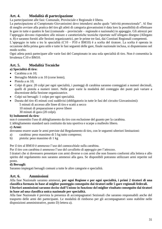# **Art. 4. Modalità di partecipazione**

La partecipazione alle fasi: Comunale, Provinciale e Regionale è libera.

La partecipazione al Campionato Giovanissimi deve intendersi anche quale "attività promozionale". Al fine di meglio avviare alla pratica del tiro gli atleti di categoria giovanissimi è data loro la possibilità di effettuare le gare in tutte e quattro le fasi (comunale – provinciale – regionale e nazionale) in appoggio. Gli attrezzi per l'appoggio devono rispondere alle misure e caratteristiche tecniche riportate nell'allegato disegno (Allegato n. 8) e saranno forniti alle Sezioni organizzatrici, per le prime tre fasi, dai Comitati Regionali competenti.

L'appoggio in tutte e tre le specialità (C10 – P10 e BM10) è a scelta del tiratore. La scelta è operata in occasione della prima gara utile e tutte le fasi seguenti delle gare, finale nazionale inclusa, si disputeranno nel modo scelto.

Ogni atleta potrà partecipare alle varie fasi del Campionato in una sola specialità di tiro. Non è consentita la bivalenza C10 e BM10.

# **Art. 5. Modalità Tecniche**

#### **a) Specialità di tiro:**

- Carabina a m 10;
- Bersaglio Mobile a m 10 (corse lente);
- Pistola a m 10;
- Colpi di gara: 20 colpi per ogni specialità, i punteggi di carabina saranno conteggiati a numeri decimali, quelli di pistola a numeri interi. Nelle gare varie la modalità del conteggio dei punti può variare a discrezione della Sezione organizzatrice.
- Colpi sui bersagli: 1 colpo per ogni specialità.
- Durata del tiro 45 minuti così suddivisi (obbligatorio in tutte le fasi del circuito Giovanissimi):
	- 5 minuti di accesso alle linee di tiro e scatti a secco
	- 10 minuti di preparazione e prove libere
	- 30 minuti di gara (20 colpi).

#### **b) Indumenti da tiro***:*

non è consentito l'uso di abbigliamento da tiro con esclusione del guanto per la carabina.

L'abbigliamento standard sarà costituito da tuta sportiva e scarpe a malleolo libero.

#### **c) Armi:**

dovranno essere usate le armi previste dal Regolamento di tiro, con le seguenti ulteriori limitazioni:

- a) carabina: peso massimo di 5 kg tutto compreso;
- b) pistola: peso massimo di 1 kg

Per il tiro al BM10 è ammesso l'uso del cannocchiale sulla carabina.

Per il tiro con carabina è ammesso l'uso del cavalletto di appoggio per l'attrezzo.

I tiratori che si dovessero presentare con armi diverse o con armi che non fossero conformi alla lettera e allo spirito del regolamento non saranno ammessi alla gara. Se disponibili potranno utilizzare armi reperite sul posto.

#### **d) Bersagli:**

Saranno impiegati bersagli comuni a tutte le altre categorie e specialità.

# **Art. 6. Ammissioni**

Alla fase Nazionale saranno ammessi, **per ogni Regione e per ogni specialità, i primi 2 tiratori di una classifica formata in base al miglior punteggio conseguito dai tiratori nelle 5 gare regionali federali.**

#### **Ulteriori ammissioni saranno decise dall'Unione in funzione del miglior risultato conseguito dai tiratori in base ad una classifica unica nazionale per specialità.**

Alla fase Nazionale è prevista la presenza di accompagnatori Sezionali che saranno responsabili anche del trasporto delle armi dei partecipanti. Le modalità di rimborso per gli accompagnatori sono stabilite nelle disposizioni amministrative, punto D) lettera a).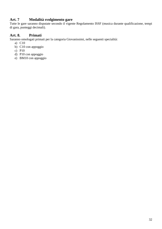# **Art. 7 Modalità svolgimento gare**

Tutte le gare saranno disputate secondo il vigente Regolamento ISSF (musica durante qualificazione, tempi di gara, punteggi decimali).

# **Art. 8. Primati**

Saranno omologati primati per la categoria Giovanissimi, nelle seguenti specialità:

- a) C10
- b) C10 con appoggio
- c) P10
- d) P10 con appoggio
- e) BM10 con appoggio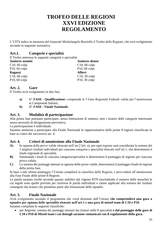# **TROFEO DELLE REGIONI XXVI EDIZIONE REGOLAMENTO**

L'UITS indice in memoria del Generale Michelangelo Borriello il Trofeo delle Regioni, che avrà svolgimento secondo la seguente normativa.

# **Art.1. Categorie e specialità**

Il Trofeo interessa le seguenti categorie e specialità:

| <b>Juniores donne</b> |
|-----------------------|
| $C10$ , 60 colpi      |
| $P10, 60$ colpi       |
|                       |
| $C10$ , 30 colpi      |
| $P10$ , 30 colpi      |
|                       |

#### **Art. 2. Gare**

Il Trofeo avrà svolgimento in due fasi:

- **a) 1^ FASE - Qualificazione:** comprende le 5 Gare Regionali Federali valide per l'ammissione ai Campionati Italiani;
- **b) 2^ FASE - Finale Nazionale.**

#### **Art. 3. Modalità di partecipazione**

Alla prima fase potranno partecipare, senza limitazione di numero, tutti i tiratori delle categorie interessate senza necessità di designazione preventiva.

La partecipazione è individuale.

Saranno ammesse a partecipare alla Finale Nazionale le rappresentative delle prime 8 regioni classificate in base ai criteri del successivo art. 4.

#### **Art. 4. Criteri di ammissione alla Finale Nazionale**

- **A)** In ognuna delle prove valide elencate nell'art.2 lett. a), per ogni regione sarà considerata la somma dei 3 migliori risultati individuali per ciascuna categoria e specialità elencate nell'art.1, che determinerà il totale regionale di specialità.
- **B**) Sommando i totali di ciascuna categoria/specialità si determinerà il punteggio di regione per ciascuna prova valida;
- **C)** La somma dei punteggi ottenuti in ognuna delle prove valide, determinerà il punteggio finale di regione della prima fase.

In base a tale ultimo punteggio l'Unione compilerà la classifica delle Regioni, e provvederà all'ammissione alla Fase Finale delle prime 8 Regioni.

Le parità saranno risolte secondo quanto stabilito dal vigente RTN (escludendo il numero delle mouche) le cui regole sono quelle previste per risolvere le parità individuali e vanno applicate alla somma dei risultati conseguiti dai tiratori che prendono parte alla formazione delle squadre.

#### **Art. 5. Finale Nazionale**

Avrà svolgimento secondo il programma che verrà diramato dall'Unione **che comprenderà una gara a squadre per ognuna delle specialità elencate nell'art.1 e una gara di mixed team di C10 e P10.** Saranno compilate le seguenti classifiche:

• per Regione: somma dei punteggi ottenuti dai tiratori nelle 8 specialità **e dal punteggio delle gare di C10 e P10 di Mixed team i cui dettagli saranno comunicati con il regolamento della gara.**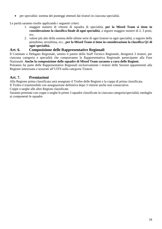• per specialità: somma dei punteggi ottenuti dai tiratori in ciascuna specialità.

Le parità saranno risolte applicando i seguenti criteri:

- 1. maggior numero di vittorie di squadra di specialità, **per la Mixed Team si tiene in considerazione la classifica finale di ogni specialità**, a seguire maggior numeri di 2, 3 posti, ecc.
- 2. valore più alto della somma delle ultime serie di ogni tiratore in ogni specialità, a seguire della penultima, terzultima, ecc., **per la Mixed Team si tiene in considerazione la classifica Q1 di ogni specialità.**

# **Art. 6. Composizione delle Rappresentative Regionali**

Il Comitato o Delegato Regionale, sentito il parere dello Staff Tecnico Regionale, designerà 3 tiratori, per ciascuna categoria e specialità che comporranno la Rappresentativa Regionale partecipante alla Fase Nazionale. **Anche la composizione delle squadre di Mixed Team saranno a cura delle Regioni.**

Potranno far parte delle Rappresentative Regionali esclusivamente i tiratori delle Sezioni appartenenti alla Regione interessata e tesserati all'UITS nella categoria Tiratori.

# **Art. 7. Premiazioni**

Alla Regione prima classificata sarà assegnato il Trofeo delle Regioni e la coppa di prima classificata.

Il Trofeo è trasmissibile con assegnazione definitiva dopo 3 vittorie anche non consecutive.

Coppe o targhe alle altre Regioni classificate.

Saranno premiate con coppe o targhe le prime 3 squadre classificate in ciascuna categoria/specialità; medaglie ai componenti le squadre.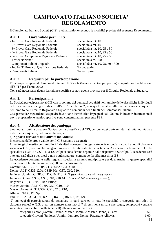# **CAMPIONATO ITALIANO SOCIETA' REGOLAMENTO**

Il Campionato Italiano Società (CIS), avrà attuazione secondo le modalità previste dal seguente Regolamento.

#### **Art. 1. Gare valide per il CIS**

| - 1^ Prova: Gara Regionale Federale           | specialità a mt. 10               |
|-----------------------------------------------|-----------------------------------|
| - 2^ Prova: Gara Regionale Federale           | specialità a mt. 10               |
| - 3^ Prova: Gara Regionale Federale           | specialità a mt. 10, 25 e 50      |
| - 4^ Prova: Gara Regionale Federale           | specialità a mt. 10, 25 e 50      |
| - 5^ Prova: Campionato Regionale Federale     | specialità a mt. 10, 25 e 50      |
| - Trofei Nazionali                            | specialità a m. 300               |
| - Campionati Italiani a squadre               | specialità a mt. 10, 25, 50 e 300 |
| - 1^, 2^, 3^ Prova di Qualificazione Federale | <b>Target Sprint</b>              |
| - Campionati Italiani                         | <b>Target Sprint</b>              |
|                                               |                                   |

# **Art. 2. Requisiti per la partecipazione**

Possono partecipare al Campionato Italiano le Società (Sezioni e i Gruppi Sportivi) in regola con l'affiliazione all'UITS per l'anno 2022

Non sarà necessaria alcuna iscrizione specifica se non quella prevista per il Circuito Regionale a Squadre.

## **Art. 3. Partecipazione**

Le Società parteciperanno al CIS con la somma dei punteggi acquisiti nell'ambito delle classifiche individuali delle specialità e categorie di cui all'art. 3 del titolo 2, con quelli relativi alla partecipazione a squadre nell'ambito del Circuito Regionale a Squadre e con quelli delle finali dei Campionati Italiani**.**

Casi particolari riguardanti le squadre in cui sono iscritti atleti impegnati dall'Unione in Incontri internazionali e/o in preparazione tecnico sportiva sono contemplati nel presente PSF.

#### **Art. 4. Attribuzione dei punteggi**

Saranno attribuiti a ciascuna Società per la classifica del CIS, dei punteggi derivanti dall'attività individuale e da quella a squadre, nel modo che segue:

#### **a) Apporto derivante dall'attività individuale**

In ciascuna delle prove valide per il CIS saranno assegnati:

1) punteggi di merito per i migliori 4 risultati conseguiti in ogni categoria e specialità dagli atleti di ciascuna società o G.S., sempreché vengano superati i limiti stabiliti nella tabella A) allegata sub numero 1). Le specialità CL3P U e CS3P D a 120 colpi si considerano separate dalle rispettive a 60 colpi. L'eccedenza così ottenuta sarà divisa per dieci e non potrà superare, comunque, la cifra massima di 8.

Le eccedenze conseguite nelle seguenti specialità saranno moltiplicate per due. Anche in queste specialità resta fermo il limite massimo degli 8 punti conseguibili:

Uomini: ALT, CL3P 120c, CL3P 60 c, CLT, C10, P10;

Donne: ALT, CS3P 120c, CS3P 60c, CST, C10, P10;

Juniores Uomini: CL3P, CLT, C10, P10, ALT *(specialità 300 mt solo maggiorenni);*

Juniores Donne: CS3P, CST, C10, P10 ALT *(specialità 300 mt solo maggiorenni);*

Ragazzi: C10, C103P, P10 e P10Sp;

Master Uomini: ALT, CL3P, CLT, C10, P10;

Master Donne: ALT, CS3P, CST, C10, P10;

Allievi: C103P, P10Sp;

Para: P1, P2, P3, P4, R1, R2, R3, R4, R5, R6, R7, R8, R9.

2) punteggi di partecipazione da assegnare in ogni gara ed in tutte le specialità e categorie agli atleti di ciascuna società o G.S. e per un numero massimo di 7 di essi nella misura che segue, sempreché vengano superati i limiti stabiliti nella tabella B) allegata sub numero 2):

- categorie Senior (Uomini, Donne, Master Uomini e Master Donne) e Para: 0,50;
- categorie Giovani (Juniores Uomini, Juniores Donne, Ragazzi e Allievi): 1,00;

35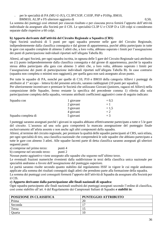- per le specialità di PA (MU-U-JU), CL3P/CS3P, C103P, PSP e P10Sp, BM10,
	- BMM10, AL3P e FS ulteriore aggiunta di 0,50**.**

La somma dei punteggi così ottenuti per ciascun risultato e per ciascuna prova fornirà l'apporto dell'attività individuale da assegnare alla Società per il CIS. Le specialità CL3P U e CS3P D a 120 colpi si considerano separate dalle rispettive a 60 colpi.

#### **b) Apporto derivante dall'attività del Circuito Regionale a Squadra (CRS)**

Ogni Società usufruirà di 5 punti per ogni squadra presente nelle gare del Circuito Regionale, indipendentemente dalla classifica conseguita e dal girone di appartenenza, purché abbia partecipato in tutte le gare con squadre complete di almeno 3 atleti che, a loro volta, abbiano superato i limiti per l'assegnazione dei punti di partecipazione individuali riportati nell'allegata Tabella B).

Altresì, ad ogni Società, per ogni squadra iscritta, in ognuna delle 5 gare del Circuito Regionale sarà attribuito un (1) punto indipendentemente dalla classifica conseguita e dal girone di appartenenza, purché la squadra stessa abbia partecipato alla gara con almeno 3 atleti che, a loro volta, abbiano superato i limiti per l'assegnazione dei punti di partecipazione individuali riportati nell'allegata Tabella B). In caso contrario (squadra non completa o minimi non raggiunti), per quella gara non sarà assegnato alcun punto.

Per tutte le squadre di PA, nonché per quelle di C10, P10 e BM10 della categoria Allievi i punteggi da attribuire al 1° accapo – lettera b) del presente articolo, saranno raddoppiati (10 punti per squadra).

Per ulteriormente incentivare e premiare le Società che utilizzano Giovani (juniores, ragazzi ed Allievi) nella composizione delle Squadre, fermo restante la specifica del precedente comma 1) riferita alla sola partecipazione completa della squadra, verranno attribuiti coefficienti aggiuntivi come di seguito indicato:

| Squadra con         | 1 giovane | $+0,5$ |
|---------------------|-----------|--------|
|                     | 2 giovani | $+1$   |
|                     | 3 giovani | $+1,5$ |
|                     | 4 giovani | $+2$   |
| Squadra completa di | 5 giovani | $+3$   |

I punteggi saranno assegnati purché i giovani in squadra abbiano effettivamente partecipato a tutte e 5 le gare del circuito. L'assenza ad una sola gara comporterà la mancata assegnazione del punteggio finale esclusivamente all'atleta assente e non anche agli altri componenti della squadra.

Altresì, al termine del circuito regionale, per premiare la qualità delle squadre partecipanti al CRS, sarà stilata, per ogni specialità di tiro, una classifica nazionale che comprenderà le sole squadre che abbiano partecipato a tutte le gare con almeno 3 atleti. Alle squadre facenti parte di detta classifica saranno assegnati gli ulteriori seguenti punti:

a) comprese nel primo terzo: punti 4

b) comprese nel secondo terzo: punti 2

Nessun punto aggiuntivo viene assegnato alle squadre che seguono nell'ultimo terzo.

Le eventuali frazioni numeriche rivenienti dalla suddivisione in terzi della classifica unica nazionale per specialità andranno a favore dell'assegnazione del punteggio superiore.

Le parità saranno risolte secondo quanto stabilito dal regolamento ISSF in vigore le cui regole andranno applicate alla somma dei risultati conseguiti dagli atleti che prendono parte alla formazione della squadra.

La somma dei punteggi così conseguiti formerà l'apporto dell'attività di Squadra da assegnare alla Società per il CIS.

#### **c) Apporto derivante dalla partecipazione alle finali nazionali di squadra:**

Ogni squadra partecipante alle finali nazionali usufruirà dei punteggi assegnati secondo l'ordine di classifica, così come stabilito all'art. 6 del Regolamento dei Campionati Italiani di Squadre *e stabiliti in*:

| <b>POSIZIONE IN CLASSIFICA</b> | PUNTEGGIO ATTRIBUITO |
|--------------------------------|----------------------|
| Prima                          | 20                   |
| Seconda                        |                      |
| Terza                          |                      |
| Quarta                         | 10                   |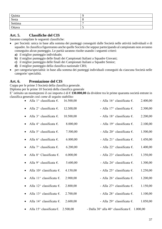| Quinta  |   |
|---------|---|
| Sesta   | O |
| Settima | - |
| Ottava  | ັ |

## **Art. 5. Classifiche del CIS**

Saranno compilate le seguenti classifiche:

- per Società: unica in base alla somma dei punteggi conseguiti dalle Società nelle attività individuali e di squadre. In classifica figureranno anche quelle Società che seppur partecipando al campionato non avranno conseguito alcun punteggio. Le parità saranno risolte usando i seguenti criteri:
	- **a)** il miglior punteggio individuale;
	- **b)** il miglior punteggio delle finali dei Campionati Italiani a Squadre Giovani;
	- **c)** il miglior punteggio delle finali dei Campionati Italiani a Squadre Senior;
	- **d)** il miglior punteggio della classifica nazionale CRS;
- per categoria/specialità: in base alla somma dei punteggi individuali conseguiti da ciascuna Società nelle categorie/ specialità.

### **Art. 6. Premiazione del CIS**

Coppa per le prime 3 Società della classifica generale.

Diploma per le prime 10 Società della classifica generale

E' istituito un montepremi il cui importo è di € **130.000,00** da dividere tra le prime quaranta società entrate in classifica generale *così come di seguito stabilito:*

| Alla 1^ classificata $\epsilon$ .                               | 16.500,00 | - Alla 16 <sup><math>\land</math></sup> classificata $\epsilon$ . | 2.400,00 |
|-----------------------------------------------------------------|-----------|-------------------------------------------------------------------|----------|
| Alla $2^{\wedge}$ classificata $\epsilon$ .                     | 12.500,00 | - Alla 17^ classificata $\epsilon$ .                              | 2.300,00 |
| Alla $3^{\wedge}$ classificata $\epsilon$ .                     | 10.500,00 | - Alla 18^ classificata $\epsilon$ .                              | 2.200,00 |
| Alla $4^{\wedge}$ classificata $\epsilon$ .                     | 8.000,00  | - Alla 19 $\land$ classificata $\epsilon$ .                       | 2.100,00 |
| Alla 5 <sup><math>\land</math></sup> classificata $\epsilon$ .  | 7.500,00  | - Alla 20^ classificata $\epsilon$ .                              | 1.500,00 |
| Alla 6 <sup><math>\land</math></sup> classificata $\epsilon$ .  | 6.800,00  | - Alla 21^ classificata $\epsilon$ .                              | 1.450,00 |
| Alla 7^ classificata $\epsilon$ .                               | 6.200,00  | - Alla 22^ classificata $\epsilon$ .                              | 1.400,00 |
| Alla 8^ Classificata $\epsilon$ .                               | 6.000,00  | - Alla 23^ classificata $\epsilon$ .                              | 1.350,00 |
| Alla 9^ classificata $\epsilon$ .                               | 5.600,00  | - Alla 24^ classificata $\epsilon$ .                              | 1.300,00 |
| Alla 10^ classificata $\epsilon$ .                              | 4.150,00  | - Alla 25 <sup><math>\land</math></sup> classificata $\epsilon$ . | 1.250,00 |
| Alla $11^{\wedge}$ classificata $\epsilon$ .                    | 2.900,00  | - Alla 26 <sup><math>\land</math></sup> classificata $\epsilon$ . | 1.200,00 |
| Alla 12 <sup><math>\land</math></sup> classificata $\epsilon$ . | 2.800,00  | - Alla 27^ classificata $\epsilon$ .                              | 1.150,00 |
| Alla 13 <sup><math>\land</math></sup> classificata $\epsilon$ . | 2.700,00  | - Alla 28^ classificata $\epsilon$ .                              | 1.100,00 |
| Alla 14^ classificata $\epsilon$ .                              | 2.600,00  | - Alla 29^ classificata $\epsilon$ .                              | 1.050,00 |
| Alla 15 <sup><math>\land</math></sup> classificata $\epsilon$ . | 2.500,00  | - Dalla 30^ alla 40^ classificata $\epsilon$ . 1.000,00           |          |
|                                                                 |           |                                                                   |          |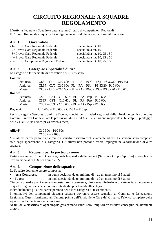# **CIRCUITO REGIONALE A SQUADRE REGOLAMENTO**

L'Attività Federale a Squadre è basata su un Circuito di competizioni Regionali Il Circuito Regionale a Squadre ha svolgimento secondo le modalità di seguito indicate.

## **Art. 1. Gare valide**

| - 1^ Prova: Gara Regionale Federale       | specialità a mt. 10          |
|-------------------------------------------|------------------------------|
| - 2^ Prova: Gara Regionale Federale       | specialità a mt. 10          |
| - 3^ Prova: Gara Regionale Federale       | specialità a mt. 10, 25 e 50 |
| - 4^ Prova: Gara Regionale Federale       | specialità a mt. 10, 25 e 50 |
| - 5^ Prova: Campionato Regionale Federale | specialità a mt. 10, 25 e 50 |
|                                           |                              |

## **Art. 2. Categorie e Specialità di tiro**

Le categorie e le specialità di tiro valide per il CRS sono:

#### **Uomini:**

|          | Seniores: | CL3P - CLT - C10 60c - PL - PA - PGC - PSp - PS $3X20 - P10$ 60c |
|----------|-----------|------------------------------------------------------------------|
|          | Juniores: | CL3P - CLT - C10 60c - PL - PA - PSp - PS 3X20 - P10 60c         |
|          | Master:   | CL3P - CLT - C10 60c - PL - PA - PGC - PSp - PS 3X20 - P10 60c   |
| Donne:   |           |                                                                  |
|          | Seniores: | $CS3P - CST - C10 60c - PL - PA - Psp - P10 60c$                 |
|          | Juniores: | $CS3P - CST - C10 60c - PL - PA - Psp - P10 60c$                 |
|          | Master:   | $CS3P - CST - C10 60c - PL - PA - Psp - P10 60c$                 |
| Ragazzi: |           | $C1060c - P1060c - C103P - P10Sp$                                |

Per la categoria Seniores Uomini e Donne, nonché per gli atleti segnalati dalla direzione tecnica Juniores Uomini, Juniores Donne e Para le prestazioni di CL3P/CS3P 120c saranno rapportate ai 60 colpi (il punteggio della CL3P/CS3P 120 colpi va diviso a metà)

| Allievi*: | $C10$ 30c – P10 30c |
|-----------|---------------------|
|           | $C10$ 3P – P $10Sp$ |

\*Gli allievi partecipano in un circuito a squadre riservato esclusivamente ad essi. Le squadre sono composte solo dagli appartenenti alla categoria. Gli allievi non possono essere impiegati nella formazione di altre squadre.

## **Art. 3. Requisiti per la partecipazione**

Parteciperanno al Circuito Gare Regionali le squadre delle Società (Sezioni e Gruppi Sportivi) in regola con l'affiliazione all'UITS per l'anno 2022

## **Art. 4. Composizione delle squadre**

Le Squadre dovranno essere composte:

• **Aria Compressa**: in ogni specialità, da un minimo di 4 ad un massimo di 5 atleti.

• **Fuoco**: in ogni specialità, da un minimo di 4 ad un massimo di 5 atleti.

Ciascuna Squadra potrà essere composta promiscuamente, cioè senza distinzione di categoria, ad eccezione di quelle degli allievi che sono costituite dagli appartenenti alla categoria.

Individualmente gli atleti parteciperanno nella loro categoria di tesseramento.

I nominativi dei componenti ciascuna squadra dovranno essere segnalati al Comitato o Delegazione Regionale. Questi forniranno all'Unione, prima dell'inizio delle Gare del Circuito, l'elenco completo delle squadre partecipanti suddiviso in gironi.

Ai fini della classifica di ogni singola gara saranno validi solo i migliori tre risultati conseguiti da altrettanti tiratori.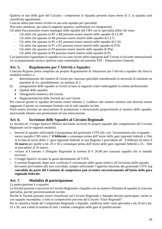Qualora in una delle gare del Circuito i componenti la Squadra presenti siano meno di 3, la squadra sarà classificata ugualmente.

Ciascun atleta può essere iscritto in una sola squadra per specialità.

Non sono ammesse, per tutta la stagione sportiva, sostituzioni e/o integrazioni.

Gli atleti Para potranno essere impiegati nelle squadre del CRS con le specialità affini che sono:

- Gli atleti che sparano in R7 o R8 possono essere inseriti nelle squadre di CL3P;
- Gli atleti che sparano in R6 possono essere inseriti nelle squadre di CLT;
- Gli atleti che sparano in R1 o R2 possono essere inseriti nelle squadre di C10;
- Gli atleti che sparano in P1 o P2 possono essere inseriti nelle squadre di P10;
- Gli atleti che sparano in P3 possono essere inseriti nelle squadre di PSp;
- Gli atleti che sparano in P4 possono essere inseriti nelle squadre di PL.

Casi particolari riguardanti le squadre in cui sono iscritti atleti impegnati dall'Unione in Incontri internazionali e/o in preparazione tecnico sportiva sono contemplati nel presente PSF - Disposizioni Generali.

## **Art. 5. Regolamento per l'Attività a Squadre**

Ciascuna Regione potrà compilare un proprio Regolamento di Attuazione per l'attività a squadre che fissa le modalità relative a:

- a) determinazione del numero di Gironi per ciascuna specialità considerando la necessità di istituirne un massimo di 4 e, possibilmente, un minimo di 2.
- b) assegnazione delle squadre ai Gironi in base ai seguenti criteri inderogabili in ordine preferenziale:
	- Qualità delle squadre;
	- Omogeneità numerica dei Gironi;
	- Rappresentatività delle Società nei vari Gironi.

Per ciascun girone le squadre dovranno essere almeno 5. Laddove tale numero minimo non dovesse essere raggiunto il girone va comunque formato con le sole squadre iscritte.

Potrà essere previsto un meccanismo di promozioni e retrocessioni proporzionale al numero delle squadre, assicurando almeno una promozione ed una retrocessione.

## **Art. 6. Iscrizione delle Squadre al Circuito Regionale**

Le Società ed i Gruppi Sportivi Militari dovranno iscrivere le proprie squadre alle competizioni del Circuito Regionale con le seguenti modalità:

- Inserire le squadre utilizzando il programma del gestionale UITS alle voci "tesseramento.uits.it/squadre nuova squadra CRS entro l' **8 febbraio** o comunque prima dell'inizio delle gare regionali federali a 10m se la data di inizio della 1^ gara regionale federale in una Regione è precedente all' 8 febbraio ed entro il **16 marzo** per quelle a mt. 25 e 50 o comunque prima dell'inizio delle gare regionali federali a 25 - 50m se precedenti al 16 marzo.
- versare al Comitato o Delegato Regionale la somma di  $\epsilon$  26,00 per ciascuna squadra che si intende iscrivere.
- I Gruppi Sportivi inviano la quota direttamente all'UITS.
- I comitati Regionali, dopo aver verificato il versamento delle quote relative all'iscrizione delle squadre dovranno provvedere alla loro convalida, sempre utilizzando l'apposita funzione del gestionale UITS. **La convalida da parte del Comitato di competenza può avvenire successivamente all'inizio della gara regionale federale.**

## **Art. 7. Modalità di partecipazione**

La partecipazione è a squadre.

Le Società possono concorrere al Circuito Regionale a Squadre con un numero illimitato di squadre in ciascuna specialità, purché preventivamente iscritte.

Perché le Società possano essere classificate nel Circuito Regionale a Squadre devono partecipare, anche se con squadre incomplete, a tutte le competizioni previste dal Circuito "Gare Regionali".

Per la classifica finale del Campionato Regionale a Squadre, suddivisa nelle varie specialità a mt.10 ed a mt. 25 e 50, sarà valida la somma di tutti i risultati conseguiti nelle gare di qualificazione.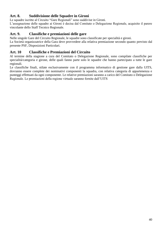## **Art. 8. Suddivisione delle Squadre in Gironi**

Le squadre iscritte al Circuito "Gare Regionali" sono suddivise in Gironi.

L'assegnazione delle squadre ai Gironi è decisa dal Comitato o Delegazione Regionale, acquisito il parere vincolante dello Staff Tecnico Regionale.

## **Art. 9. Classifiche e premiazioni delle gare**

Nelle singole Gare del Circuito Regionale, le squadre sono classificate per specialità e gironi.

La Società organizzatrice della Gara deve provvedere alla relativa premiazione secondo quanto previsto dal presente PSF, Disposizioni Particolari.

## **Art. 10 Classifiche e Premiazioni del Circuito**

Al termine della stagione a cura del Comitato o Delegazione Regionale, sono compilate classifiche per specialità/categoria e girone, delle quali fanno parte solo le squadre che hanno partecipato a tutte le gare regionali.

Le classifiche finali, stilate esclusivamente con il programma informatico di gestione gare dalla UITS, dovranno essere complete dei nominativi componenti la squadra, con relativa categoria di appartenenza e punteggi effettuati da ogni componente. Le relative premiazioni saranno a carico del Comitato o Delegazione Regionale. Le premiazioni della regione virtuale saranno fornite dall'UITS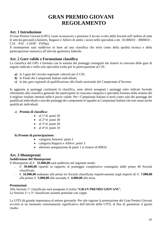# **GRAN PREMIO GIOVANI REGOLAMENTO**

## **Art. 1 Introduzione**

Il Gran Premio Giovani (GPG) vuole riconoscere e premiare il lavoro svolto dalle Società nell'ambito di tutte le attività giovanili (Juniores, Ragazzi e Allievi di ambo i sessi) nelle specialità a mt. 10 (BM10 – BMM10 –  $C10 - P10 - C103P - P10Sp$ .

Il montepremi sarà suddiviso in base ad una classifica che terrà conto della qualità tecnica e della partecipazione numerica all'attività agonistica federale.

## **Art. 2 Gare valide e Formazione classifica**

La classifica del GPG è formata con la somma dei punteggi conseguiti dai tiratori in ciascuna delle gare di seguito indicate e nella sola specialità scelta per la partecipazione al CIS:

- *a)* le 5 gare del circuito regionale valevoli per il CIS;
- *b)* le Finali dei Campionati Italiani individuali;
- *c)* le due gare regionali di qualificazione alla finale nazionale del Campionato d'Inverno.

In aggiunta ai punteggi costituenti la classifica, sono altresì assegnati i punteggi sotto indicati facendo riferimento alla classifica generale dei partecipanti in ciascuna categoria e specialità formata dalla somma dei 4 migliori risultati ottenuti nelle 6 prove valide. Per i Campionati Italiani si terrà conto solo dei punteggi dei qualificati individuali e non dei punteggi dei componenti le squadre ai Campionati Italiani che non siano anche qualificati individuali.

#### a) **Premio di classifica:**

- al  $1^{\circ}/4$ : punti 50
- al  $2^{\circ}/4$ : punti 30
- al  $3^{\circ}/4$ : punti 20
- al  $4^{\circ}/4$ : punti 10

#### **b) Premio di partecipazione:**

- categoria Juniores: punti 2
- categoria Ragazzi e Allievi: punti 3
- ulteriore assegnazione di punti 1 ai tiratori di BM10

### **Art. 3 Montepremi**

#### **Suddivisione del Montepremi**

Il Montepremi di €. **55.000,00** sarà suddiviso nel seguente modo:

- €. **39.000,00** ripartiti in rapporto al punteggio complessivo conseguito dalle prime 40 Società classificate;
- €. **16.000,00** andranno alle prime tre Società classificate rispettivamente negli importi di: €. **7.000,00** alla prima; €. **5.000,00** alla seconda; €. **4.000,00** alla terza.

#### **Premiazioni**

Alla Sezione 1^ classificata sarà assegnato il trofeo **"GRAN PREMIO GIOVANI**"; Le Sezioni  $2^{\wedge}$  e  $3^{\wedge}$  classificate saranno premiate con coppe.

La UITS dà grande importanza al settore giovanile. Per tale ragione la premiazione del Gran Premio Giovani avverrà in un momento estremamente significativo dell'attività della UITS, al fine di garantirne il giusto risalto.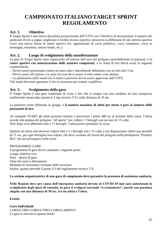# **CAMPIONATO ITALIANO TARGET SPRINT REGOLAMENTO**

## **Art. 1. Obiettivo**

Il Target Sprint è una nuova disciplina promozionale dell'UITS con l'obiettivo di incrementare il numero dei praticanti di tiro a segno, migliorare il livello tecnico-sportivo attraverso la diffusione di tale attività sportiva verso una nuova fascia di utenti sportivi (es. appassionati di corsa podistica, corsa campestre, corsa in montagna, maratona, mezzo fondo, etc.).

## **Art. 2. Luogo di svolgimento della manifestazione**

Le gare di Target Sprint sono organizzate all'interno dell'area del poligono (possibilmente in pianura), o in **centri sportivi con autorizzazione delle autorità competenti**, e lo stand di tiro dovrà avere le seguenti caratteristiche;

- Dovrà essere posizionato contro un muro alto e lateralmente delimitato con un telo alto 3 mt;

- Dovrà essere all'esterno e la zona tiro non deve essere rivolta contro zone abitate;

- La planimetria dello stand con il relativo percorso dovrà essere approvata dall'UITS;

Tali stand dovranno garantire il tiro in sicurezza per tiratori e pubblico.

### **Art. 3. Svolgimento della gara**

Il Target Sprint è una gara combinata di corsa e tiro che si esegue con una carabina ad aria compressa tradizionale monocolpo (punto 6.3 reg. tecnico T.S.) sulla distanza di 10 mt.

La partenza viene effettuata in gruppi, e **il numero massimo di atleti per turno è pari al numero delle postazioni di tiro**.

Al comando START gli atleti possono iniziare a percorrere i primi 400 m; al termine della corsa, l'atleta accede alla pedana del poligono "all'aperto" per colpire i 5 bersagli con un max di 15 colpi. Solo dopo aver abbattuto tutti e 5 i bersagli, l'atleta potrà riprendere la corsa.

Qualora un atleta non dovesse colpire tutti e 5 i bersagli con i 15 colpi a sua disposizione subirà una penalità di 15 sec. per ogni bersaglio non colpito, che deve scontare all'uscita del poligono nella predisposta "Penality Box" per poi proseguire nella corsa

#### PROGRAMMA GARE:

il programma di gara dovrà contenere i seguenti punti: Luogo, indirizzo ecc. Data – giorni di gara Orari dei turni e allenamenti Modalità di iscrizione e termine delle iscrizioni Inoltre, quanto prevede il punto 4.3 del regolamento tecnico T.S.

**La sezione organizzatrice di una gara di campionato deve garantire la presenza di assistenza sanitaria.**

**Nelle Regioni dove per causa dell'emergenza sanitaria dovuta al COVID-19 non sarà autorizzato lo svolgimento degli sport di contatto, la gara si svolgerà correndo "a cronometro", perciò con partenza singola con una distanza di 30 sec. tra un atleta e l'altro.**

**Eventi:**

**Gara Individuale** CORSA-TIRO-CORSA-TIRO-CORSA-ARRIVO La gara si articola in questo modo: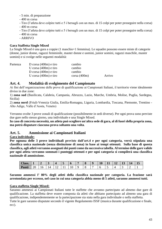- 5 min. di preparazione
- 400 m corsa
- Tiro (l'atleta deve colpire tutti e 5 i bersagli con un max. di 15 colpi per poter proseguire nella corsa)
- 400 m corsa
- Tiro (l'atleta deve colpire tutti e 5 i bersagli con un max. di 15 colpi per poter proseguire nella corsa)
- 400 m corsa
- ARRIVO

### **Gara Staffetta Single Mixed**

La Single Mixed è una gara a coppie (1 maschio+1 femmina). Le squadre possono essere miste di categorie (donne, junior donne, ragazzi femminile, master donne e uomini, junior uomini, ragazzi maschile, master uomini) e si svolge nelle seguenti modalità:

| Partenza | D corsa $(400m)$ e tiro | cambio          |        |
|----------|-------------------------|-----------------|--------|
|          | U corsa $(400m)$ e tiro | cambio          |        |
|          | D corsa $(400m)$ e tiro | cambio          |        |
|          | U corsa $(400m)$ e tiro | $\cos a (400m)$ | Arrivo |

## **Art. 4. Modalità di svolgimento del Campionato**

Ai fini dell'organizzazione delle prove di qualificazione ai Campionati Italiani, il territorio viene idealmente diviso in due zone:

1) **zona sud** (Basilicata, Calabria, Campania, Abruzzo, Lazio, Marche, Umbria, Molise, Puglia, Sardegna, Sicilia)

2) **zona nord** (Friuli-Venezia Giulia, Emilia-Romagna, Liguria, Lombardia, Toscana, Piemonte, Trentino - Alto Adige, Valle d'Aosta, Veneto)

Verranno svolte 3 prove zonali di qualificazione (possibilmente in sedi diverse). Per ogni prova sono previste due gare nello stesso giorno, una individuale e una Single Mixed.

**In caso di concreta necessità, un atleta può scegliere un'altra sede di gara, al di fuori della propria zona, ma potrà disputare ciascuna prova soltanto una volta**.

## **Art. 5. Ammissione ai Campionati Italiani**

#### **Gara individuale:**

**Per ognuna delle 3 prove individuali previste dall'art.4 e per ogni categoria, verrà stipulata una classifica unica nazionale (senza distinzione di zona) in base ai tempi ottenuti. Sulla base di questa classifica, agli atleti verranno assegnati dei punti come da successiva tabella. Al termine delle gare valide per ogni atleta verranno sommati i punteggi ottenuti e per ogni categoria si compilerà una classifica nazionale di ammissione.**

| Class. | - |                          |    |    |     |               |  | <b>10</b> | . . | ┸ | 19 | . . | 15 |
|--------|---|--------------------------|----|----|-----|---------------|--|-----------|-----|---|----|-----|----|
| Punti  | ້ | <sup>0</sup><br><b>.</b> | 14 | -- | . . | ╰<br><b>.</b> |  |           |     |   |    | _   |    |

**Saranno ammessi l' 80% degli atleti della classifica nazionale per categoria. La frazione sarà arrotondata per eccesso, nel caso in cui una categoria abbia meno di 5 atleti, saranno ammessi tutti.** 

### **Gara staffetta Single Mixed:**

Saranno ammessi ai Campionati Italiani tutte le staffette che avranno partecipato ad almeno due gare di qualificazione. La staffetta deve essere composta da atleti che abbiano partecipato ad almeno una gara di qualificazione, indipendentemente se la partecipazione sia stata nella gara individuale o nella staffetta. Tutte le gare saranno disputate secondo il vigente Regolamento ISSF (musica durante qualificazione e finale, ecc).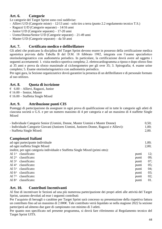## **Art. 6. Categorie**

Le categorie del Target Sprint sono così suddivise:

- Allievi U/D (Categorie miste) 12/13 anni solo tiro a terra (punto 2.2 regolamento tecnico T.S.)
- Ragazzi U/D (Categorie separate) 14/16 anni
- Junior U/D (Categorie separate) 17-20 anni
- Uomo/Donna/Senior U/D (Categorie separate) 21-49 anni
- Master U/D (Categorie separate) da 50 anni

## **Art. 7. Certificato medico e defibrillatore**

Gli atleti che praticano la disciplina del Target Sprint devono essere in possesso della certificazione medica agonistica prevista dalla Tabella B del D.M. 18 febbraio 1982, integrata con l'esame specialistico otorinolaringoiatrico con audiometria periodico. In particolare, la certificazione dovrà avere ad oggetto i seguenti accertamenti: 1. visita medico-sportiva completa; 2. elettrocardiogramma a riposo e dopo sforzo fino ai 35 anni e prova da sforzo massimale al cicloergometro per gli over 35; 3. Spirografia; 4. esame urine completo; 5. Esame otorinolaringoiatrico con audiometria periodico.

Per ogni gara, la Sezione organizzatrice dovrà garantire la presenza di un defibrillatore e di personale formato al suo utilizzo.

## **Art. 8. Quota di iscrizione**

 $\epsilon$  6.00 – Allievi, Ragazzi, Junior  $\epsilon$  16.00 – Senior, Master  $\text{\large\ensuremath{\in}}$  16.00 – Staffetta Single Mixed

## **Art. 9. Attribuzione punti CIS**

Punteggi di partecipazione da assegnare in ogni prova di qualificazione ed in tutte le categorie agli atleti di ciascuna società o G.S. e per un numero massimo di 4 per categoria e ad un massimo di 4 staffette Single Mixed

| - Individuale Categorie Senior (Uomini, Donne, Master Uomini e Master Donne)<br>- Individuale Categorie Giovani (Juniores Uomini, Juniores Donne, Ragazzi e Allievi):<br>- Staffetta Single Mixed: |       |       |  |  |
|----------------------------------------------------------------------------------------------------------------------------------------------------------------------------------------------------|-------|-------|--|--|
| Campionati Italiani                                                                                                                                                                                |       |       |  |  |
| ad ogni partecipante individuale                                                                                                                                                                   |       | 1,00; |  |  |
| ad ogni staffetta Single Mixed                                                                                                                                                                     |       | 2,00; |  |  |
| inoltre, per ogni categoria individuale e Staffetta Single Mixed (primi otto):                                                                                                                     |       |       |  |  |
| Al $1^{\wedge}$ classificato:                                                                                                                                                                      | punti | 12;   |  |  |
| Al $2^{\wedge}$ classificato:                                                                                                                                                                      | punti | 09;   |  |  |
| Al $3^{\wedge}$ classificato:                                                                                                                                                                      | punti | 07;   |  |  |
| $Al 4^{\wedge}$ classificato:                                                                                                                                                                      | punti | 05;   |  |  |
| Al $5^{\wedge}$ classificato:                                                                                                                                                                      | punti | 04:   |  |  |
| Al $6^{\wedge}$ classificato:                                                                                                                                                                      | punti | 03;   |  |  |
| Al $7^{\wedge}$ classificato:                                                                                                                                                                      | punti | 02;   |  |  |
| classificato:<br>Al $8^{\wedge}$                                                                                                                                                                   | punti | 01.   |  |  |
|                                                                                                                                                                                                    |       |       |  |  |

## **Art. 10. Contributi Incentivanti**

Al fine di incentivare le Sezioni ad una più numerosa partecipazione dei propri atleti alle attività del Target Sprint, saranno devoluti ad esse i seguenti contributi:

Per l'acquisto di bersagli o carabine per Target Sprint sarà concesso su presentazione della rispettiva fattura un contributo fino ad un massimo di 2.000€. Tale contributo verrà liquidato se nella stagione 2022 la sezione parteciperà ad almeno due gare di campionato con minimo di 3 atleti.

Per quanto non specificato nel presente programma, si dovrà fare riferimento al Regolamento tecnico del Target Sprint UITS.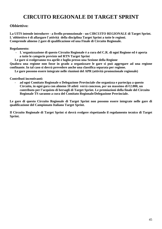# **CIRCUITO REGIONALE DI TARGET SPRINT**

## **Obbiettivo:**

**La UITS intende introdurre - a livello promozionale - un CIRCUITO REGIONALE di Target Sprint. L´obbiettivo è di allargare l´attività della disciplina Target Sprint a tutte le regioni. Comprende almeno 2 gare di qualificazione ed una Finale di Circuito Regionale.**

**Regolamento:**

- **L´organizzazione di questo Circuito Regionale è a cura del C.R. di ogni Regione ed è aperta a tutte le categorie previste nel RTN Target Sprint**
- **Le gare si svolgeranno tra aprile e luglio presso una Sezione della Regione**

**Qualora una regione non fosse in grado a organizzare le gare si può aggregare ad una regione confinante. In tal caso si dovrà prevedere anche una classifica separata per regione.**

**Le gare possono essere integrate nelle riunioni del APR (attività promozionale regionale)**

**Contributi incentivanti:** 

- **ad ogni Comitato Regionale o Delegazione Provinciale che organizza e partecipa a questo Circuito, in ogni gara con almeno 10 atleti verrà concesso, per un massimo di €2.000, un contributo per l'acquisto di bersagli di Target Sprint. Le premiazioni della finale del Circuito Regionale TS saranno a cura del Comitato Regionale/Delegazione Provinciale.**

**Le gare di questo Circuito Regionale di Target Sprint non possono essere integrate nelle gare di qualificazione del Campionato Italiano Target Sprint.**

**Il Circuito Regionale di Target Sprint si dovrà svolgere rispettando il regolamento tecnico di Target Sprint.**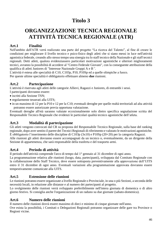# **Titolo 3**

## **ORGANIZZAZIONE TECNICA REGIONALE ATTIVITÀ TECNICA REGIONALE (ATR)**

## **Art.1 Finalità**

Nell'ambito dell'ATR verrà realizzato una parte del progetto "La ricerca del Talento", al fine di creare le condizioni per migliorare il livello tecnico e psico-fisico degli atleti che si siano messi in luce nell'attività agonistica federale, creando allo stesso tempo una sinergia tra lo staff tecnico della Nazionale e gli staff tecnici regionali. Detti atleti, qualora evidenziassero particolari motivazioni agonistiche e ulteriori miglioramenti tecnici, avranno la possibilità di accedere al "Centro Federale Giovani", con la conseguente attribuzione della qualifica di atleti Juniores di "Interesse Nazionale Gruppi A e B*"*.

L'attività è estesa alle specialità di C10, C103p, P10, P10Sp ed a quelle olimpiche a fuoco. Per queste ultime specialità è obbligatorio effettuare almeno **due** riunioni.

## **Art.2 Partecipazione**

L'attività è riservata agli atleti delle categorie Allievi, Ragazzi e Juniores, di entrambi i sessi.

- I partecipanti dovranno essere:
- iscritti alla Sezione TSN;
- regolarmente tesserati alla UITS;
- in un massimo di 12 per la P10 e 12 per la C10; eventuali deroghe per quelle realtà territoriali ad alta attività potranno essere autorizzate previa opportuna valutazione.

Eventuali deroghe all'età saranno valutate eccezionalmente solo dietro specifica segnalazione scritta del Responsabile Tecnico Regionale che evidenzi le particolari qualità tecnico agonistiche dell'atleta.

## **Art.3 Modalità di partecipazione**

Gli atleti vengono convocati dal CR su proposta del Responsabile Tecnico Regionale, sulla base del ranking regionale, dopo aver sentito il parere dei Tecnici Regionali di riferimento e valutato le motivazioni agonistiche. È obbligatorio l'inserimento delle discipline di C103p (3x10) e P10Sp (20+20) per la categoria Ragazzi. Alle riunioni gli atleti dovranno essere accompagnati da un tecnico o, eventualmente, da un dirigente della Sezione di appartenenza, che sarà responsabile della trasferta e del trasporto armi.

## **Art.4 Periodo di attività**

Il periodo dell'attività comprende l'arco di tempo dal 1° gennaio al 31 dicembre di ogni anno.

La programmazione relativa alle riunioni (luogo, data, partecipanti), sviluppata dal Comitato Regionale con la collaborazione dello Staff Tecnico, deve essere sottoposta preventivamente alla approvazione dell'UITS entro il 31 dicembre di ogni anno. Eventuali variazioni alla programmazione approvata dovranno essere tempestivamente comunicate alla UITS.

## **Art.5 Estensione delle riunioni**

Le riunioni potranno essere organizzate a livello Regionale o Provinciale, in una o più Sezioni, a seconda delle necessità locali, in relazione alle distanze e al numero dei partecipanti al progetto.

Lo svolgimento delle riunioni verrà sviluppato preferibilmente nell'intera giornata di domenica o di altro giorno festivo. Si consiglia anche l'organizzazione di un raduno su due giornate (sabato-domenica).

## **Art.6 Numero delle riunioni**

Il numero delle riunioni dovrà essere massimo di dieci e minimo di cinque giornate nell'anno. Ove esista la possibilità, i Comitati o Delegazioni Regionali potranno organizzare delle gare tra Province o Regioni vicine.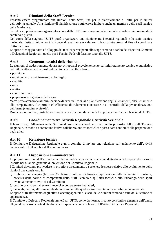## **Art.7 Riunioni dello Staff Tecnico**

Possono essere programmate due riunioni dello Staff, una per la pianificazione e l'altra per la sintesi dell'attività annuale. Alla riunione di pianificazione potrà essere invitato anche un membro dello staff tecnico della Nazionale.

Se del caso, potrà essere organizzato a cura della UITS uno stage annuale riservato ai soli tecnici regionali di carabina e pistola.

Nel corso della stagione l'UITS potrà organizzare una riunione tra i tecnici regionali e lo staff tecnico nazionale. Detta riunione avrà lo scopo di analizzare e valutare il lavoro intrapreso, al fine di coordinare l'attività futura.

Le spese di viaggio, vitto ed alloggio dei tecnici partecipanti allo stage saranno a carico dei rispettivi Comitati o Delegazioni Regionali, quelle per i Tecnici Federali faranno capo alla UITS.

## **Art.8 Contenuti tecnici delle riunioni**

Le riunioni di addestramento dovranno svilupparsi prevalentemente sul miglioramento tecnico e agonistico dell'atleta attraverso l'approfondimento dei concetti di base.

- posizione
- movimento di avvicinamento al bersaglio
- stabilità
- mira
- scatto
- controllo finale
- preparazione e gestione della gara

Verrà posta attenzione all'eliminazione di eventuali vizi, alla pianificazione degli allenamenti, all'allenamento alla competizione, al controllo ed efficienza di indumenti e accessori e al controllo della personalizzazione dell'arma (carabina o pistola).

Dovrà essere, inoltre, posta la necessaria cura all'apprendimento del Regolamento Tecnico Nazionale UITS.

## **Art.9 Coordinamento tra Attività Regionale e Attività Sezionale**

Il lavoro degli Allenatori nelle Sezioni dovrà essere coordinato con quello proposto dallo Staff Tecnico Regionale, in modo da creare una fattiva collaborazione tra tecnici che possa dare continuità alla preparazione degli atleti.

### **Art.10 Relazione tecnica**

Il Comitato o Delegazione Regionale avrà il compito di inviare una relazione sull'andamento dell'attività tecnica entro il 31 ottobre dell'anno in corso.

## **Art.11 Disposizioni amministrative**

La programmazione dell'attività e la relativa indicazione della previsione dettagliata della spesa deve essere inserita nel bilancio generale di previsione del Comitato Regionale.

I Comitati dovranno provvedere in proprio e direttamente a sostenere le spese relative allo svolgimento delle riunioni che consistono in:

- *a)* rimborso del viaggio (ferrovia 2^ classe o pullman di linea) e liquidazione della indennità di trasferta, prevista dalle norme, ai componenti dello Staff Tecnico e agli altri tecnici o allo Psicologo dello sport eventualmente convocati dal Comitato;
- *b)* cestino pranzo per allenatori, tecnici accompagnatori ed atleti;
- *c)* bersagli, pallini, altro materiale di consumo e tutte quelle altre ritenute indispensabili e documentate*.*

Le spese di trasferimento degli atleti e accompagnatori alle sedi delle riunioni saranno a cura della Sezione di appartenenza.

Il Comitato o Delegato Regionale invierà all'UITS, come da norma, il conto consuntivo generale dell'anno, allegando ad esso la nota dettagliata delle spese sostenute a favore dell'Attività Tecnica Regionale.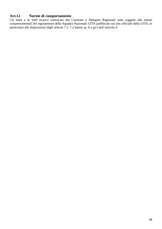## **Art.12 Norme di comportamento**

Gli atleti e lo staff tecnico convocato dal Comitato o Delegato Regionale sono soggetti alle norme comportamentali del regolamento della Squadra Nazionale UITS pubblicato sul sito ufficiale della UITS, in particolare alle disposizioni degli articoli 7.1, 7.2 lettere a), f) e g) e dell'articolo 8.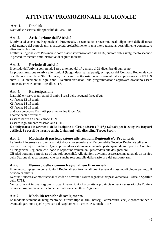# **ATTIVITA' PROMOZIONALE REGIONALE**

## **Art. 1. Finalità**

L'attività è riservata alle specialità di C10, P10.

## **Art. 2. Articolazione dell'Attività**

L'attività ad estensione Regionale e/o Provinciale, a seconda delle necessità locali, dipendenti dalle distanze e dal numero dei partecipanti, si articolerà preferibilmente in una intera giornata: possibilmente domenica o altro giorno festivo.

L'attività Regionale e/o Provinciale potrà essere sovvenzionata dall'UITS, qualora abbia svolgimento secondo le procedure tecnico amministrative di seguito indicate.

## **Art. 3. Periodo di attività**

Il periodo dell'attività comprende l'arco di tempo dal 1° gennaio al 31 dicembre di ogni anno.

La programmazione relativa alle riunioni (luogo, data, partecipanti), sviluppata dal Comitato Regionale con la collaborazione dello Staff Tecnico, deve essere sottoposta preventivamente alla approvazione dell'UITS entro il 31 dicembre di ogni anno. Eventuali variazioni alla programmazione approvata dovranno essere tempestivamente comunicate alla UITS.

## **Art. 4. Partecipazione**

L'attività è riservata agli atleti di ambo i sessi delle seguenti fasce d'età:

- •1^fascia: 12-13 anni;
- •2^fascia: 14-15 anni;

•3^fascia: 16-18 anni.

Si dovrà prevedere l'attività per almeno due fasce d'età.

I partecipanti dovranno:

• essere iscritti ad una Sezione TSN;

• essere regolarmente tesserati alla UITS.

**È obbligatorio l'inserimento delle discipline di C103p (3x10) e P10Sp (20+20) per le categorie Ragazzi e Allievi. Se possibile inserire anche 2 riunioni nella disciplina Target Sprint.**

### **Art. 5. Modalità di partecipazione alle riunioni Regionali e/o Provinciali**

Le Sezioni interessate a questa attività dovranno segnalare al Responsabile Tecnico Regionale gli atleti in possesso dei requisiti richiesti. Questi provvederà a stilare un elenco dei partecipanti da sottoporre al Comitato o Delegazione Regionale che, dopo le opportune valutazioni, provvederà alle designazioni.

Gli atleti potranno partecipare ad una sola specialità. Alle riunioni dovranno essere accompagnati da un tecnico della Sezione di appartenenza, che sarà anche responsabile della trasferta e del trasporto armi.

## **Art.6. Numero delle riunioni Regionali e/o Provinciali**

Il numero complessivo delle riunioni Regionali e/o Provinciali dovrà essere al massimo di cinque per tutto il periodo di attività.

Eventuali successive modifiche al calendario dovranno essere segnalate tempestivamente all'Ufficio Sportivo della UITS.

Nel caso in cui in una Regione si organizzano riunioni a carattere provinciale, sarà necessario che l'ultima riunione programmata nel ciclo dell'attività sia a carattere Regionale.

## **Art.7. Modalità tecniche di svolgimento**

Le modalità tecniche di svolgimento dell'attività (tipo di armi, bersagli, attrezzature, ecc.) e procedure per le eventuali gare sono quelle previste dal Regolamento Tecnico Nazionale UITS.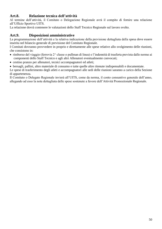## **Art.8. Relazione tecnica dell'attività**

Al termine dell'attività, il Comitato o Delegazione Regionale avrà il compito di fornire una relazione all'Ufficio Sportivo UITS.

La relazione dovrà contenere le valutazioni dello Staff Tecnico Regionale sul lavoro svolto.

## **Art.9. Disposizioni amministrative**

La programmazione dell'attività e la relativa indicazione della previsione dettagliata della spesa deve essere inserita nel bilancio generale di previsione del Comitato Regionale.

I Comitati dovranno provvedere in proprio e direttamente alle spese relative allo svolgimento delle riunioni, che consistono in:

- rimborso del viaggio (ferrovia 2^ classe o pullman di linea) e l'indennità di trasferta prevista dalle norme ai componenti dello Staff Tecnico e agli altri Allenatori eventualmente convocati;
- cestino pranzo per allenatori, tecnici accompagnatori ed atleti;
- bersagli, pallini, altro materiale di consumo e tutte quelle altre ritenute indispensabili e documentate.

Le spese di trasferimento degli atleti e accompagnatori alle sedi delle riunioni saranno a carico della Sezione di appartenenza.

Il Comitato o Delegato Regionale invierà all'UITS, come da norma, il conto consuntivo generale dell'anno, allegando ad esso la nota dettagliata delle spese sostenute a favore dell'Attività Promozionale Regionale.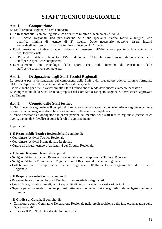## **STAFF TECNICO REGIONALE**

## **Art. 1. Composizione**

Lo Staff Tecnico Regionale è così composto:

- un Responsabile Tecnico Regionale, con qualifica minima di tecnico di 2° livello.
- n. 2 Tecnici Regionali, uno per ciascuna delle due specialità d'arma (corte e lunghe), con qualifica minima di tecnico di 2° livello. Dove necessario possono essere inseriti anche degli assistenti con qualifica minima di tecnico di 2° livello.
- Possibilmente un Giudice di Gara federale in possesso dell'abilitazione per tutte le specialità di tiro, laddove esiste.
- un Preparatore Atletico, laureato IUSM o diplomato ISEF, che avrà funzioni di consulente dello staff per le specifiche competenze.
- Eventualmente uno Psicologo dello sport, che avrà funzioni di consulente dello staff per le specifiche competenze.

## **Art. 2. Designazione degli Staff Tecnici Regionali**

Le proposte per la designazione dei componenti dello Staff e del preparatore atletico saranno formulate all'Ufficio Sportivo UITS dal Comitato o Delegato Regionale.

Ciò vale anche per tutte le variazioni allo Staff Tecnico che si rendessero successivamente necessarie. La composizione dello Staff Tecnico, proposta dal Comitato o Delegato Regionale, dovrà essere approvata dall'Unione.

## **Art. 3. Compiti dello Staff tecnico**

Lo Staff Tecnico Regionale ha il compito di fornire consulenza al Comitato o Delegazione Regionale per tutte le attività tecnico-organizzative che si svolgeranno nella zona di competenza.

Si rende necessaria ed obbligatoria la partecipazione dei membri dello staff tecnico regionale (tecnici di 2° livello, tecnici di 3° livello) ai corsi federali di aggiornamento.

In particolare:

#### **1**. **Il Responsabile Tecnico Regionale** ha il compito di:

- Coordinare l'Attività Tecnica Regionale
- Coordinare l'Attività Promozionale Regionale
- Curare gli aspetti tecnico-organizzativi del Circuito Regionale.

#### **2. I Tecnici Regionali** hanno il compito di:

- Svolgere l'Attività Tecnica Regionale concordata con il Responsabile Tecnico Regionale
- Svolgere l'Attività Promozionale Regionale con il Responsabile Tecnico Regionale
- Collaborare con il Responsabile Tecnico Regionale nell'attività tecnico-organizzativa del Circuito Regionale.

#### **3. Il Preparatore Atletico** ha il compito di:

- Proporre, in accordo con lo Staff Tecnico, il lavoro atletico degli atleti.
- Consigliare gli atleti sui modi, tempi e quantità di lavoro da effettuare nei vari periodi.
- Seguire periodicamente il lavoro proposto attraverso conversazioni con gli atleti, da svolgere durante le riunioni.

#### **4. Il Giudice di Gara** ha il compito di:

- Collaborare con il Comitato o Delegazione Regionale nella predisposizione della fase organizzativa delle "Gare Federali".
- Illustrare il R.T.N. di Tiro alle riunioni tecniche.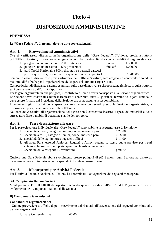## **Titolo 4**

# **DISPOSIZIONI AMMINISTRATIVE**

## **PREMESSA**

#### **Le "Gare Federali", di norma, devono auto sovvenzionarsi**.

### **Art. 1. Provvedimenti amministrativi**

Ove si verificassero disavanzi nella organizzazione delle "Gare Federali", l'Unione, previa istruttoria dell'Ufficio Sportivo*,* provvederà ad erogare un contributo entro i limiti e con le modalità di seguito elencate:

- 1. per gare con un massimo di 200 prestazioni fino a  $\epsilon$  1.500,00
- 2. per gare con un massimo di 600 prestazioni fino a  $\epsilon$  1.000,00
- 3. per i Trofei Nazionali a 300m disputati su bersagli cartacei per l'acquisto degli stessi, oltre a quanto previsto al punto 1  $\epsilon$ 1.200,00

Sempre in caso di disavanzo e previa istruttoria dell'Ufficio Sportivo, sarà erogato un contributo fino ad un massimo di  $\epsilon$  500,00 per l'organizzazione delle gare del circuito Target Sprint.

Casi particolari di disavanzo saranno esaminati sulla base di motivata e circostanziata richiesta la cui istruttoria sarà curata sempre dall'ufficio Sportivo.

Per le gare organizzate in due poligoni, il contributo è unico e verrà corrisposto alla Sezione organizzatrice. La Sezione dovrà inviare all'Unione la richiesta di contributo, entro 30 giorni dal termine della gara. Il modello deve essere firmato dal Presidente della Sezione che se ne assume la responsabilità.

I documenti giustificativi delle spese dovranno essere conservati presso la Sezione organizzatrice, a disposizione per gli eventuali controlli dell'Unione.

Nei consuntivi relativi all'organizzazione delle gare non è consentito inserire le spese dei materiali e delle attrezzature fisse o mobili di dotazione stabile del poligono.

### **Art. 2. Tasse di iscrizione alle gare**

Per la partecipazione individuale alle "Gare Federali" sono stabilite le seguenti tasse di iscrizione:

|  | 1. specialità a fuoco; categorie uomini, donne, master e para | $\epsilon$ 21,00 |
|--|---------------------------------------------------------------|------------------|
|--|---------------------------------------------------------------|------------------|

|  |  | 2. specialità a m 10; categorie uomini, donne, master e para | $\epsilon$ 16,00 |
|--|--|--------------------------------------------------------------|------------------|
|--|--|--------------------------------------------------------------|------------------|

- 3. specialità delle ctg. juniores, ragazzi e allievi  $\epsilon$  11,00
- 4. gli atleti Para tesserati Juniores, Ragazzi e Allievi pagano le stesse quote previste per i pari categoria Normo seppure partecipanti in classifica unica Para
- 5. specialità della categoria Giovanissimi gratuite

Qualora una Gara Federale abbia svolgimento presso poligoni di più Sezioni, ogni Sezione ha diritto ad incassare le quote di iscrizione per le specialità disputate presso di essa.

### **Art. 3. Montepremi per Attività Federale**

Per l'Attività Federale Nazionale, l'Unione ha determinato l'assegnazione dei seguenti montepremi:

#### *A)* **Campionato Italiano Società:**

Montepremi =  $\epsilon$ . 130.000,00 da ripartirsi secondo quanto riportato all'art. 6) del Regolamento per lo svolgimento del Campionato Italiano delle Società

#### **B) Campionato Giovanissimi**

#### **Contributi di organizzazione:**

l'Unione provvederà d'ufficio, dopo il ricevimento dei risultati, all'assegnazione dei seguenti contributi alle Sezioni organizzatrici:

1. Fase Comunale:  $\epsilon$  60.00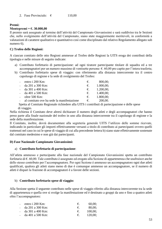#### **Premi:**

#### **Montepremi = €. 30.000,00**

Il premio sarà assegnato al termine dell'attività del Campionato Giovanissimi e sarà suddiviso tra le Sezioni che, nello svolgimento dell'attività del Campionato, siano state maggiormente meritevoli, in conformità a valutazioni di carattere qualitativo e quantitativo così come disciplinato dal relativo Regolamento allegato sub numero 6).

#### **C) Trofeo delle Regioni:**

A ciascun comitato delle otto Regioni ammesse al Trofeo delle Regioni la UITS eroga dei contributi della tipologia e nelle misure di seguito indicate:

- a) Contributo forfettario di partecipazione: ad ogni tiratore partecipante titolare di squadra ed a tre accompagnatori per un numero massimo di ventisette persone: €. 60,00 pro capite per l'intera trasferta;
- b) Contributo forfettario spese di viaggio: con riferimento alla distanza intercorrente tra il centro capoluogo di regione e la sede di svolgimento del Trofeo:

| - entro i $200$ Km:                         | $\epsilon$ . | 800,00:                |
|---------------------------------------------|--------------|------------------------|
| - da 201 a 300 Km:                          | $\epsilon$ . | 1.000,00;              |
| - da $301$ a $400$ Km:                      |              | $\epsilon$ . 1.200,00; |
| - da 401 a 500 Km:                          |              | $\epsilon$ . 1.400,00; |
| - oltre $500$ Km:                           |              | $\epsilon$ . 1.800,00; |
| - al comitato ove ha sede la manifestazione | $\epsilon$ . | 200,00.                |

 Spetta al Comitato Regionale richiedere alla UITS i contributi di partecipazione e delle spese di viaggio.

Nella richiesta il Comitato deve altresì dichiarare il numero degli atleti e degli accompagnatori che hanno preso parte alla finale nazionale del trofeo in uno alla distanza intercorrente tra il capoluogo di regione e la sede della manifestazione.

Il Comitato, inoltre, dovrà documentare alla segreteria generale UITS l'utilizzo delle somme ricevute, indicando in particolare gli importi effettivamente versasti a titolo di contributo ai partecipanti ovvero quelli trattenuti nel caso in cui le spese di viaggio di cui alla precedente lettera b) siano state effettivamente sostenute dal comitato medesimo e non già dai partecipanti.

#### **D) Fase Nazionale Campionato Giovanissimi:**

#### a) **Contributo forfettario di partecipazione**:

All'atleta ammesso e partecipante alla fase nazionale del Campionato Giovanissimi spetta un contributo forfetario di €. 60,00. Tale contributo è assegnato ed erogato alla Sezione di appartenenza che usufruisce anche dello stesso contributo per l'accompagnatore. Per ogni Sezione è ammesso un accompagnatore ogni due atleti qualificati, qualora gli atleti siano meno di due è comunque ammesso un accompagnatore, se il numero di atleti è dispari la frazione di accompagnatori è a favore delle sezioni.

#### b) **Contributo forfettario spese di viaggio:**

Alla Sezione spetta il seguente contributo nelle spese di viaggio riferito alla distanza intercorrente tra la sede di appartenenza e quella ove si svolge la manifestazione ed è destinato a gruppi da uno e fino a quattro atleti oltre l'accompagnatore:

| - entro $\frac{1}{200}$ Km: | €.           | 60,00;  |
|-----------------------------|--------------|---------|
| - da $201$ a $300$ Km:      | $\epsilon$ . | 80,00;  |
| - da $301$ a $400$ Km:      |              | 100,00; |
| - da 401 a 500 Km:          | $\epsilon$ . | 120,00; |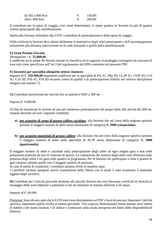| da 501 a 600 Km: | 150,00; |
|------------------|---------|
| oltre i 600 Km:  | 200,00. |

Il contributo per le spese di viaggio, così come determinato, si ripete qualora la Sezione ha più di quattro tiratori partecipanti alla manifestazione.

Spetta alla Sezione richiedere alla UITS i contributi di partecipazione e delle spese di viaggio.

Nella richiesta la Sezione deve altresì dichiarare il nominativo degli atleti partecipanti e dell'accompagnatore unitamente alla distanza intercorrente tra la sede sezionale e quella della manifestazione.

#### **E) Gran Premio Giovani:**

#### Montepremi =  $\epsilon$ . **55.000,00**

è suddiviso tra le prime 40 Sezioni entrate in classifica ed in rapporto al punteggio conseguito da ciascuna di essa così come specificato nell'art.3 del regolamento del GPG contenuto nel presente PSF.

#### **F) Incentivi per specialità olimpiche settore Juniores**:

Importo di €. **320.000,00** equamente suddiviso per le specialità di PA JU, PSp JD, CL3P JU, CS3P JD, C10 JU, C10 JD, P10 JU, P10 JD secondo criteri di qualità e di partecipazione stabiliti nel relativo disciplinare allegato sub numero 7).

**G)** Contributi incentivanti per attività tiro accademico ISSF a 300 mt. –

Importo €. 9.000,00

Al fine di incentivare le sezioni ad una più numerosa partecipazione dei propri atleti alle attività dei 300 mt. saranno devoluti ad esse i seguenti contributi:

- **a) per acquisto di arma di grosso calibro carabina**: alla Sezione che nel corso della stagione sportiva presenti il maggior numero di atleti senza distinzione di categoria: **€. 5000 (cinquemila);**
- **b) per acquisto munizioni di grosso calibro**: alla Sezione che nel corso della stagione sportiva presenti il maggior numero di atleti nella specialità di AL3P senza distinzione di categoria: **€. 4000 (quattromila)**

Il maggior numero di atleti è calcolato sulla partecipazione degli atleti ad ogni singola gara e non sulle prestazioni praticate da essi in ciascuna di queste. La valutazione del numero degli atleti sarà effettuata sulla presenza degli atleti a tre gare sulle quattro in programma. Per le Sezioni che partecipano a tutte e quattro le gare saranno valutate quelle con il maggior numero di presenze.

In caso di parità di condizioni i contributi saranno divisi in maniera equa.

I contributi saranno assegnati previa acquisizione della fattura con la quale è stato acquistato il materiale oggetto degli incentivi.

**H)** Contributi per l'attività giovanile destinati alle piccole Sezioni che non rilasciano certificati di idoneità al maneggio delle armi (diplomi e patentini) o che ne emettono in numero inferiore a 50 annui.

Importo di €. 60.000

Premessa: Sono diversi anni che la UITS interviene direttamente nel PSF e fuori di esso per finanziare l'attività sportiva, soprattutto quella rivolta al settore giovanile. Tali cospicui finanziamenti hanno portato senz'ombra di dubbio a dei buoni risultati. Ciò induce a continuare sulla strada intrapresa nei limiti delle disponibilità di bilancio.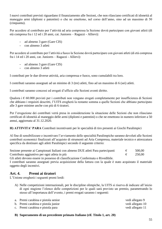I nuovi contributi previsti riguardano il finanziamento alle Sezioni, che non rilasciano certificati di idoneità al maneggio armi (diplomi e patentini) o che ne emettono, nel corso dell'anno, sino ad un massimo di 50 (cinquanta).

Per accedere al contributo per l'attività ad aria compressa la Sezione dovrà partecipare con giovani atleti (di età compresa fra i 12 ed i 20 anni, cat. Juniores – Ragazzi - Allievi):

- **-** ad almeno 3 gare (Gare CIS)
- **-** con almeno 3 atleti

Per accedere al contributo per l'attività a fuoco la Sezione dovrà partecipare con giovani atleti (di età compresa fra i 14 ed i 20 anni, cat. Juniores – Ragazzi - Allievi):

- **-** ad almeno 3 gare (Gare CIS)
- **-** con almeno 3 atleti

I contributi per le due diverse attività, aria compressa e fuoco, sono cumulabili tra loro.

I contributi saranno assegnati ad un minimo di 3 (tre) atleti, fino ad un massimo di 6 (sei) atleti.

I contributi saranno concessi ed erogati d'ufficio alle Sezioni aventi diritto.

Qualora i € 60.000 previsti per i contributi non vengano erogati completamente per insufficienza di Sezioni che abbiano i requisiti descritti, l'UITS erogherà la restante somma a quelle Sezioni che abbiano partecipato alle 3 gare minime anche con più di 6 tiratori.

Per l'erogazione dei contributi verrà presa in considerazione la situazione delle Sezioni che non rilasciano certificati di idoneità al maneggio delle armi (diplomi e patentini) o che ne emettono in numero inferiore a 50 annui, aggiornata al 31.12.2020.

**H) ATTIVITA' PARA** Contributi incentivanti per le specialità di tiro presenti ai Giochi Paralimpici

Al fine di sensibilizzare e incentivare l'avviamento delle specialità Paralimpiche saranno devoluti alle Sezioni contributi economici finalizzati all'acquisto di strumenti ad Aria Compressa, materiale tecnico e attrezzatura specifica da destinare agli atleti Paralimpici secondo il seguente criterio:

| Sezione presente ai Campionati Italiani con almeno DUE atleti Para partecipanti | 500,00 |
|---------------------------------------------------------------------------------|--------|
| Contributo aggiuntivo per ogni atleta in più                                    | 250,00 |

Gli atleti devono essere in possesso di classificazione Confermata o Rivedibile.

I contributi saranno assegnati previa acquisizione della fattura con la quale è stato acquistato il materiale oggetto degli incentivi.

## **Art. 4. Premi ai tiratori**

L'Unione erogherà i seguenti premi lordi:

A) Nelle competizioni internazionali, per le discipline olimpiche, la UITS si riserva di indicare all'inizio di ogni stagione l'elenco delle competizioni per le quali sarà previsto un premio, parametrando lo stesso all'importanza dell'evento, i premi erogati saranno i seguenti:

| a. Premi carabina e pistola senior | vedi allegato 9  |
|------------------------------------|------------------|
| b. Premi carabina e pistola junior | vedi allegato 10 |
| c. Premi carabina e pistola para   | vedi allegato 11 |
|                                    |                  |

#### **B) Superamento di un precedente primato Italiano (rif. Titolo 1, art. 20)**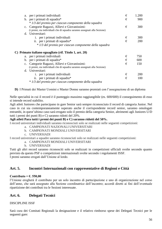| a.             | per i primati individuali                                                | € | 1.200 |
|----------------|--------------------------------------------------------------------------|---|-------|
|                | b. per i primati di squadra*                                             | € | 900   |
|                | * 1/3 del premio per ciascun componente della squadra                    |   |       |
| $\mathbf{c}$ . | Categorie Ragazzi, Allievi e Giovanissimi:                               | € | 300   |
|                | (i premi, sia individuali che di squadra saranno assegnati alla Sezione) |   |       |
|                | d. Universitari:                                                         |   |       |
|                | <i>i.</i> per i primati individuali                                      | € | 300   |
|                | ii. per i primati di squadra*                                            | € | 200   |
|                | * 1/3 del premio per ciascun componente della squadra                    |   |       |
|                |                                                                          |   |       |
|                | C) Primato italiano eguagliato (rif. Titolo 1, art. 20)                  |   |       |
|                | a. per i primati individuali                                             | € | 750   |
|                | b. per i primati di squadra*                                             | € | 600   |
| $\mathbf{C}$ . | Categorie Ragazzi, Allievi e Giovanissimi:                               | € | 150   |
|                | (i premi, sia individuali che di squadra saranno assegnati alla Sezione) |   |       |
| d.             | Universitari:                                                            |   |       |
|                | <i>i.</i> per i primati individuali                                      | € | 200   |
|                | ii. per i primati di squadra*                                            | € | 100   |
|                | * 1/3 del premio per ciascun componente della squadra                    |   |       |

**D)** I Primati dei Master Uomini e Master Donne saranno premiati con l'assegnazione di un diploma

Nelle specialità in cui il record è il punteggio massimo raggiungibile (es. 600/600) il conseguimento di esso si intende record stabilito.

Agli atleti Juniores che partecipano in gare Senior sarà sempre riconosciuto il record di categoria Junior. Nel caso in cui sia contemporaneamente superato anche il corrispondente record senior, saranno omologati entrambi, in quest'ultimo caso sarà erogato solo il premio della categoria Senior, altrimenti agli Juniores U/D tutti i premi dei punti B) e C) saranno ridotti del 20%.

#### **Agli atleti Para tutti i premi dei punti B) e C) saranno ridotti del 50%.**

I record universitari individuali saranno riconosciuti solo se realizzati nelle seguenti competizioni:

- a. CAMPIONATI NAZIONALI UNIVERSITARI
- b. CAMPIONATI MONDIALI UNIVERSITARI
- c. UNIVERSIADI

I record universitari a squadre saranno riconosciuti solo se realizzati nelle seguenti competizioni:

a. CAMPIONATI MONDIALI UNIVERSITARI

b. UNIVERSIADI

Tutti gli altri record saranno riconosciti solo se realizzati in competizioni ufficiali svolte secondo quanto previsto da questo PSF o competizioni internazionali svolte secondo i regolamenti ISSF. I premi saranno erogati dall'Unione al lordo.

### **Art. 5. Incontri Internazionali con rappresentative di Regioni e Città**

#### **Contributo =**  $\epsilon$ **. 550,00**

l'Unione erogherà il contributo per un solo incontro di partecipazione e uno di organizzazione nel corso dell'anno, che sarà assegnato alla Sezione coordinatrice dell'incontro; accordi diretti ai fini dell'eventuale ripartizione dei contributi tra le Sezioni interessate.

### **Art. 6. Delegati Tecnici**

#### DISCIPLINE ISSF

Sarà cura dei Comitati Regionali la designazione e il relativo rimborso spese dei Delegati Tecnici per le seguenti gare: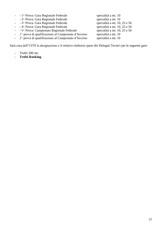| one e il relativo rituotiso spese dei Delegati Technel per le seguent |  |  |
|-----------------------------------------------------------------------|--|--|
|                                                                       |  |  |
|                                                                       |  |  |
|                                                                       |  |  |
|                                                                       |  |  |
|                                                                       |  |  |
|                                                                       |  |  |
|                                                                       |  |  |
|                                                                       |  |  |
|                                                                       |  |  |
|                                                                       |  |  |
|                                                                       |  |  |
|                                                                       |  |  |
|                                                                       |  |  |

- - 1^ Prova: Gara Regionale Federale specialità a mt. 10
- - 2^ Prova: Gara Regionale Federale specialità a mt. 10<br>- 3^ Prova: Gara Regionale Federale specialità a mt. 10, 25 e 50
- $-$  3^ Prova: Gara Regionale Federale
- - 4^ Prova: Gara Regionale Federale specialità a mt. 10, 25 e 50<br>- 5^ Prova: Campionato Regionale Federale specialità a mt. 10, 25 e 50
- - 5^ Prova: Campionato Regionale Federale specialità a mt. 10,<br>- 1^ prova di qualificazione al Campionato d'Inverno specialità a mt. 10
- $-$  1^ prova di qualificazione al Campionato d'Inverno
- $\frac{1}{2}$  2<sup>^</sup> prova di qualificazione al Campionato d'Inverno specialità a mt. 10

Sarà cura dell'UITS la designazione e il relativo rimborso spese dei Delegati Tecnici per le seguenti gare:

- Trofei 300 mt;
- **Trofei Ranking.**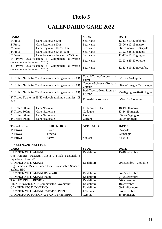# **Titolo 5**

# **CALENDARIO GARE 2022**

| <b>GARA</b>                                                              |                                                                   | <b>SEDE</b>                           | <b>DATE</b>                    |
|--------------------------------------------------------------------------|-------------------------------------------------------------------|---------------------------------------|--------------------------------|
| 1 <sup>^</sup> Prova                                                     | Gara Regionale 10m                                                | Sedi varie                            | 12-13 e 19-20 febbraio         |
| 2^Prova                                                                  | Gara Regionale 10m                                                | Sedi varie                            | 05-06 e 12-13 marzo            |
| 3 <sup>^</sup> Prova                                                     | Gara Regionale 10-25-50m                                          | Sedi varie                            | 26-27 marzo e 2-3 aprile       |
| 4^Prova                                                                  | Gara Regionale 10-25-50m                                          | Sedi varie                            | 21-22 e 28-29 maggio           |
| 5 <sup>^</sup> Prova                                                     | Campionato Regionale 10-25-50m                                    | Sedi varie                            | 11-12 e 18-19 giugno           |
| 1 <sup>^</sup> Prova<br>(valevole ammissione CI 2023)                    | Qualificazione al Campionato d'Inverno                            | Sedi varie                            | 22-23 e 29-30 ottobre          |
| Prova Qualificazione al<br>$2^{\wedge}$<br>(valevole ammissione CI 2023) | Campionato<br>d'Inverno                                           | Sedi varie                            | 12-13 e 19-20 novembre         |
|                                                                          |                                                                   |                                       |                                |
|                                                                          | $1^{\circ}$ Trofeo Naz.le (m 25/50 valevole ranking e ammiss. CI) | Napoli-Torino-Verona<br>Palmi         | 9-10 e 23-24 aprile            |
|                                                                          | $2^{\circ}$ Trofeo Naz.le (m 25/50 valevole ranking e ammiss. CI) | Candela-Bologna - Roma -<br>Catania   | $30$ apr-1 mag. e $7-8$ maggio |
|                                                                          | 3° Trofeo Naz.le (m 25/50 valevole ranking e ammiss. CI)          | Bari-Treviso-Novi Ligure -<br>Firenze | $25-26$ giugno e 02-03 luglio  |
| 2023)                                                                    | 4° Trofeo Naz.le (m 25/50 valevole ranking e ammiss. CI           | Roma-Milano-Lucca                     | 8-9 e 15-16 ottobre            |

| $1^\circ$ Trofeo 300m          | Gara Nazionale | Colle Val D'Elsa | 18-19-20 marzo    |
|--------------------------------|----------------|------------------|-------------------|
| $\sim$ 2 $\degree$ Trofeo 300m | Gara Nazionale | Codogno          | 13-14-15 maggio   |
| $\frac{3}{5}$ Trofeo 300m      | Gara Nazionale | Pavia            | $03-04-05$ giugno |
| $4^{\circ}$ Trofeo 300m        | Gara Nazionale | Carrara          | $08-09-10$ luglio |

| <b>Target Sprint</b> | <b>SEDE NORD</b> | <b>SEDE SUD</b> | <b>DATE</b> |
|----------------------|------------------|-----------------|-------------|
| $1^\circ$ Prova      | Lucca            |                 | 25 aprile   |
| $2^{\circ}$ Prova    | Treviso          |                 | 22 maggio   |
| $3^\circ$ Prova      | Soave            | Subiaco         | 3 luglio    |

| <b>FINALI NAZIONALI ISSF</b>                             |             |                           |  |  |  |  |  |  |
|----------------------------------------------------------|-------------|---------------------------|--|--|--|--|--|--|
| <b>GARA</b>                                              | <b>SEDE</b> | <b>DATE</b>               |  |  |  |  |  |  |
| <b>CAMPIONATI ITALIANI</b>                               | Da definire | 15-18 settembre           |  |  |  |  |  |  |
| Ctg. Juniores, Ragazzi, Allievi e Finali Nazionali a     |             |                           |  |  |  |  |  |  |
| Squadre escluso BM                                       |             |                           |  |  |  |  |  |  |
| <b>CAMPIONATI ITALIANI</b>                               | Da definire | 29 settembre $-2$ ottobre |  |  |  |  |  |  |
| Ctg. Seniores, Master, Para e Finali Nazionali a Squadre |             |                           |  |  |  |  |  |  |
| escluso BM                                               |             |                           |  |  |  |  |  |  |
| CAMPIONATI ITALIANI BM a m10                             | Da definire | 24-25 settembre           |  |  |  |  |  |  |
| <b>CAMPIONATI ITALIANI 300m</b>                          | Da definire | 24-25 settembre           |  |  |  |  |  |  |
| <b>TROFEO DELLE REGIONI</b>                              | Da definire | 5-6 novembre              |  |  |  |  |  |  |
| FINALE NAZIONALE Campionato Giovanissimi                 | Da definire | 18 settembre              |  |  |  |  |  |  |
| <b>CAMPIONATO D'INVERNO</b>                              | Da definire | 09-11 dicembre            |  |  |  |  |  |  |
| CAMPIONATI ITALIANI TARGET SPRINT                        | L'Aquila    | 3-4 settembre             |  |  |  |  |  |  |
| CAMPIONATO NAZIONALE UNIVERSITARIO                       | Cassino     | 18-19 maggio              |  |  |  |  |  |  |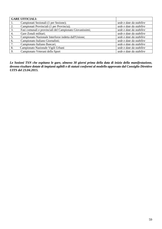|    | <b>GARE UFFICIALI:</b>                                   |                          |
|----|----------------------------------------------------------|--------------------------|
|    | Campionati Sezionali (1 per Sezione);                    | sede e date da stabilire |
| 2. | Campionati Provinciali (1 per Provincia);                | sede e date da stabilire |
| 3. | Fasi comunali e provinciali del Campionato Giovanissimi; | sede e date da stabilire |
| 4. | Gare Zonali militari;                                    | sede e date da stabilire |
| 5. | Campionato Nazionale Interforze indetta dall'Unione;     | sede e date da stabilire |
| 6. | Campionato Italiano Giornalisti;                         | sede e date da stabilire |
| 7. | Campionato Italiano Bancari;                             | sede e date da stabilire |
| 8. | Campionato Nazionale Vigili Urbani                       | sede e date da stabilire |
| 9. | Campionato Veterani dello Sport                          | sede e date da stabilire |

*Le Sezioni TSN che ospitano le gare, almeno 30 giorni prima della data di inizio della manifestazione, devono risultare dotate di impianti agibili e di statuti conformi al modello approvato dal Consiglio Direttivo UITS del 23.04.2015.*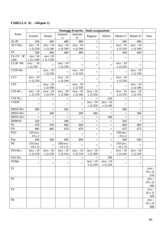## **TABELLA A) -** *Allegato 1)*

|                        | Punteggi di merito - limiti assegnazione |                                 |                                 |                                |                                 |                                |                                 |                                |                                        |
|------------------------|------------------------------------------|---------------------------------|---------------------------------|--------------------------------|---------------------------------|--------------------------------|---------------------------------|--------------------------------|----------------------------------------|
| Arma                   | <b>U</b> omini                           | Donne                           | Juniores<br>$\mathbf U$         | Juniores<br>D                  | Ragazzi                         | Allievi                        | Master U                        | Master D                       | Para                                   |
| AL3P                   | 500                                      | 490                             | 480                             | 480                            | $\equiv$                        | $\equiv$                       | 500                             | 490                            |                                        |
| $ALT$ 60 c             | $(\text{ecc}: 10)$<br>x 2) 550           | $(\text{ecc}: 10)$<br>(x 2) 540 | $(\text{ecc}: 10)$<br>(x 2) 540 | $(\text{ecc}: 10)$<br>x 2) 540 | $\qquad \qquad =$               | $=$                            | $(\text{ecc}: 10)$<br>x 2) 550  | $(\text{ecc}: 10)$<br>x 2) 540 |                                        |
| $\overline{\text{FS}}$ | 500                                      | 490                             | 480                             | 480                            | $=$                             | $=$                            | 500                             | 490                            |                                        |
| CL/CS 3P<br>120c       | $(\text{ecc}:10)$<br>x 2) 1100           | $(\text{ecc}:10)$<br>x 2) 1100  | $=$                             | $\equiv$                       | $\equiv$                        | $\quad \  \  =$                | $=$                             | $\equiv$                       |                                        |
| $CL3P$ 60 $c$          | $(\text{ecc}: 10)$<br>x 2) 530           | $\equiv$                        | $(\text{ecc}: 10)$<br>x 2) 520  | $\equiv$                       | $\equiv$                        | $=$                            | $(\text{ecc}: 10)$<br>x 2) 530  | $\qquad \qquad =\qquad \qquad$ |                                        |
| CS3P <sub>60c</sub>    | $\equiv$                                 | $(\text{ecc}: 10)$<br>x 2) 530  | $\equiv$                        | $(\text{ecc}: 10)$<br>x 2) 520 | $=$                             | $=$                            | $=$                             | $(\text{ecc}: 10)$<br>x 2) 530 |                                        |
| <b>CLT</b>             | $(\text{ecc}: 10)$<br>(x 2) 550          | $\quad =$                       | $(\text{ecc}: 10)$<br>(x 2) 540 | $\equiv$                       | $\equiv$                        | $=$                            | $(\text{ecc}: 10)$<br>(x 2) 550 | $=$                            |                                        |
| <b>CST</b>             | $=$                                      | $(\text{ecc}: 10)$<br>(x 2) 540 | $\equiv$                        | $(\text{ecc}: 10)$<br>x 2) 530 | $\equiv$                        | $\quad \  \  =$                | $\qquad \qquad =$               | $(\text{ecc}: 10)$<br>x 2) 540 |                                        |
| C10 60 c               | $(\text{ecc}: 10)$<br>x 2) 570           | $(\text{ecc}: 10)$<br>x 2) 570  | $(\text{ecc}: 10)$<br>x 2) 560  | $(\text{ecc}: 10)$<br>x 2) 560 | $(\text{ecc}: 10)$<br>(x 2) 550 | $=$                            | $(\text{ecc}: 10)$<br>x 2) 570  | $(\text{ecc}: 10)$<br>x 2) 570 |                                        |
| C1030c                 | $=$                                      | $=$                             | $=$                             | $=$                            | $=$                             | 210                            | $=$                             | $=$                            |                                        |
| C103P                  | $\qquad \qquad =\qquad \qquad$           | $=$                             | $=$                             | $\equiv$                       | $(\text{ecc}: 10)$<br>x 2) 250  | $(\text{ecc}: 10)$<br>x 2) 240 | $=$                             | $\qquad \qquad =\qquad \qquad$ |                                        |
| BM10 60 c              | 490                                      | $=$                             | 450                             | $\equiv$                       | $\equiv$                        |                                | 490                             | $\equiv$                       |                                        |
| BM1040c                | $\equiv$                                 | 300                             | $\equiv$                        | 290                            | 280                             | $\quad =$                      | $=$                             | 300                            |                                        |
| BM10 20 c              | $\equiv$                                 | $=$                             | $\equiv$                        | $\equiv$                       | $\equiv$                        | 100                            | $=$                             | $=$                            |                                        |
| <b>BMM10</b>           | 320                                      | $\equiv$                        | 300                             | $\equiv$                       | $\qquad \qquad =$               | $\equiv$                       | 320                             | $=$                            |                                        |
| PL                     | 470                                      | 470                             | 460                             | 460                            | $\quad \  \  =$                 | $=$                            | 460                             | 460                            |                                        |
| PA                     | 485                                      | 485                             | 470                             | 470                            | $\qquad \qquad =$               | $=$                            | 475                             | 475                            |                                        |
| $\rm PGC$              | 520 (ecc<br>$: 10 \times 2$              | $=$                             | $\equiv$                        | $\equiv$                       | $\equiv$                        | $=$                            | 520 (ecc<br>: $10 \ge 2$        | $\qquad \qquad =$              |                                        |
| Psp                    | 500                                      | 500                             | 490                             | 490                            | $\equiv$                        | $=$                            | 500                             | 500                            |                                        |
| <b>PS</b>              | 510 (ecc<br>: 10x2)                      | $=$                             | 500 (ecc<br>: 10x2)             | $\equiv$                       | $\quad \  \  =$                 | $=$                            | 510 (ecc<br>: 10x2)             | $\equiv$                       |                                        |
| P10 60 c               | (ecc: 10)<br>(x 2) 520                   | $(\text{ecc}: 10)$<br>(x 2) 520 | $(\text{ecc}: 10)$<br>(x 2) 510 | (ecc: 10)<br>x 2) 510          | (ecc: 10)<br>(x 2) 500          | $=$                            | (ecc: 10)<br>(x 2) 520          | (ecc: 10)<br>(x 2) 520         |                                        |
| P10 30 c               | $=$                                      | $=$                             | $=$                             | $=$                            | $\equiv$                        | 180                            | $=$                             | $=$                            |                                        |
| P10Sp                  | $\equiv$                                 | $=$                             | $=$                             | $\equiv$                       | $(\text{ecc}: 10)$<br>x 2) 330  | $(\text{ecc}: 10)$<br>x 2) 320 | $=$                             | $=$                            |                                        |
| P <sub>1</sub>         |                                          |                                 |                                 |                                |                                 |                                |                                 |                                | $(\text{ecc}:$<br>$10 \times 2$<br>510 |
| P2                     |                                          |                                 |                                 |                                |                                 |                                |                                 |                                | $(\text{ecc}:$<br>$10 \times 2$<br>500 |
| P <sub>3</sub>         |                                          |                                 |                                 |                                |                                 |                                |                                 |                                | $(\text{ecc}:$<br>$10 \times 2$<br>500 |
| <b>P4</b>              |                                          |                                 |                                 |                                |                                 |                                |                                 |                                | $(\text{ecc}:$<br>$10 \times 2$<br>480 |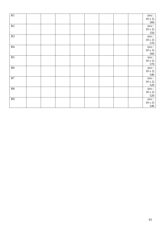| R1             |  |  |  |  | $(\text{ecc}:$<br>$10 \times 2$<br>560                 |
|----------------|--|--|--|--|--------------------------------------------------------|
| R2             |  |  |  |  | $(\text{ecc}:$<br>$10 \times 2$<br>550                 |
| R3             |  |  |  |  | $(\text{ecc}:$<br>$10 \times 2$<br>570                 |
| R4             |  |  |  |  | $(\text{ecc}:$<br>$10 \times 2$<br>560                 |
| R5             |  |  |  |  | $\frac{(\csc:10 \times 2)}{(\csc:10 \times 2)}$<br>570 |
| R6             |  |  |  |  | $(\text{ecc}:$<br>$10 \times 2$<br>540                 |
| $\mathbb{R}^7$ |  |  |  |  | $(\text{ecc}:$<br>$10 \times 2$<br>520                 |
| ${\sf R}8$     |  |  |  |  | $(\mathrm{ecc}:$<br>$\frac{10 \times 2}{520}$          |
| R9             |  |  |  |  | $(\text{ecc}:$<br>$10 \times 2$<br>540                 |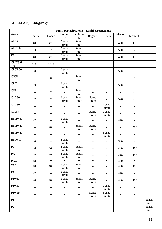## **TABELLA B) -** *Allegato 2)*

|                |                   |          | Punti partecipazione – Limiti assegnazione |                         |                 |                 |             |                 |                 |
|----------------|-------------------|----------|--------------------------------------------|-------------------------|-----------------|-----------------|-------------|-----------------|-----------------|
| Arma           | <b>Uomini</b>     | Donne    | Juniores<br>$\mathbf U$                    | Juniores<br>$\mathbf D$ | Ragazzi         | Allievi         | Master<br>U | Master D        |                 |
| AL3P           | 480               | 470      | Senza<br>limiti                            | Senza<br>limiti         | $\quad =$       | $\equiv$        | 480         | 470             |                 |
| ALT 60c.       | 530               | 520      | Senza<br>limiti                            | Senza<br>limiti         | $\equiv$        | $\equiv$        | 530         | 520             |                 |
| <b>FS</b>      | 480               | 470      | Senza<br>limiti                            | Senza<br>limiti         | $\equiv$        | $=$             | 480         | 470             |                 |
| CL/CS3P<br>120 | 1080              | 1080     | $=$                                        | $=$                     | $\equiv$        | $\equiv$        | $\equiv$    | $\equiv$        |                 |
| <b>CL3P60</b>  | 500               | $\equiv$ | Senza<br>limiti                            | $=$                     | $\equiv$        | $\equiv$        | 500         | $=$             |                 |
| CS3P           | $\equiv$          | 500      | $\qquad \qquad =\qquad$                    | Senza<br>limiti         | $\quad =$       | $=$             | $\equiv$    | 510             |                 |
| <b>CLT</b>     | 530               | $=$      | Senza<br>limiti                            | $=$                     | $\equiv$        | $=$             | 530         | $=$             |                 |
| <b>CST</b>     | $\equiv$          | 520      | $\equiv$                                   | Senza<br>limiti         | $\equiv$        | $=$             | $\equiv$    | 520             |                 |
| C10 60         | 520               | 520      | Senza<br>limiti                            | Senza<br>limiti         | Senza<br>limiti | $\equiv$        | 520         | 520             |                 |
| C10 30         | $\equiv$          | $=$      | $=$                                        | $=$                     | $\equiv$        | Senza<br>limiti | $\equiv$    | $=$             |                 |
| C103P          | $\equiv$          | $=$      | $\equiv$                                   | $=$                     | Senza<br>limiti | Senza<br>limiti | $\equiv$    | $=$             |                 |
| BM10 60        | 470               | $=$      | Senza<br>limiti                            | $=$                     | $\equiv$        | $=$             | 470         | $=$             |                 |
| <b>BM1040</b>  | $\equiv$          | 280      | $=$                                        | Senza<br>limiti         | Senza<br>limiti | $\equiv$        | $\equiv$    | 280             |                 |
| <b>BM1020</b>  | $\qquad \qquad =$ | $=$      | $=$                                        | $=$                     | $\equiv$        | Senza<br>limiti | $=$         | $=$             |                 |
| <b>BMM10</b>   | 300               | $\equiv$ | Senza<br>limiti                            | $\equiv$                | $\equiv$        | $\equiv$        | 300         | $=$             |                 |
| PL             | 460               | 460      | Senza<br>limiti                            | Senza<br>limiti         | $\quad =$       | $=$             | 460         | 460             |                 |
| PA             | 470               | 470      | Senza<br>limiti                            | Senza<br>limiti         | $\equiv$        | $\equiv$        | 470         | 470             |                 |
| <b>PGC</b>     | 480               | $\equiv$ | $\equiv$                                   | $\equiv$                | $\equiv$        | $\equiv$        | 480         | $\equiv$        |                 |
| PSp            | 480               | 480      | Senza<br>limiti                            | Senza<br>limiti         | $\equiv$        | $\equiv$        | 480         | 480             |                 |
| <b>PS</b>      | 470               | Ξ,       | Senza<br>limiti                            | $=$                     | $\equiv$        | $\equiv$        | 470         | $=$             |                 |
| P10 60         | 480               | 480      | Senza<br>limiti                            | Senza<br>limiti         | Senza<br>limiti | $=$             | 480         | 480             |                 |
| P10 30         | $\equiv$          | $=$      | $\equiv$                                   | $=$                     | $\equiv$        | Senza<br>limiti | $\equiv$    | $=$             |                 |
| P10 Sp         | $\equiv$          | $\equiv$ | $\equiv$                                   | $\equiv$                | Senza<br>limiti | Senza<br>limiti | $\equiv$    | $\quad \  \  =$ |                 |
| P1             |                   |          |                                            |                         |                 |                 |             |                 | Senza<br>limiti |
| P2             |                   |          |                                            |                         |                 |                 |             |                 | Senza<br>limiti |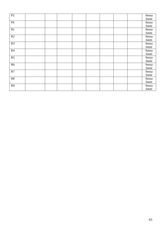| $\mathbf{P}3$  |  |  |  |  | Senza  |
|----------------|--|--|--|--|--------|
|                |  |  |  |  | limiti |
| P4             |  |  |  |  | Senza  |
|                |  |  |  |  | limiti |
| $\mathbb{R}1$  |  |  |  |  | Senza  |
|                |  |  |  |  | limiti |
| R2             |  |  |  |  | Senza  |
|                |  |  |  |  | limiti |
| R3             |  |  |  |  | Senza  |
|                |  |  |  |  | limiti |
| R4             |  |  |  |  | Senza  |
|                |  |  |  |  | limiti |
| R5             |  |  |  |  | Senza  |
|                |  |  |  |  | limiti |
| R6             |  |  |  |  | Senza  |
|                |  |  |  |  | limiti |
| R7             |  |  |  |  | Senza  |
|                |  |  |  |  | limiti |
| ${\sf R8}$     |  |  |  |  | Senza  |
|                |  |  |  |  | limiti |
| R <sub>9</sub> |  |  |  |  | Senza  |
|                |  |  |  |  | limiti |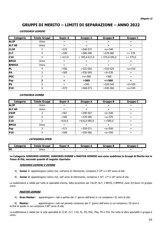## **GRUPPI DI MERITO – LIMITI DI SEPARAZIONE – ANNO 2022**

#### **CATEGORIA UOMINI**

| Categoria     | <b>Totale Gruppi</b> | <b>Super A</b> | <b>Gruppo A</b> | <b>Gruppo B</b> | <b>Gruppo C</b> |
|---------------|----------------------|----------------|-----------------|-----------------|-----------------|
| AL3P          | Unico                | $=$            | $=$             | $=$             | $=$             |
| <b>ALT 60</b> | Unico                | $=$            | $=$             | $=$             | $=$             |
| <b>CL3P</b>   | 3                    | >572           | $>540-572$      | $\leq$ o=540    | $=$             |
| <b>CLT</b>    | 4                    | >590           | $>580-590$      | $>570-580$      | $\le$ = 570     |
| <b>C10</b>    | 4                    | > 617,0        | $> 595,0-617,0$ | $> 575,0-595,0$ | $\le$ = 575,0   |
| <b>BM10</b>   | Unico                | $=$            | =               | $=$             | $=$             |
| <b>BMM10</b>  | Unico                | $=$            | $=$             | $=$             | $=$             |
| PL            | 4                    | >550           | $>525-550$      | $>510-525$      | $o=510$         |
| <b>PA</b>     | 3                    | >565           | $>530-565$      | $<0=530$        | $=$             |
| <b>PGC</b>    | 2                    | $=$            | $>0 = 560$      | < 560           | $=$             |
| Psp           | 2                    | $=$            | >560            | $\le$ = 560     | $=$             |
| <b>PS</b>     | 3                    | $=$            | >545            | $>520-545$      | $<0=520$        |
| <b>P10</b>    | 4                    | >573           | $>560-573$      | $>545-560$      | $0=545$         |

#### **CATEGORIA DONNE**

| Categoria     | <b>Totale Gruppi</b> | <b>Super A</b> | <b>Gruppo A</b> | <b>Gruppo B</b> | <b>Gruppo C</b> |
|---------------|----------------------|----------------|-----------------|-----------------|-----------------|
| <b>AL3P</b>   | Unico                | $=$            | $=$             | $=$             | =               |
| <b>ALT 60</b> | Unico                | $=$            | $=$             | $=$             | $=$             |
| <b>CS3P</b>   |                      | >567           | $>540-567$      | $\leq$ o=540    | $=$             |
| <b>CST</b>    |                      | >585           | $>570-585$      | $0=570$         | $=$             |
| C10           |                      | >616,0         | $>616,0-585,0$  | $\le$ = 585,0   | $=$             |
| <b>BM10</b>   | Unico                | $=$            | $=$             | $=$             | $=$             |
| <b>Psp</b>    |                      | >571           | $>550-571$      | $0=550$         | $=$             |
| <b>P10</b>    |                      | >566           | $>550-566$      | $0=550$         | =               |

#### **CATEGORIA OPEN**

| <b>Categoria</b> | <b>Totale</b><br>Gruppi | Super<br>A | fruppo<br>Ð              | Gruppo B | Gruppo C                                             |  |
|------------------|-------------------------|------------|--------------------------|----------|------------------------------------------------------|--|
| FS               | Unico                   | $=$        | $\overline{\phantom{0}}$ | __<br>_  | $\overline{\phantom{0}}$<br>$\overline{\phantom{0}}$ |  |

**Le Categorie JUNIORES UOMINI, JUNIORES DONNE e MASTER UOMINI non sono suddivise in Gruppi di Merito ma in Fasce di Età, secondo quanto di seguito riportato:**

#### **JUNIORES UOMINI E DONNE**

- A) **Junior 1**: appartengono coloro che, nell'anno di riferimento, compiono il 19° e il 20° anno di età.
- B) **Junior 2**: appartengono coloro che, nell' anno di riferimento, compiono il 16°, 17° e 18° anno di età.

La suddivisione è valida per tutte le specialità d'arma, fatta eccezione per l'AL3P, ALT, il BM10, il BMM10 (solo JU) dove v'è gruppo unico

#### **MASTER UOMINI**

A) **Gran Master:** appartengono i nati a partire dal 1° giorno dell'anno in cui compiono i 61 anni di età;

B) **Master:** appartengono i nati nel periodo compreso dal 1° giorno dell'anno in cui compiono i 50 anni e la fine di quello in cui compiono il 60° anno di età;

La suddivisione è valida per le sole specialità di CL3P, CLT, C10, PL, PA, PGC, PSp, PS e P10. Per tutte le altre specialità il gruppo è unico.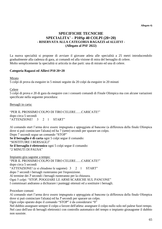**Allegato 4)**

### **SPECIFICHE TECNICHE SPECIALITA' – P10Sp 40 COLPI (20+20) - RISERVATA ALLA CATEGORIA RAGAZZI** *ed ALLIEVI* **- (Allegato al PSF 2022)**

La nuova specialità si propone di avviare il giovane atleta alle specialità a 25 metri introducendolo gradualmente alla cadenza di gara, ai comandi ed alla visione di mira del bersaglio di celere. Molto semplicemente la specialità si articola in due parti: una di mirato ed una di celere.

#### **Categoria Ragazzi ed Allievi P10 20+20**

Mirato

5 colpi di prova da eseguire in 5 minuti seguite da 20 colpi da eseguire in 20 minuti

Celere

5 colpi di prova e 20 di gara da eseguire con i consueti comandi di Finale Olimpica ma con alcune variazioni specificate nella seguente procedura:

Bersagli in carta:

"PER IL PROSSIMO COLPO DI TIRO CELERE.......CARICATE!" dopo circa 5 secondi "ATTENZIONE! 3 2 1 START"

Al comando start l'arma deve essere impugnata e appoggiata al bancone (a differenza della finale Olimpica dove si può cominciare l'alzata) ed ha 7 (sette) secondi per sparare un colpo. Dopo 7 secondi segue un comando "STOP"

**Se il bersaglio è di carta** ogni 5 colpi segue il comando: "SOSTITUIRE I BERSAGLI" **Se il bersaglio è elettronico** ogni 5 colpi segue il comando: "2 MINUTI DI PAUSA"

Impianto gira sagome a tempo: "PER IL PROSSIMO COLPO DI TIRO CELERE.......CARICATE!" dopo circa 5 secondi "ATTENZIONE! (e si chiudono le sagome) 3 2 1 START" dopo 7 secondi i bersagli ruoteranno per l'esposizione. Al termine dei *7* secondi i bersagli ruoteranno per la chiusura. Ogni 5 colpi: "STOP, POGGIARE LE ARMI SCARICHE SUL PANCONE" I commissari andranno a dichiarare i punteggi ottenuti ed a sostituire i bersagli.

Procedure comuni

Al comando start l'arma deve essere impugnata e appoggiata al bancone (a differenza della finale Olimpica dove si può cominciare l'alzata) ed ha *7* secondi per sparare un colpo.

Ogni colpo sparato dopo il comando "STOP" è da considerarsi "0"

Nel dubbio assegnare sempre il colpo a favore dell'atleta: assegnare il colpo nullo solo nel palese fuori tempo. Nel caso dell'uso di bersagli elettronici con controllo automatico del tempo o impianto girasagome il dubbio non sussiste.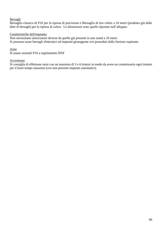#### Bersagli

Bersaglio classico di P10 per la ripresa di precisione e Bersaglio di tiro celere a 10 metri (prodotto già dalle ditte di bersagli) per la ripresa di celere. Le dimensioni sono quelle riportate nell'allegato.

#### Caratteristiche dell'impianto

Non necessitano attrezzature diverse da quelle già presenti in uno stand a 10 metri. Si possono usare bersagli elettronici od impianti girasagome ove posseduti dalla Sezione ospitante.

#### Armi

Si usano normali P10 a regolamento ISSF

#### Avvertenze

Si consiglia di effettuare turni con un massimo di 5 o 6 tiratori in modo da avere un commissario ogni tiratore per il fuori tempo massimo (ove non presenti impianti automatici).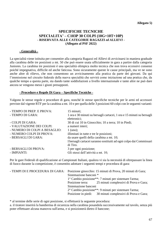#### **Allegato 5)**

### **SPECIFICHE TECNICHE SPECIALITA' – C103P 30 COLPI (10G+10T+10P) - RISERVATA ALLE CATEGORIE RAGAZZI** *ed ALLIEVI* **- (Allegato al PSF 2022)**

#### **- Generalità -**

La specialità viene istituita per consentire alla categoria Ragazzi ed Allievi di avvicinarsi in maniera graduale alla carabina delle tre posizioni a mt. 50 che può essere usata ufficialmente in gara a partire dalla categoria Juniores. La carabina tre posizioni è una specialità olimpica molto tecnica che non trova eccessivi consensi poiché impegnativa, difficile ed anche faticosa. Sono sicuramente queste le cause principali, ma ve ne sono anche altre di rilievo, che non consentono un avvicinamento alla pratica da parte dei giovani. Da qui l'immissione nel circuito federale della nuova specialità che servirà come iniziazione ad una pratica che, da qualche tempo a questa parte, sta dando tante soddisfazioni a livello internazionale e tante altre ne può dare ancora se vengono messi i giusti presupposti.

#### **- Procedure e Regole Di Gara – Specifiche Tecniche -**

Valgono le stesse regole e procedure di gara, nonché le stesse specifiche tecniche per le armi ed accessori previste dal vigente RTF per la carabina a mt. 10 e per quella delle 3 posizioni 60 colpi con le seguenti varianti:

| - TEMPO DI PREP. E PROVA:     | 15 minuti;                                                            |
|-------------------------------|-----------------------------------------------------------------------|
| - TEMPO DI GARA:              | 1 ora e 30 minuti su bersagli cartacei, 1 ora e 15 minuti su bersagli |
|                               | elettronici;                                                          |
| - COLPI DI GARA:              | 30 di cui 10 in Ginocchio; 10 a terra; 10 in Piedi;                   |
| - VALUTAZIONE DEI COLPI:      | a numeri interi;                                                      |
| - NUMERO DI COLPI A BESAGLIO: | $1 \text{ (uno)}$ ;                                                   |
| - NUMERO COLPI DI PROVA:      | illimitati in tutte e tre le posizioni;                               |
| - BERSAGLI DI GARA:           | da usare quelli della carabina a mt. 10;                              |
|                               | I bersagli cartacei saranno sostituiti ad ogni colpo dai Commissari   |
|                               | di Tiro.                                                              |
| - BERSAGLI DI PROVA:          | 3 per ogni posizione;                                                 |
| - IMPIANTI:                   | Gli stessi dell'attività a mt. 10;                                    |

Per le gare Federali di qualificazione ai Campionati Italiani, qualora vi sia la necessità di oltrepassare la linea di fuoco durante la competizione, è consentito adottare i seguenti tempi e procedura di gara:

| - TEMPI DI E PROCEDURA DI GARA: |                        | Posizione ginocchio: 15 minuti di Prova, 20 minuti di Gara; |
|---------------------------------|------------------------|-------------------------------------------------------------|
|                                 | Sistemazione banconi * |                                                             |
|                                 |                        | 1° Cambio posizione**: 7 minuti per sistemare l'arma;       |
|                                 |                        | Posizione terra: 25 minuti complessivi di Prova e Gara;     |
|                                 | Sistemazione banconi   |                                                             |
|                                 |                        | 2° Cambio posizione**: 9 minuti per sistemare l'arma;       |
|                                 |                        | Posizione in piedi: 30 minuti complessivi di Prova e Gara;  |

\* al termine delle serie di ogni posizione, si effettuerà la seguente procedura:

a. il tiratore inserirà la bandierina di sicurezza nella carabina posandola successivamente sul tavolo, senza più poter effettuare alcuna manovra sull'arma, e si posizionerà dietro il bancone;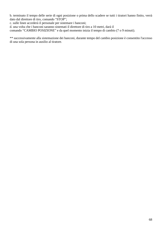b. terminato il tempo delle serie di ogni posizione o prima dello scadere se tutti i tiratori hanno finito, verrà dato dal direttore di tiro, comando "STOP";

c. sulle linee accederà il personale per sistemare i banconi;

d. una volta che i banconi saranno sistemati il direttore di tiro a 10 metri, darà il

comando "CAMBIO POSIZIONE" e da quel momento inizia il tempo di cambio (7 o 9 minuti).

\*\* successivamente alla sistemazione dei banconi, durante tempo del cambio posizione è consentito l'accesso di una sola persona in ausilio al tiratore.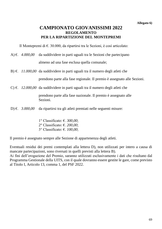## **CAMPIONATO GIOVANISSIMI 2022 REGOLAMENTO PER LA RIPARTIZIONE DEL MONTEPREMI**

Il Montepremi di  $\epsilon$ . 30.000, da ripartirsi tra le Sezioni, è così articolato:

- A) €. *4.000,00* da suddividere in parti uguali tra le Sezioni che partecipano almeno ad una fase esclusa quella comunale;
- B) €. *11.000,00* da suddividere in parti uguali tra il numero degli atleti che prendono parte alla fase regionale. Il premio è assegnato alle Sezioni.
- C) €. *12.000,00* da suddividere in parti uguali tra il numero degli atleti che

prendono parte alla fase nazionale. Il premio è assegnato alle Sezioni.

- D) €. *3.000,00* da ripartirsi tra gli atleti premiati nelle seguenti misure:
	- 1° Classificato: €. *300,00*; 2° Classificato: €. *200,00*; 3° Classificato: €. *100,00*;

Il premio è assegnato sempre alle Sezione di appartenenza degli atleti.

Eventuali residui dei premi contemplati alla lettera D), non utilizzati per intero a causa di mancate partecipazioni, sono riversati in quelli previsti alla lettera B).

Ai fini dell'erogazione del Premio, saranno utilizzati esclusivamente i dati che risultano dal Programma Gestionale della UITS, con il quale dovranno essere gestite le gare, come previsto al Titolo I, Articolo 13, comma 1, del PSF 2022.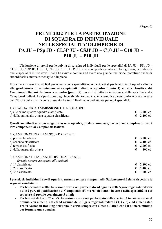**Allegato 7)**

## **PREMI 2022 PER LA PARTECIPAZIONE DI SQUADRA ED INDIVIDUALE NELLE SPECIALITA' OLIMPICHE DI PA JU – PSp JD - CL3P JU - CS3P JD – C10 JU – C10 JD – P10 JU – P10 JD**

L'istituzione di premi per le attività di squadra ed individuali per le specialità di PA JU – PSp JD - CL3P JU, CS3P JD**,** C10 JU, C10 JD, P10 JU e P10 JD ha lo scopo di incentivare, tra i giovani, la pratica di quelle specialità di tiro dove l'Italia ha avuto e continua ad avere una grande tradizione, portatrice anche di straordinarie e meritate medaglie olimpiche.

Il premio è fissato in **€ 40.000** per ognuna delle specialità ed è da ripartirsi per le attività di squadra riferite alla **graduatoria di ammissione ai campionati italiani a squadre (punto 1) ed alla classifica dei Campionati Italiani Juniores a squadre (punto 2)**, nonché all'attività individuale della sola finale dei Campionati Italiani. La ripartizione degli incentivi tiene conto sia della semplice partecipazione in sé alle gare del CIS che della qualità delle prestazioni a tutti i livelli ed è così attuata per ogni specialità:

#### 1) GRADUATORIA **AMMISSIONE** C.I. A SQUADRE:

| a) alle prime quattro squadre classificate       | $\epsilon$ 3.000 cd |
|--------------------------------------------------|---------------------|
| b) dalla quinta alla ottava squadra classificata | $\epsilon$ 2.400 cd |

**Questi contributi saranno erogati solo se le squadre, qualora ammesse, partecipano complete di tutti i loro componenti ai Campionati Italiani** 

|  | 2) CAMPIONATI ITALIANI SQUADRE (finali): |  |
|--|------------------------------------------|--|
|--|------------------------------------------|--|

| a) prima classificata                        | € | 3.000 cd           |
|----------------------------------------------|---|--------------------|
| b) seconda classificata                      | € | 2.400 cd           |
| c) terza classificata                        | € | 2.000 cd           |
| d) dalla quarta alla ottava                  | € | 800 cd             |
| 3) CAMPIONATI ITALIANI INDIVIDUALI (finali): |   |                    |
| (premio sempre assegnato alle sezioni)       |   |                    |
| a) $1^\circ$ classificato                    | € | 2.800 cd           |
| b) $2^{\circ}$ classificato                  | € | $2.400 \text{ cd}$ |

|  | b) 2° classificato |  |
|--|--------------------|--|
|--|--------------------|--|

c)  $3^{\circ}$  classificato  $\epsilon$  **1.800 cd** 

**I premi, sia individuali che di squadra, saranno sempre assegnati alla Sezione purché siano rispettate le seguenti condizioni:**

- **Per le specialità a 10m la Sezione deve aver partecipato ad ognuna delle 5 gare regionali federali e alle 2 gare di qualificazione al Campionato d'Inverno dell'anno in corso nella specialità in cui concorre al premio con almeno 3 atleti;**
- **Per le specialità a m.25 e m50 la Sezione deve aver partecipato nella specialità in cui concorre al premio, con almeno 3 atleti ad ognuna delle 3 gare regionali federali (3, 4 e 5) e ad almeno due Trofei Nazionali Ranking dell'anno in corso sempre con almeno 3 atleti che è il numero minimo per formare una squadra.**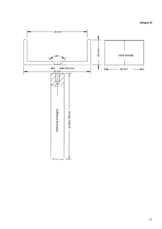**Allegato 8)**

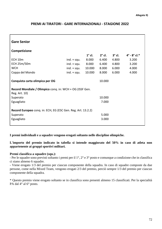| <b>Gare Senior</b>                                                        |               |               |               |               |                                |  |
|---------------------------------------------------------------------------|---------------|---------------|---------------|---------------|--------------------------------|--|
| Competizione                                                              |               |               |               |               |                                |  |
|                                                                           |               | $1^\circ$ cl. | $2^\circ$ cl. | $3^\circ$ cl. | $4^{\circ}$ - $8^{\circ}$ cl.* |  |
| ECH 10m                                                                   | $ind. + squ.$ | 8.000         | 6.400         | 4.800         | 3.200                          |  |
| ECH 25m/50m                                                               | $ind. + squ.$ | 8.000         | 6.400         | 4.800         | 3.200                          |  |
| <b>WCH</b>                                                                | $ind. + squ.$ | 10.000        | 8.000         | 6.000         | 4.000                          |  |
| Coppa del Mondo                                                           | $ind. + squ.$ | 10.000        | 8.000         | 6.000         | 4.000                          |  |
| Conquista carta olimpica per OG                                           |               |               | 10.000        |               |                                |  |
| Record Mondiale / Olimpico conq. in: WCH + OG (ISSF Gen.<br>Reg. Art. 10) |               |               |               |               |                                |  |
| Superato                                                                  |               |               | 10.000        |               |                                |  |
| Eguagliato                                                                |               |               | 7.000         |               |                                |  |
| Record Europeo conq. in: ECH, EG (ESC Gen. Reg. Art. 13.2.2)              |               |               |               |               |                                |  |
| Superato                                                                  |               |               | 5.000         |               |                                |  |
| Eguagliato                                                                |               |               | 3.000         |               |                                |  |

#### **PREMI AI TIRATORI - GARE INTERNAZIONALI - STAGIONE 2022**

#### **I premi individuali e a squadre vengono erogati soltanto nelle discipline olimpiche.**

**L'importo del premio indicato in tabella si intende maggiorato del 50% in caso di atleta non appartenente ai gruppi sportivi militari.**

#### **Premi classifica a squadre (squ.):**

- Per le squadre sono previsti soltanto i premi per il 1°, 2° e 3° posto e comunque a condizione che in classifica ci siano almeno 6 squadre.

- Viene erogato 1/3 del premio per ciascun componente della squadra. In caso di squadre composte da due persone, come nella Mixed Team, vengono erogati 2/3 del premio, perciò sempre 1/3 del premio per ciascun componente della squadra.

\* Questo premio viene erogato soltanto se in classifica sono presenti almeno 15 classificati. Per la specialità PA dal 4° al 6° posto.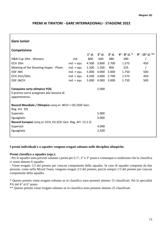## **PREMI AI TIRATORI - GARE INTERNAZIONALI - STAGIONE 2022**

| <b>Gare Junior</b>                                                                         |               |               |               |       |                                                                |     |  |  |
|--------------------------------------------------------------------------------------------|---------------|---------------|---------------|-------|----------------------------------------------------------------|-----|--|--|
| Competizione                                                                               |               |               |               |       |                                                                |     |  |  |
|                                                                                            |               | $1^\circ$ cl. | $2^\circ$ cl. |       | $3^{\circ}$ cl. $4^{\circ}$ - $8^{\circ}$ cl. $*$ 9° - 15° cl. |     |  |  |
| H&N Cup 10m - Monaco                                                                       | ind.          | 800           | 640           | 480   | 280                                                            |     |  |  |
| ECH 10m                                                                                    | $ind. + squ.$ | 4.500         | 3.600         | 2.700 | 1.575                                                          | 450 |  |  |
| Meeting of the Shooting Hopes - Pilsen                                                     | $ind. + squ.$ | 1.500         | 1.200         | 900   | 525                                                            |     |  |  |
| <b>ISSF JWC</b>                                                                            | $ind. + squ.$ | 5.000         | 4.000         | 3.000 | 1.750                                                          | 500 |  |  |
| ECH 25m/50m                                                                                | $ind. + squ.$ | 4.500         | 3.600         | 2.700 | 1.575                                                          | 450 |  |  |
| <b>ISSF JWCH</b>                                                                           | $ind. + squ.$ | 5.000         | 4.000         | 3.000 | 1.750                                                          | 500 |  |  |
| Conquista carta olimpica YOG<br>Il premio verrà assegnato alla Sezione di<br>appartenenza. |               |               | 5.000         |       |                                                                |     |  |  |
| Record Mondiale / Olimpico conq.in: WCH + OG (ISSF Gen.<br>Reg. Art. 10)                   |               |               |               |       |                                                                |     |  |  |
| Superato                                                                                   |               |               | 5.000         |       |                                                                |     |  |  |
| Eguagliato                                                                                 |               |               | 3.000         |       |                                                                |     |  |  |
| Record Europeo conq.in: ECH, EG (ESC Gen. Reg. Art. 13.2.2)                                |               |               |               |       |                                                                |     |  |  |
| Superato                                                                                   |               |               | 4.000         |       |                                                                |     |  |  |
| Eguagliato                                                                                 |               |               | 2.500         |       |                                                                |     |  |  |
|                                                                                            |               |               |               |       |                                                                |     |  |  |

## **I premi individuali e a squadre vengono erogati soltanto nelle discipline olimpiche.**

## **Premi classifica a squadre (squ.):**

- Per le squadre sono previsti soltanto i premi per il 1°, 2° e 3° posto e comunque a condizione che in classifica ci siano almeno 6 squadre.

- Viene erogato 1/3 del premio per ciascun componente della squadra. In caso di squadre composte da due persone, come nella Mixed Team, vengono erogati 2/3 del premio, perciò sempre 1/3 del premio per ciascun componente della squadra.

\* Questo premio viene erogato soltanto se in classifica sono presenti almeno 15 classificati. Per la specialità PA dal 4° al 6° posto.

\*\* Questo premio viene erogato soltanto se in classifica sono presenti almeno 25 classificati.